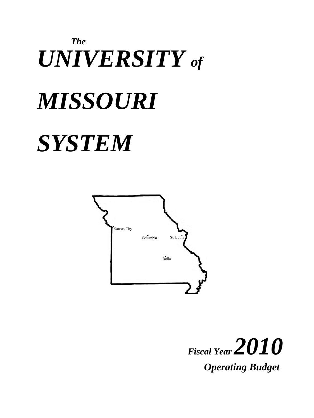# *The UNIVERSITY of MISSOURI SYSTEM*



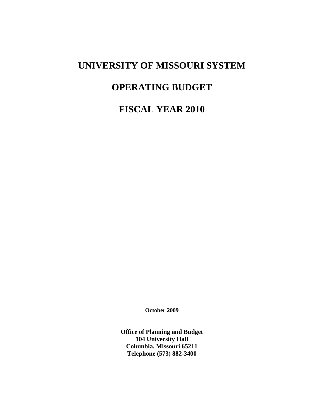# **UNIVERSITY OF MISSOURI SYSTEM**

# **OPERATING BUDGET**

# **FISCAL YEAR 2010**

**October 2009**

**Office of Planning and Budget 104 University Hall Columbia, Missouri 65211 Telephone (573) 882-3400**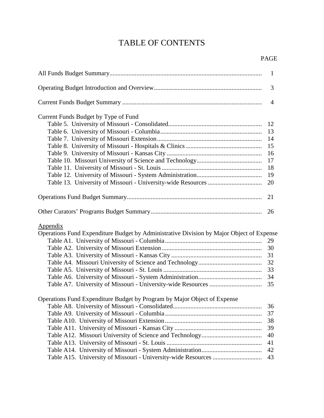# TABLE OF CONTENTS

|                                                                                                      | 1                                      |
|------------------------------------------------------------------------------------------------------|----------------------------------------|
|                                                                                                      | 3                                      |
|                                                                                                      | $\overline{4}$                         |
| Current Funds Budget by Type of Fund                                                                 |                                        |
|                                                                                                      | 12                                     |
|                                                                                                      | 13                                     |
|                                                                                                      | 14                                     |
|                                                                                                      | 15                                     |
|                                                                                                      | 16                                     |
|                                                                                                      | 17                                     |
|                                                                                                      | 18                                     |
|                                                                                                      | 19                                     |
|                                                                                                      | 20                                     |
|                                                                                                      |                                        |
|                                                                                                      | 21                                     |
|                                                                                                      | 26                                     |
| Appendix<br>Operations Fund Expenditure Budget by Administrative Division by Major Object of Expense | 29<br>30<br>31<br>32<br>33<br>34<br>35 |
| Operations Fund Expenditure Budget by Program by Major Object of Expense                             |                                        |
|                                                                                                      | 36                                     |
|                                                                                                      | 37                                     |
|                                                                                                      | 38                                     |
|                                                                                                      | 39                                     |
|                                                                                                      | 40                                     |
|                                                                                                      | 41                                     |
|                                                                                                      | 42                                     |
|                                                                                                      | 43                                     |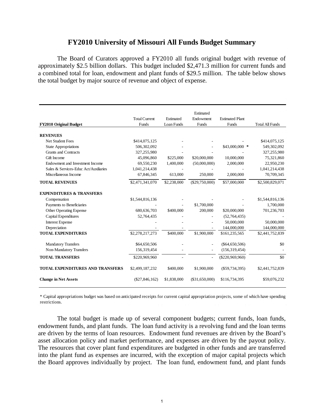## **FY2010 University of Missouri All Funds Budget Summary**

The Board of Curators approved a FY2010 all funds original budget with revenue of approximately \$2.5 billion dollars. This budget included \$2,471.3 million for current funds and a combined total for loan, endowment and plant funds of \$29.5 million. The table below shows the total budget by major source of revenue and object of expense.

|                                         |                      |             | Estimated      |                        |                        |
|-----------------------------------------|----------------------|-------------|----------------|------------------------|------------------------|
|                                         | <b>Total Current</b> | Estimated   | Endowment      | <b>Estimated Plant</b> |                        |
| <b>FY2010 Original Budget</b>           | Funds                | Loan Funds  | Funds          | Funds                  | <b>Total All Funds</b> |
| <b>REVENUES</b>                         |                      |             |                |                        |                        |
| <b>Net Student Fees</b>                 | \$414,075,125        |             |                |                        | \$414,075,125          |
| <b>State Appropriations</b>             | 506,302,092          |             |                | $$43,000,000$ *        | 549,302,092            |
| <b>Grants and Contracts</b>             | 327,255,980          |             |                |                        | 327,255,980            |
| Gift Income                             | 45,096,860           | \$225,000   | \$20,000,000   | 10,000,000             | 75,321,860             |
| Endowment and Investment Income         | 69,550,230           | 1,400,000   | (50,000,000)   | 2,000,000              | 22,950,230             |
| Sales & Services-Educ Act/Auxiliaries   | 1,041,214,438        |             |                |                        | 1,041,214,438          |
| Miscellaneous Income                    | 67,846,345           | 613,000     | 250,000        | 2,000,000              | 70,709,345             |
| <b>TOTAL REVENUES</b>                   | \$2,471,341,070      | \$2,238,000 | (\$29,750,000) | \$57,000,000           | \$2,500,829,071        |
| <b>EXPENDITURES &amp; TRANSFERS</b>     |                      |             |                |                        |                        |
| Compensation                            | \$1,544,816,136      |             |                |                        | \$1,544,816,136        |
| Payments to Beneficiaries               |                      |             | \$1,700,000    |                        | 1,700,000              |
| Other Operating Expense                 | 680,636,703          | \$400,000   | 200,000        | \$20,000,000           | 701,236,703            |
| Capital Expenditures                    | 52,764,435           |             |                | (52,764,435)           |                        |
| <b>Interest Expense</b>                 |                      |             |                | 50,000,000             | 50,000,000             |
| Depreciation                            |                      |             |                | 144,000,000            | 144,000,000            |
| <b>TOTAL EXPENDITURES</b>               | \$2,278,217,273      | \$400,000   | \$1,900,000    | \$161,235,565          | \$2,441,752,839        |
| <b>Mandatory Transfers</b>              | \$64,650,506         |             |                | $(\$64,650,506)$       | \$0                    |
| Non-Mandatory Transfers                 | 156,319,454          |             |                | (156, 319, 454)        |                        |
| <b>TOTAL TRANSFERS</b>                  | \$220,969,960        |             |                | $(\$220,969,960)$      | \$0                    |
| <b>TOTAL EXPENDITURES AND TRANSFERS</b> | \$2,499,187,232      | \$400,000   | \$1,900,000    | $(\$59,734,395)$       | \$2,441,752,839        |
| <b>Change in Net Assets</b>             | $(\$27,846,162)$     | \$1,838,000 | (\$31,650,000) | \$116,734,395          | \$59,076,232           |

\* Capital appropriations budget was based on anticipated receipts for current capital appropriation projects, some of which have spending restrictions.

The total budget is made up of several component budgets; current funds, loan funds, endowment funds, and plant funds. The loan fund activity is a revolving fund and the loan terms are driven by the terms of loan resources. Endowment fund revenues are driven by the Board's asset allocation policy and market performance, and expenses are driven by the payout policy. The resources that cover plant fund expenditures are budgeted in other funds and are transferred into the plant fund as expenses are incurred, with the exception of major capital projects which the Board approves individually by project. The loan fund, endowment fund, and plant funds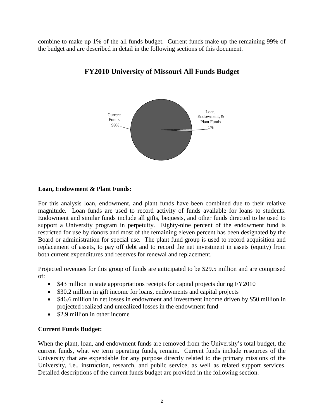combine to make up 1% of the all funds budget. Current funds make up the remaining 99% of the budget and are described in detail in the following sections of this document.



# **FY2010 University of Missouri All Funds Budget**

# **Loan, Endowment & Plant Funds:**

For this analysis loan, endowment, and plant funds have been combined due to their relative magnitude. Loan funds are used to record activity of funds available for loans to students. Endowment and similar funds include all gifts, bequests, and other funds directed to be used to support a University program in perpetuity. Eighty-nine percent of the endowment fund is restricted for use by donors and most of the remaining eleven percent has been designated by the Board or administration for special use. The plant fund group is used to record acquisition and replacement of assets, to pay off debt and to record the net investment in assets (equity) from both current expenditures and reserves for renewal and replacement.

Projected revenues for this group of funds are anticipated to be \$29.5 million and are comprised of:

- \$43 million in state appropriations receipts for capital projects during FY2010
- \$30.2 million in gift income for loans, endowments and capital projects
- \$46.6 million in net losses in endowment and investment income driven by \$50 million in projected realized and unrealized losses in the endowment fund
- \$2.9 million in other income

# **Current Funds Budget:**

When the plant, loan, and endowment funds are removed from the University's total budget, the current funds, what we term operating funds, remain. Current funds include resources of the University that are expendable for any purpose directly related to the primary missions of the University, i.e., instruction, research, and public service, as well as related support services. Detailed descriptions of the current funds budget are provided in the following section.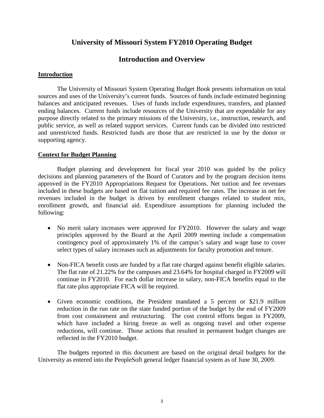# **University of Missouri System FY2010 Operating Budget**

# **Introduction and Overview**

## **Introduction**

The University of Missouri System Operating Budget Book presents information on total sources and uses of the University's current funds. Sources of funds include estimated beginning balances and anticipated revenues. Uses of funds include expenditures, transfers, and planned ending balances. Current funds include resources of the University that are expendable for any purpose directly related to the primary missions of the University, i.e., instruction, research, and public service, as well as related support services. Current funds can be divided into restricted and unrestricted funds. Restricted funds are those that are restricted in use by the donor or supporting agency.

## **Context for Budget Planning**

Budget planning and development for fiscal year 2010 was guided by the policy decisions and planning parameters of the Board of Curators and by the program decision items approved in the FY2010 Appropriations Request for Operations. Net tuition and fee revenues included in these budgets are based on flat tuition and required fee rates. The increase in net fee revenues included in the budget is driven by enrollment changes related to student mix, enrollment growth, and financial aid. Expenditure assumptions for planning included the following:

- No merit salary increases were approved for FY2010. However the salary and wage principles approved by the Board at the April 2009 meeting include a compensation contingency pool of approximately 1% of the campus's salary and wage base to cover select types of salary increases such as adjustments for faculty promotion and tenure.
- Non-FICA benefit costs are funded by a flat rate charged against benefit eligible salaries. The flat rate of 21.22% for the campuses and 23.64% for hospital charged in FY2009 will continue in FY2010. For each dollar increase in salary, non-FICA benefits equal to the flat rate plus appropriate FICA will be required.
- Given economic conditions, the President mandated a 5 percent or \$21.9 million reduction in the run rate on the state funded portion of the budget by the end of FY2009 from cost containment and restructuring. The cost control efforts begun in FY2009, which have included a hiring freeze as well as ongoing travel and other expense reductions, will continue. Those actions that resulted in permanent budget changes are reflected in the FY2010 budget.

The budgets reported in this document are based on the original detail budgets for the University as entered into the PeopleSoft general ledger financial system as of June 30, 2009.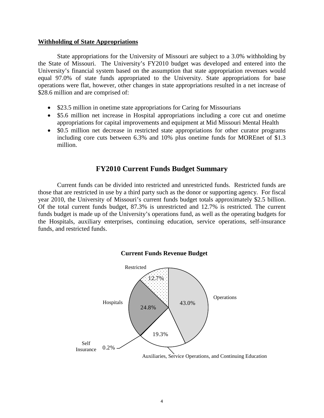#### **Withholding of State Appropriations**

State appropriations for the University of Missouri are subject to a 3.0% withholding by the State of Missouri. The University's FY2010 budget was developed and entered into the University's financial system based on the assumption that state appropriation revenues would equal 97.0% of state funds appropriated to the University. State appropriations for base operations were flat, however, other changes in state appropriations resulted in a net increase of \$28.6 million and are comprised of:

- \$23.5 million in onetime state appropriations for Caring for Missourians
- \$5.6 million net increase in Hospital appropriations including a core cut and onetime appropriations for capital improvements and equipment at Mid Missouri Mental Health
- \$0.5 million net decrease in restricted state appropriations for other curator programs including core cuts between 6.3% and 10% plus onetime funds for MOREnet of \$1.3 million.

# **FY2010 Current Funds Budget Summary**

Current funds can be divided into restricted and unrestricted funds. Restricted funds are those that are restricted in use by a third party such as the donor or supporting agency. For fiscal year 2010, the University of Missouri's current funds budget totals approximately \$2.5 billion. Of the total current funds budget, 87.3% is unrestricted and 12.7% is restricted. The current funds budget is made up of the University's operations fund, as well as the operating budgets for the Hospitals, auxiliary enterprises, continuing education, service operations, self-insurance funds, and restricted funds.



**Current Funds Revenue Budget**

Auxiliaries, Service Operations, and Continuing Education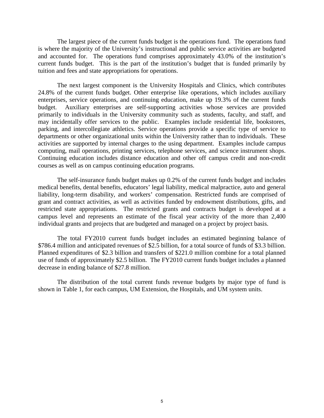The largest piece of the current funds budget is the operations fund. The operations fund is where the majority of the University's instructional and public service activities are budgeted and accounted for. The operations fund comprises approximately 43.0% of the institution's current funds budget. This is the part of the institution's budget that is funded primarily by tuition and fees and state appropriations for operations.

The next largest component is the University Hospitals and Clinics, which contributes 24.8% of the current funds budget. Other enterprise like operations, which includes auxiliary enterprises, service operations, and continuing education, make up 19.3% of the current funds budget. Auxiliary enterprises are self-supporting activities whose services are provided primarily to individuals in the University community such as students, faculty, and staff, and may incidentally offer services to the public. Examples include residential life, bookstores, parking, and intercollegiate athletics. Service operations provide a specific type of service to departments or other organizational units within the University rather than to individuals. These activities are supported by internal charges to the using department. Examples include campus computing, mail operations, printing services, telephone services, and science instrument shops. Continuing education includes distance education and other off campus credit and non-credit courses as well as on campus continuing education programs.

The self-insurance funds budget makes up 0.2% of the current funds budget and includes medical benefits, dental benefits, educators' legal liability, medical malpractice, auto and general liability, long-term disability, and workers' compensation. Restricted funds are comprised of grant and contract activities, as well as activities funded by endowment distributions, gifts, and restricted state appropriations. The restricted grants and contracts budget is developed at a campus level and represents an estimate of the fiscal year activity of the more than 2,400 individual grants and projects that are budgeted and managed on a project by project basis.

The total FY2010 current funds budget includes an estimated beginning balance of \$786.4 million and anticipated revenues of \$2.5 billion, for a total source of funds of \$3.3 billion. Planned expenditures of \$2.3 billion and transfers of \$221.0 million combine for a total planned use of funds of approximately \$2.5 billion. The FY2010 current funds budget includes a planned decrease in ending balance of \$27.8 million.

The distribution of the total current funds revenue budgets by major type of fund is shown in Table 1, for each campus, UM Extension, the Hospitals, and UM system units.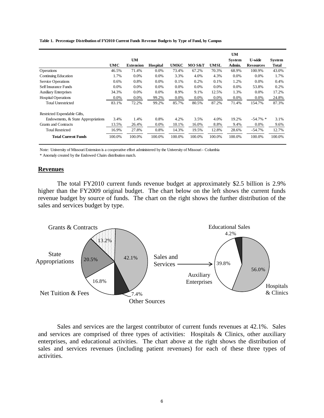|                                    |        | UM               |          |         |        |        | UM<br><b>System</b> | <b>U-wide</b>    | System |
|------------------------------------|--------|------------------|----------|---------|--------|--------|---------------------|------------------|--------|
|                                    | UMC    | <b>Extension</b> | Hospital | UMKC    | MO S&T | UMSL   | Admin.              | <b>Resources</b> | Total  |
| Operations                         | 46.5%  | 71.4%            | $0.0\%$  | 73.4%   | 67.2%  | 70.3%  | 68.9%               | 100.9%           | 43.0%  |
| Continuing Education               | 1.7%   | $0.0\%$          | 0.0%     | 3.3%    | 4.0%   | 4.3%   | 0.0%                | 0.0%             | 1.7%   |
| Service Operations                 | 0.6%   | 0.8%             | 0.0%     | 0.1%    | 0.2%   | 0.1%   | 1.2%                | $0.0\%$          | 0.4%   |
| Self Insurance Funds               | 0.0%   | 0.0%             | 0.0%     | $0.0\%$ | 0.0%   | 0.0%   | 0.0%                | 53.8%            | 0.2%   |
| <b>Auxiliary Enterprises</b>       | 34.3%  | $0.0\%$          | $0.0\%$  | 8.9%    | 9.1%   | 12.5%  | 1.3%                | $0.0\%$          | 17.2%  |
| <b>Hospital Operations</b>         | 0.0%   | $0.0\%$          | 99.2%    | 0.0%    | 0.0%   | 0.0%   | $0.0\%$             | $0.0\%$          | 24.8%  |
| <b>Total Unrestricted</b>          | 83.1%  | 72.2%            | 99.2%    | 85.7%   | 80.5%  | 87.2%  | 71.4%               | 154.7%           | 87.3%  |
| Restricted Expendable Gifts,       |        |                  |          |         |        |        |                     |                  |        |
| Endowments, & State Appropriations | 3.4%   | 1.4%             | 0.8%     | 4.2%    | 3.5%   | 4.0%   | 19.2%               | $-54.7\%$ *      | 3.1%   |
| Grants and Contracts               | 13.5%  | 26.4%            | $0.0\%$  | 10.1%   | 16.0%  | 8.8%   | 9.4%                | $0.0\%$          | 9.6%   |
| <b>Total Restricted</b>            | 16.9%  | 27.8%            | 0.8%     | 14.3%   | 19.5%  | 12.8%  | 28.6%               | $-54.7%$         | 12.7%  |
| <b>Total Current Funds</b>         | 100.0% | 100.0%           | 100.0%   | 100.0%  | 100.0% | 100.0% | 100.0%              | 100.0%           | 100.0% |

#### **Table 1. Percentage Distribution of FY2010 Current Funds Revenue Budgets by Type of Fund, by Campus**

Note: University of Missouri Extension is a cooperative effort administered by the University of Missouri - Columbia

\* Anomaly created by the Endowed Chairs distribution match.

#### **Revenues**

The total FY2010 current funds revenue budget at approximately \$2.5 billion is 2.9% higher than the FY2009 original budget. The chart below on the left shows the current funds revenue budget by source of funds. The chart on the right shows the further distribution of the sales and services budget by type.



Sales and services are the largest contributor of current funds revenues at 42.1%. Sales and services are comprised of three types of activities: Hospitals & Clinics, other auxiliary enterprises, and educational activities. The chart above at the right shows the distribution of sales and services revenues (including patient revenues) for each of these three types of activities.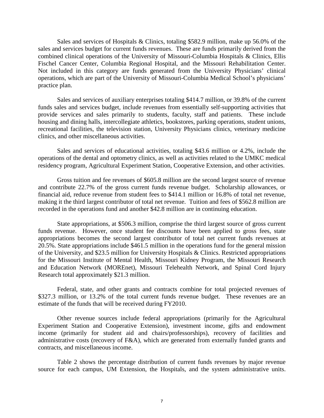Sales and services of Hospitals & Clinics, totaling \$582.9 million, make up 56.0% of the sales and services budget for current funds revenues. These are funds primarily derived from the combined clinical operations of the University of Missouri-Columbia Hospitals & Clinics, Ellis Fischel Cancer Center, Columbia Regional Hospital, and the Missouri Rehabilitation Center. Not included in this category are funds generated from the University Physicians' clinical operations, which are part of the University of Missouri-Columbia Medical School's physicians' practice plan.

Sales and services of auxiliary enterprises totaling \$414.7 million, or 39.8% of the current funds sales and services budget, include revenues from essentially self-supporting activities that provide services and sales primarily to students, faculty, staff and patients. These include housing and dining halls, intercollegiate athletics, bookstores, parking operations, student unions, recreational facilities, the television station, University Physicians clinics, veterinary medicine clinics, and other miscellaneous activities.

Sales and services of educational activities, totaling \$43.6 million or 4.2%, include the operations of the dental and optometry clinics, as well as activities related to the UMKC medical residency program, Agricultural Experiment Station, Cooperative Extension, and other activities.

Gross tuition and fee revenues of \$605.8 million are the second largest source of revenue and contribute 22.7% of the gross current funds revenue budget. Scholarship allowances, or financial aid, reduce revenue from student fees to \$414.1 million or 16.8% of total net revenue, making it the third largest contributor of total net revenue. Tuition and fees of \$562.8 million are recorded in the operations fund and another \$42.8 million are in continuing education.

State appropriations, at \$506.3 million, comprise the third largest source of gross current funds revenue. However, once student fee discounts have been applied to gross fees, state appropriations becomes the second largest contributor of total net current funds revenues at 20.5%. State appropriations include \$461.5 million in the operations fund for the general mission of the University, and \$23.5 million for University Hospitals & Clinics. Restricted appropriations for the Missouri Institute of Mental Health, Missouri Kidney Program, the Missouri Research and Education Network (MOREnet), Missouri Telehealth Network, and Spinal Cord Injury Research total approximately \$21.3 million.

Federal, state, and other grants and contracts combine for total projected revenues of \$327.3 million, or 13.2% of the total current funds revenue budget. These revenues are an estimate of the funds that will be received during FY2010.

Other revenue sources include federal appropriations (primarily for the Agricultural Experiment Station and Cooperative Extension), investment income, gifts and endowment income (primarily for student aid and chairs/professorships), recovery of facilities and administrative costs (recovery of F&A), which are generated from externally funded grants and contracts, and miscellaneous income.

Table 2 shows the percentage distribution of current funds revenues by major revenue source for each campus, UM Extension, the Hospitals, and the system administrative units.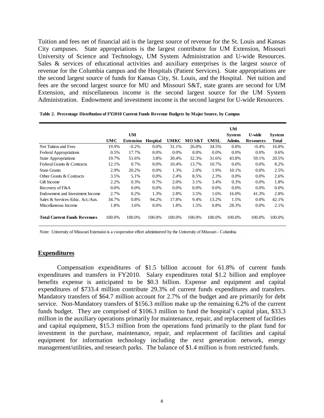Tuition and fees net of financial aid is the largest source of revenue for the St. Louis and Kansas City campuses. State appropriations is the largest contributor for UM Extension, Missouri University of Science and Technology, UM System Administration and U-wide Resources. Sales & services of educational activities and auxiliary enterprises is the largest source of revenue for the Columbia campus and the Hospitals (Patient Services). State appropriations are the second largest source of funds for Kansas City, St. Louis, and the Hospital. Net tuition and fees are the second largest source for MU and Missouri S&T, state grants are second for UM Extension, and miscellaneous income is the second largest source for the UM System Administration. Endowment and investment income is the second largest for U-wide Resources.

|                                     |         |                  |                 |             |        |             | <b>UM</b>     |                  |              |
|-------------------------------------|---------|------------------|-----------------|-------------|--------|-------------|---------------|------------------|--------------|
|                                     |         | UM               |                 |             |        |             | <b>System</b> | <b>U-wide</b>    | System       |
|                                     | UMC     | <b>Extension</b> | <b>Hospital</b> | <b>UMKC</b> | MO S&T | <b>UMSL</b> | Admin.        | <b>Resources</b> | <b>Total</b> |
| Net Tuition and Fees                | 19.9%   | $-0.2%$          | $0.0\%$         | 31.1%       | 26.0%  | 34.5%       | $0.0\%$       | $-0.4%$          | 16.8%        |
| <b>Federal Appropriations</b>       | 0.5%    | 17.7%            | 0.0%            | 0.0%        | 0.0%   | 0.0%        | $0.0\%$       | $0.0\%$          | 0.6%         |
| <b>State Appropriations</b>         | 19.7%   | 51.6%            | 3.8%            | 30.4%       | 32.3%  | 31.6%       | 43.8%         | 59.1%            | 20.5%        |
| Federal Grants & Contracts          | 12.1%   | 0.7%             | 0.0%            | 10.4%       | 13.7%  | 10.7%       | $0.0\%$       | $0.0\%$          | 8.2%         |
| <b>State Grants</b>                 | 2.9%    | 20.2%            | 0.0%            | 1.3%        | 2.0%   | 1.9%        | 10.1%         | $0.0\%$          | 2.5%         |
| Other Grants & Contracts            | 3.5%    | 5.1%             | 0.0%            | 2.4%        | 8.5%   | 2.3%        | 0.0%          | 0.0%             | 2.6%         |
| Gift Income                         | 2.2%    | 0.3%             | 0.7%            | 2.0%        | 3.1%   | 3.4%        | 0.3%          | $0.0\%$          | 1.8%         |
| Recovery of F&A                     | $0.0\%$ | $0.0\%$          | 0.0%            | $0.0\%$     | 0.0%   | 0.0%        | 0.0%          | $0.0\%$          | $0.0\%$      |
| Endowment and Investment Income     | 2.7%    | 0.2%             | 1.3%            | 2.8%        | 3.5%   | 1.6%        | 16.0%         | 41.3%            | 2.8%         |
| Sales & Services-Educ. Act./Aux.    | 34.7%   | 0.8%             | 94.2%           | 17.8%       | 9.4%   | 13.2%       | 1.5%          | $0.0\%$          | 42.1%        |
| Miscellaneous Income                | 1.8%    | 3.6%             | 0.0%            | 1.8%        | 1.5%   | 0.8%        | 28.3%         | $0.0\%$          | 2.1%         |
| <b>Total Current Funds Revenues</b> | 100.0%  | 100.0%           | 100.0%          | 100.0%      | 100.0% | 100.0%      | 100.0%        | 100.0%           | 100.0%       |

**Table 2. Percentage Distribution of FY2010 Current Funds Revenue Budgets by Major Source, by Campus**

Note: University of Missouri Extension is a cooperative effort administered by the University of Missouri - Columbia

#### **Expenditures**

Compensation expenditures of \$1.5 billion account for 61.8% of current funds expenditures and transfers in FY2010. Salary expenditures total \$1.2 billion and employee benefits expense is anticipated to be \$0.3 billion. Expense and equipment and capital expenditures of \$733.4 million contribute 29.3% of current funds expenditures and transfers. Mandatory transfers of \$64.7 million account for 2.7% of the budget and are primarily for debt service. Non-Mandatory transfers of \$156.3 million make up the remaining 6.2% of the current funds budget. They are comprised of \$106.3 million to fund the hospital's capital plan, \$33.3 million in the auxiliary operations primarily for maintenance, repair, and replacement of facilities and capital equipment, \$15.3 million from the operations fund primarily to the plant fund for investment in the purchase, maintenance, repair, and replacement of facilities and capital equipment for information technology including the next generation network, energy management/utilities, and research parks. The balance of \$1.4 million is from restricted funds.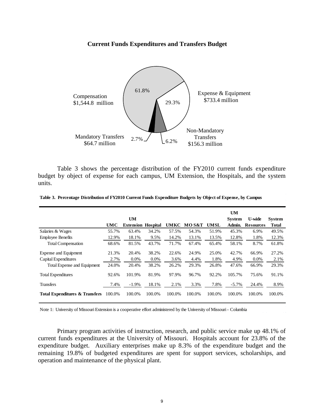#### **Current Funds Expenditures and Transfers Budget**



Table 3 shows the percentage distribution of the FY2010 current funds expenditure budget by object of expense for each campus, UM Extension, the Hospitals, and the system units.

|                                           |        |                           |         |             |        |             | <b>UM</b>     |                  |               |
|-------------------------------------------|--------|---------------------------|---------|-------------|--------|-------------|---------------|------------------|---------------|
|                                           |        | <b>UM</b>                 |         |             |        |             | <b>System</b> | <b>U-wide</b>    | <b>System</b> |
|                                           | UMC    | <b>Extension Hospital</b> |         | <b>UMKC</b> | MO S&T | <b>UMSL</b> | Admin.        | <b>Resources</b> | Total         |
| Salaries & Wages                          | 55.7%  | 63.4%                     | 34.2%   | 57.5%       | 54.3%  | 51.9%       | 45.3%         | 6.9%             | 49.5%         |
| <b>Employee Benefits</b>                  | 12.9%  | 18.1%                     | 9.5%    | 14.2%       | 13.1%  | 13.5%       | 12.8%         | 1.8%             | 12.3%         |
| <b>Total Compensation</b>                 | 68.6%  | 81.5%                     | 43.7%   | 71.7%       | 67.4%  | 65.4%       | 58.1%         | 8.7%             | 61.8%         |
| Expense and Equipment                     | 21.3%  | 20.4%                     | 38.2%   | 22.6%       | 24.9%  | 25.0%       | 42.7%         | 66.9%            | 27.2%         |
| Capital Expenditures                      | 2.7%   | $0.0\%$                   | $0.0\%$ | 3.6%        | 4.4%   | 1.8%        | 4.9%          | $0.0\%$          | 2.1%          |
| Total Expense and Equipment               | 24.0%  | 20.4%                     | 38.2%   | 26.2%       | 29.3%  | 26.8%       | 47.6%         | 66.9%            | 29.3%         |
| <b>Total Expenditures</b>                 | 92.6%  | 101.9%                    | 81.9%   | 97.9%       | 96.7%  | 92.2%       | 105.7%        | 75.6%            | 91.1%         |
| <b>Transfers</b>                          | 7.4%   | $-1.9\%$                  | 18.1%   | 2.1%        | 3.3%   | 7.8%        | $-5.7\%$      | 24.4%            | 8.9%          |
| <b>Total Expenditures &amp; Transfers</b> | 100.0% | 100.0%                    | 100.0%  | 100.0%      | 100.0% | 100.0%      | 100.0%        | 100.0%           | 100.0%        |

| Table 3. Percentage Distribution of FY2010 Current Funds Expenditure Budgets by Object of Expense, by Campus |  |  |  |  |
|--------------------------------------------------------------------------------------------------------------|--|--|--|--|
|--------------------------------------------------------------------------------------------------------------|--|--|--|--|

Note 1: University of Missouri Extension is a cooperative effort administered by the University of Missouri - Columbia

Primary program activities of instruction, research, and public service make up 48.1% of current funds expenditures at the University of Missouri. Hospitals account for 23.8% of the expenditure budget. Auxiliary enterprises make up 8.3% of the expenditure budget and the remaining 19.8% of budgeted expenditures are spent for support services, scholarships, and operation and maintenance of the physical plant.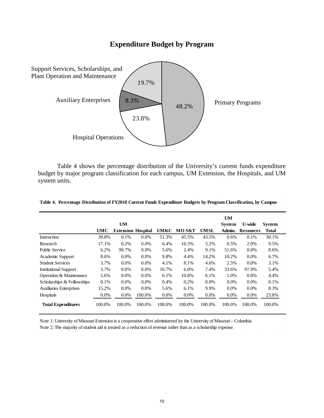# **Expenditure Budget by Program**



Table 4 shows the percentage distribution of the University's current funds expenditure budget by major program classification for each campus, UM Extension, the Hospitals, and UM system units.

|                                |        |                           |         |             |         |             | <b>UM</b>     |                  |               |
|--------------------------------|--------|---------------------------|---------|-------------|---------|-------------|---------------|------------------|---------------|
|                                |        | <b>UM</b>                 |         |             |         |             | <b>System</b> | U-wide           | <b>System</b> |
|                                | UMC    | <b>Extension Hospital</b> |         | <b>UMKC</b> | MO S&T  | <b>UMSL</b> | Admin.        | <b>Resources</b> | <b>Total</b>  |
| Instruction                    | 39.8%  | 0.1%                      | $0.0\%$ | 51.3%       | 45.5%   | 43.5%       | 0.6%          | 0.1%             | 30.1%         |
| Research                       | 17.1%  | 0.2%                      | 0.0%    | 6.4%        | 16.5%   | 5.2%        | 0.5%          | 2.0%             | 9.5%          |
| <b>Public Service</b>          | 6.2%   | 99.7%                     | 0.0%    | 5.6%        | 2.4%    | 9.1%        | 51.6%         | $0.0\%$          | 8.6%          |
| Academic Support               | 8.6%   | 0.0%                      | 0.0%    | 9.8%        | 4.4%    | 14.2%       | 10.2%         | $0.0\%$          | 6.7%          |
| <b>Student Services</b>        | 3.7%   | 0.0%                      | $0.0\%$ | 4.1%        | 8.1%    | 4.6%        | 2.5%          | 0.0%             | 3.1%          |
| <b>Institutional Support</b>   | 3.7%   | $0.0\%$                   | 0.0%    | 10.7%       | 6.0%    | 7.4%        | 33.6%         | 97.9%            | 5.4%          |
| Operation & Maintenance        | 5.6%   | $0.0\%$                   | 0.0%    | 6.1%        | 10.8%   | 6.1%        | 1.0%          | 0.0%             | 4.4%          |
| Scholarships & Fellowships     | 0.1%   | $0.0\%$                   | $0.0\%$ | 0.4%        | 0.2%    | $0.0\%$     | $0.0\%$       | $0.0\%$          | 0.1%          |
| <b>Auxiliaries Enterprises</b> | 15.2%  | $0.0\%$                   | $0.0\%$ | 5.6%        | 6.1%    | 9.9%        | $0.0\%$       | $0.0\%$          | 8.3%          |
| Hospitals                      | 0.0%   | 0.0%                      | 100.0%  | 0.0%        | $0.0\%$ | $0.0\%$     | $0.0\%$       | $0.0\%$          | 23.8%         |
| <b>Total Expenditures</b>      | 100.0% | 100.0%                    | 100.0%  | 100.0%      | 100.0%  | 100.0%      | 100.0%        | 100.0%           | 100.0%        |

#### **Table 4. Percentage Distribution of FY2010 Current Funds Expenditure Budgets by Program Classification, by Campus**

Note 1: University of Missouri Extension is a cooperative effort administered by the University of Missouri - Columbia Note 2: The majority of student aid is treated as a reduction of revenue rather than as a scholarship expense.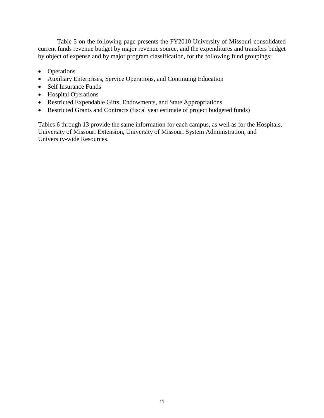Table 5 on the following page presents the FY2010 University of Missouri consolidated current funds revenue budget by major revenue source, and the expenditures and transfers budget by object of expense and by major program classification, for the following fund groupings:

- Operations
- Auxiliary Enterprises, Service Operations, and Continuing Education
- Self Insurance Funds
- Hospital Operations
- Restricted Expendable Gifts, Endowments, and State Appropriations
- Restricted Grants and Contracts (fiscal year estimate of project budgeted funds)

Tables 6 through 13 provide the same information for each campus, as well as for the Hospitals, University of Missouri Extension, University of Missouri System Administration, and University-wide Resources.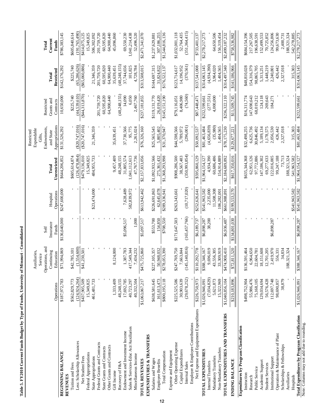|                                                           |                              | Auxiliaries,                       |                    |                                |                             | Expendable<br>Restricted    |                           |                           |                               |
|-----------------------------------------------------------|------------------------------|------------------------------------|--------------------|--------------------------------|-----------------------------|-----------------------------|---------------------------|---------------------------|-------------------------------|
|                                                           |                              | Service                            |                    |                                |                             | Gifts,                      |                           |                           |                               |
|                                                           |                              | Operations, and                    | Self               |                                |                             | Endowments,                 | Restricted                |                           | Total                         |
|                                                           | Operations                   | Continuing<br>Education            | Insurance<br>Funds | Operations<br>Hospital         | Unrestricted<br>Total       | Appropriations<br>and State | Grants and<br>Contracts   | Restricted<br>Total       | Current<br>Funds              |
| <b>BEGINNING BALANCE</b><br><b>REVENUES</b>               | \$187,972,783                | \$71,994,069                       | \$136,640,000      | \$247,600,000                  | \$644,206,852               | \$131,526,292               | 10,650,000                | \$142,176,292             | \$786,383,145                 |
| Tuition and Fees                                          | \$562,829,773                | \$42,785,101                       |                    |                                | \$605,614,874               |                             | \$225,740                 | \$225,740                 | \$605,840,614                 |
| Less: Scholarship Allowances                              | (124, 924, 264)              | (1,554,600)                        |                    |                                | (126, 478, 864)             | (\$20,747,016)              | (44, 539, 610)            | (65, 286, 626)            | (191, 765, 490)               |
| Net Student Fees                                          | \$437,905,509                | \$41,230,501                       |                    |                                | \$479,136,010               | $(\$20,747,016)$            | $(*44,313,870)$           | ( \$65,060,886)           | \$414,075,125                 |
| Federal Appropriations                                    | 15,349,825                   |                                    |                    |                                | 15,349,825                  |                             |                           |                           | 15,349,825                    |
| State Appropriations                                      | 461,481,733                  |                                    |                    | \$23,474,000                   | 484,955,733                 | 21,346,359                  |                           | 21,346,359                | 506,302,092                   |
| Federal Grants and Contracts                              |                              |                                    |                    |                                |                             |                             | 201,759,720               | 201,759,720               | 201,759,720                   |
| State Grants and Contracts                                |                              |                                    |                    |                                |                             |                             | 60,595,820                | 60,595,820                | 60,595,820                    |
| Other Grants and Contracts                                |                              |                                    |                    |                                |                             |                             | 64,900,440                | 64,900,440                | 64,900,440                    |
| Gift Income                                               | 1,333,409                    | 8,124,000                          |                    |                                | 9,457,409                   | 35,639,451                  |                           | 35,639,451                | 45,096,860                    |
| Recovery of F&A                                           | 48,248,155                   |                                    |                    |                                | 48,248,155                  |                             | (48, 248, 155)            | (48,248,155)              |                               |
| Endowment and Investment Income                           | 17,692,785                   | 1,387,783                          | \$5,096,517        | 7,628,489                      | 31,805,574                  | 37,730,566                  | 14,090                    | 37,744,656                | 69,550,230                    |
| Sales & Services-Educ Act/Auxiliaries                     | 40,723,297                   | 7,549,344<br>₹                     |                    | 582,839,972                    | 1,041,112,613               | 95,775                      | 6,050                     | 101,825                   | 1,041,214,438                 |
| Miscellaneous Income                                      | 40,332,504                   | 7,434,232                          | 1,000              |                                | 47,767,736                  | 2,261,024                   | 2,467,760                 | 4,728,784                 | 52,496,520                    |
| TOTAL REVENUES                                            | \$1,063,067,217              | 5,725,860<br>\$47.                 | \$5,097,517        | \$613,942,462                  | \$2,157,833,056             | \$76,326,160                | \$237,181,855             | \$313,508,015             | \$2,471,341,070               |
| EXPENDITURES & TRANSFERS                                  |                              |                                    |                    |                                |                             |                             |                           |                           |                               |
| Salaries and Wages                                        | \$638,581,645                | \$227,105,357                      | \$553,700          | \$226,691,863                  | \$1,092,932,566             | \$25,565,545                | \$119,131,770             | \$144,697,315             | \$1,237,629,881               |
| Employee Benefits                                         | 161,613,473                  | 50,948,032                         | 154,850            | 62,645,078                     | 275,361,432                 | 5,805,402                   | 26,019,420                | 31,824,822                | 307,186,255                   |
| Total Compensation                                        | \$800,195,118                | 8,053,390<br>\$27                  | \$708,550          | \$289,336,941                  | \$1,368,293,998             | \$31,370,947                | \$145,151,190             | \$176,522,137             | \$1,544,816,136               |
| Expense and Equipment                                     |                              |                                    |                    |                                |                             |                             |                           |                           |                               |
| Other Operating Expense                                   | \$225,525,586                | \$247,769,750                      | \$171,647,503      | \$263,343,661                  | \$908,286,500               | \$44,598,566                | \$79,116,051              | \$123,714,617             | \$1,032,001,118               |
| Capital Expenditures<br>Internal Sales                    | (29, 678, 252)<br>30,903,639 | (145, 140, 816)<br>7,663,844       | (165, 457, 766)    | (10, 717, 020)                 | (350,993,854)<br>38,567,483 | (296,001)<br>5,789,972      | (74, 560)<br>8,406,980    | (370, 561)<br>14,196,952  | (351, 364, 415)<br>52,764,435 |
| Employer & Employee Contributions                         |                              |                                    |                    |                                |                             |                             |                           |                           |                               |
| Net Expense and Equipment Expenditures                    | \$226,750,973                | \$110,292,778                      | \$6,189,737        | \$252,626,641                  | \$595,860,129               | \$50,092,537                | \$87,448,471              | \$137,541,008             | \$733,401,137                 |
| TOTAL EXPENDITURES                                        | \$1,026,946,091              | \$388,346,167                      | \$6,898,287        | \$541,963,582                  | \$1,964,154,127             | \$81,463,484                | \$232,599,661             | \$314,063,145             | \$2,278,217,273               |
| Internal Transfers                                        | (7,034,829)                  | 9,696,019                          | 38,200             | 2,235,000                      | 4,934,390                   | (4,656,839)                 | (277,551)                 | (4,934,390)               |                               |
| Mandatory Transfers                                       | 5,621,873                    | 43,556,305                         |                    | 11,508,308                     | 60,686,486                  | (35,980)                    | 4,000,000                 | 3,964,020                 | 64,650,506                    |
| Non-Mandatory Transfers                                   | 15,322,969                   | 3,309,919<br>$\omega$              |                    | 106,282,001                    | 54,914,889                  | 1,404,565                   |                           | 1,404,565                 | 156,319,454                   |
| TOTAL EXPENDITURES AND TRANSFERS                          | \$1,040,856,104              | \$474,908,410                      | \$6,936,487        | \$661,988,891                  | \$2,184,689,892             | \$78,175,230                | \$236,322,110             | \$314,497,340             | \$2,499,187,232               |
| ENDING BALANCE                                            | \$210,183,896                | 2,811,520<br>$\tilde{\mathcal{E}}$ | \$134,801,030      | \$199,553,570                  | \$617,350,016               | \$129,677,221               | \$11,509,745              | \$141,186,966             | \$758,536,982                 |
| Expenditures by Program Classification                    |                              |                                    |                    |                                |                             |                             |                           |                           |                               |
| Instruction                                               | \$498,752,904                | \$136,591,464                      |                    |                                | \$635,344,368               | \$32,498,255                | \$16,311,774              | \$48,810,028              | \$684,154,396                 |
| Public Service<br>Research                                | 55,986,476<br>75,168,105     | 6,964,650<br>22,604,781            |                    |                                | 62,951,126<br>97,772,886    | 6,625,736<br>30,846,492     | 147,690,643<br>68,019,212 | 154,316,379<br>98,865,705 | 217,267,505<br>196,638,591    |
| Academic Support                                          | 129,034,694                  | 18,151,608                         |                    |                                | 147,186,302                 | 5,189,134                   | 124,118                   | 5,313,251                 | 152,499,553                   |
| <b>Student Services</b>                                   | 56,576,428                   | 12,701,205                         |                    |                                | 69,277,633                  | 1,178,575                   | 269,643                   | 1,448,219                 | 70,725,852                    |
| Institutional Support                                     | 112,697,748                  | 2,419,970                          | \$6,898,287        |                                | 22,016,005                  | 2,056,530                   | 184,271                   | 2,240,801                 | 124,256,806                   |
| Operation & Maintenance of Plant                          | 98,690,857                   | 556,331                            |                    |                                | 99,247,188                  | 426,442                     |                           | 426,442                   | 99,673,630                    |
| Scholarships & Fellowships                                | 38,879                       | 34,834                             |                    |                                | 73,713                      | 2,327,018                   |                           | 2,327,018                 | 2,400,731                     |
| Auxiliaries                                               |                              | 188,321,324                        |                    |                                | 188,321,324<br>541,963,582  | 315,303                     |                           | 315,303                   | 542,278,885<br>188,321,324    |
| Total Expenditures by Program Classification<br>Hospitals | \$1,026,946,091              | \$388,346,167                      | \$6,898,287        | \$541,963,582<br>\$541,963,582 | \$1,964,154,127             | \$81,463,484                | \$232,599,661             | \$314,063,145             | \$2,278,217,273               |
| Note: Columns may not add due to rounding.                |                              |                                    |                    |                                |                             |                             |                           |                           |                               |

Table 5. FY2010 Current Funds Budget by Type of Funds, University of Missouri - Consolidated **Table 5. FY2010 Current Funds Budget by Type of Funds, University of Missouri - Consolidated**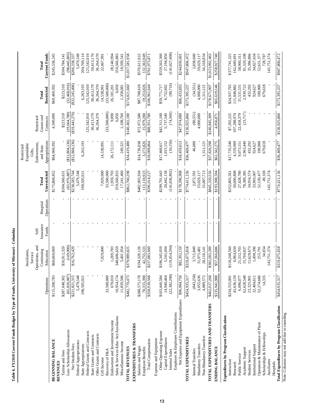|                                                                |                                 | Operations, and<br>Auxiliaries,<br>Continuing<br>Service | Insurance<br>Self | Hospital   | Total                        | Endowments,<br>Expendable<br>Restricted<br>and State<br>Gifts, | Grants and<br>Restricted   | Total                      | Total                        |
|----------------------------------------------------------------|---------------------------------|----------------------------------------------------------|-------------------|------------|------------------------------|----------------------------------------------------------------|----------------------------|----------------------------|------------------------------|
|                                                                | Operations                      | Education                                                | Funds             | Operations | Unrestricted                 | Appropriations                                                 | Contracts                  | Restricted                 | <b>Current Funds</b>         |
| <b>BEGINNING BALANCE</b>                                       | \$115,208,783                   | \$60,660,069                                             |                   |            | \$175,868,852                | \$64,969,392                                                   | 4,500,000                  | \$69,469,392               | \$245,338,245                |
| Tuition and Fees<br><b>REVENUES</b>                            | \$287,648,302                   | \$16,912,329                                             |                   |            | \$304,560,631                |                                                                | \$223,510                  | \$223,510                  | \$304,784,141                |
| Less: Scholarship Allowances                                   |                                 | (149,900)                                                |                   |            | (65,976,887)                 | (\$12,804,136)                                                 | (19,664,780)               | (32, 468, 916)             | (98, 445, 803)               |
| Net Student Fees                                               | $(65,826,987)$<br>\$221,821,315 | \$16,762,429                                             |                   |            | \$238,583,744                | $(\$12,804,136)$                                               | $(\$19,441,270)$           | $(\$32,245,406)$           | \$206,338,337                |
| Federal Appropriations                                         | 5,479,548                       |                                                          |                   |            | 5,479,548                    |                                                                |                            |                            | 5,479,548                    |
| State Appropriations                                           | 198,505,921                     |                                                          |                   |            | 198,505,921                  | 6,263,193                                                      |                            | 6,263,193                  | 204,769,114                  |
| Federal Grants and Contracts                                   |                                 |                                                          |                   |            |                              |                                                                | 125,542,010                | 125,542,010                | 125,542,010                  |
| State Grants and Contracts                                     |                                 |                                                          |                   |            |                              |                                                                | 30,413,170                 | 30,413,170                 | 30,413,170                   |
| Other Grants and Contracts                                     |                                 |                                                          |                   |            |                              |                                                                | 36,264,370                 | 36,264,370                 | 36,264,370                   |
| Gift Income                                                    |                                 | 7,929,000                                                |                   |            | 7,929,000                    | 14,538,991                                                     |                            | 14,538,991                 | 22,467,991                   |
| Recovery of F&A                                                | 33,500,000                      |                                                          |                   |            | 33,500,000                   |                                                                | (33,500,000)               | (33,500,000)               |                              |
| Endowment and Investment Income                                | 670,010                         | 1,289,783                                                |                   |            | 1,959,793                    | 26,172,111                                                     | 9,090                      | 26,181,201                 | 28,140,994                   |
| Sales & Services-Educ Act/Auxiliaries                          | 10,954,174                      | 348,606,659<br>5,401,954                                 |                   |            | 359,560,833<br>17,241,460    | 249,321                                                        | 6,050                      | 6,050                      | 359,566,883<br>18,599,541    |
| Miscellaneous Income                                           | 11,839,506                      |                                                          |                   |            |                              |                                                                | 1,108,760                  | 1,358,081                  |                              |
| TOTAL REVENUES                                                 | 70,473<br>\$482,7               | \$379,989,825                                            |                   |            | \$862,760,298                | \$34,419,480                                                   | \$140,402,180              | \$174,821,660              | \$1,037,581,958              |
| EXPENDITURES & TRANSFERS                                       |                                 |                                                          |                   |            |                              |                                                                |                            |                            |                              |
| Salaries and Wages<br>Employee Benefits                        | \$288,575,178<br>70,355,390     | \$194,328,126<br>42,755,533                              |                   |            | \$482,903,304<br>113,110,923 | \$14,736,038<br>3,273,826                                      | \$72,972,580<br>15,979,200 | \$87,708,618<br>19,253,026 | 132,363,949<br>\$570,611,922 |
|                                                                | \$358,930,568                   |                                                          |                   |            |                              |                                                                |                            |                            |                              |
| Total Compensation                                             |                                 | \$237,083,660                                            |                   |            | \$596,014,227                | \$18,009,864                                                   | \$88,951,780               | \$106,961,644              | \$702,975,871                |
| Other Operating Expense<br>Expense and Equipment               | \$103,446,584                   | \$196,345,059                                            |                   |            | \$299,791,643                | \$17,460,617                                                   | \$42,311,100               | \$59,771,717               | \$359,563,360                |
| Capital Expenditures                                           | 14,940,464                      | 5,501,694                                                |                   |            | 20,442,158                   | 1,015,152                                                      | 5,737,540                  | 6,752,692                  | 27,194,850                   |
| Internal Sales                                                 | (22, 382, 298)                  | (119, 454, 594)                                          |                   |            | (141, 836, 892)              | (16, 156)                                                      | (74,560)                   | (90,716)                   | (141, 927, 608)              |
| Employer & Employee Contributions                              |                                 |                                                          |                   |            |                              |                                                                |                            |                            |                              |
| Net Expense and Equipment Expenditures                         | 067,750<br>\$96,0               | \$82,392,159                                             |                   |            | 8178,396,808                 | \$18,459,613                                                   | 080'r46'458                | \$66,433,693               | \$244,830,601                |
| TOTAL EXPENDITURES                                             | \$454,935,317                   | \$319,475,818                                            |                   |            | \$774,411,136                | \$36,469,477                                                   | \$136,925,860              | \$173,395,337              | \$947,806,472                |
| Internal Transfers                                             | (843, 258)                      | 3,715,849                                                |                   |            | 2,872,591                    | 46,000                                                         | (80,551)                   | (34,551)                   | 2,838,040                    |
| Mandatory Transfers                                            | 3,055,636                       | 31,973,481                                               |                   |            | 35,029,117                   |                                                                | 4,000,000                  | 4,000,000                  | 39,029,117                   |
| Non-Mandatory Transfers                                        | 4,889,572                       | 28,118,141                                               |                   |            | 33,007,713                   | 1,311,121                                                      |                            | 1,311,121                  | 34,318,834                   |
| TOTAL EXPENDITURES AND TRANSFERS                               | \$462,037,268                   | \$383,283,289                                            |                   |            | \$845,320,556                | \$37,826,598                                                   | \$140,845,09               | \$178,671,907              | \$1,023,992,463              |
| <b>ENDING BALANCE</b>                                          | 886'176<br>\$135,9              | \$57,366,606                                             |                   |            | \$193,308,594                | \$61,562,275                                                   | 4,056,871                  | \$65,619,146               | \$258,927,740                |
| Expenditures by Program Classification                         |                                 |                                                          |                   |            |                              |                                                                |                            |                            |                              |
| Instruction                                                    | \$234,555,001                   | \$118,248,560                                            |                   |            | \$352,803,561                | \$17,735,540                                                   | \$7,202,225                | \$24,937,765               | \$377,741,325                |
| Research                                                       | 43,636,159                      | 6,964,650                                                |                   |            | 50,600,808                   | 4,559,909                                                      | 107,288,974                | 111,848,882                | 162,449,691                  |
| Public Service                                                 | 6,096,077                       | 21,332,703                                               |                   |            | 27,428,780                   | 9,073,151                                                      | 22,458,379                 | 31,531,531                 | 58,960,311                   |
| Academic Support                                               | 62,628,548                      | 15,760,837                                               |                   |            | 78,389,385                   | 2,963,440                                                      | (23,717)                   | 2,939,722                  | 81,329,108                   |
| <b>Student Services</b>                                        | 23,325,901                      | 1,628,673                                                |                   |            | 34,954,574                   | 432,292                                                        |                            | 432,292                    | 35,386,866                   |
| Institutional Support                                          | 32,404,611<br>52,274,686        | 1,498,396                                                |                   |            | 33,903,007<br>52,530,477     | 924,627                                                        |                            | 924,627                    | 34,827,634<br>52,631,377     |
| Operation & Maintenance of Plant<br>Scholarships & Fellowships | 14,335                          | 34,834<br>255,791                                        |                   |            | 49,169                       | 100,900<br>679,618                                             |                            | 100,900<br>679,618         | 728,787                      |
| Auxiliaries                                                    |                                 | 143,751,374                                              |                   |            | 143,751,374                  |                                                                |                            |                            | 143,751,374                  |
| Hospitals                                                      |                                 |                                                          |                   |            |                              |                                                                |                            |                            |                              |
| Total Expenditures by Program Classification                   | 135,317<br>\$454,               | \$319,475,818                                            |                   |            | \$774,411,136                | \$36,469,477                                                   | \$136,925,860              | \$173,395,337              | \$947,806,472                |
| Note: Columns may not add due to rounding.                     |                                 |                                                          |                   |            |                              |                                                                |                            |                            |                              |

Table 6. FY2010 Current Funds Budget by Type of Funds, University of Missouri - Columbia **Table 6. FY2010 Current Funds Budget by Type of Funds, University of Missouri - Columbia**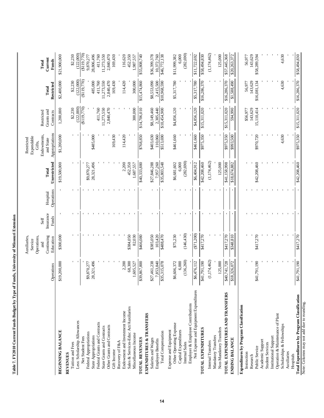|                                                                             |                           | Auxiliaries,<br>Service                       |                                   |                        |                           | Expendable<br>Restricted                             |                                       |                          |                            |
|-----------------------------------------------------------------------------|---------------------------|-----------------------------------------------|-----------------------------------|------------------------|---------------------------|------------------------------------------------------|---------------------------------------|--------------------------|----------------------------|
|                                                                             | Operations                | Continuing<br>Operations,<br>Education<br>and | Insurance<br><b>Funds</b><br>Self | Operations<br>Hospital | Unrestricted<br>Total     | Appropriations<br>Endowments,<br>and State<br>Gifts, | Grants and<br>Restricted<br>Contracts | Restricted<br>Total      | Current<br>Funds<br>Total  |
| <b>BEGINNING BALANCE</b>                                                    | \$19,200,000              | \$300,000                                     |                                   |                        | \$19,500,000              | \$1,200,000                                          | 1,200,000                             | \$2,400,000              | \$21,900,000               |
| <b>REVENUES</b>                                                             |                           |                                               |                                   |                        |                           |                                                      |                                       |                          |                            |
| Less: Scholarship Allowances<br>Tuition and Fees                            |                           |                                               |                                   |                        |                           |                                                      | (122,000)<br>\$2,230                  | (122,000)<br>\$2,230     | (122,000)<br>\$2,230       |
| Net Student Fees                                                            |                           |                                               |                                   |                        |                           |                                                      | (6119,770)                            | (6119,770)               | $($ \$119,770)             |
| Federal Appropriations                                                      | \$9,870,277               |                                               |                                   |                        | \$9,870,277               |                                                      |                                       |                          | 9,870,277                  |
| State Appropriations                                                        | 28,321,496                |                                               |                                   |                        | 28,321,496                | \$485,000                                            |                                       | 485,000                  | 28,806,496                 |
| Federal Grants and Contracts                                                |                           |                                               |                                   |                        |                           |                                                      | 411,760                               | 411,760                  | 411,760                    |
| Other Grants and Contracts<br>State Grants and Contracts                    |                           |                                               |                                   |                        |                           |                                                      | 11,273,550<br>2,840,470               | 11,273,550<br>2,840,470  | 11,273,550<br>2,840,470    |
| Gift Income                                                                 |                           |                                               |                                   |                        |                           | 169,430                                              |                                       | 169,430                  | 169,430                    |
| Recovery of F&A                                                             |                           |                                               |                                   |                        |                           |                                                      |                                       |                          |                            |
| Endowment and Investment Income                                             | 2,200                     |                                               |                                   |                        | 2,200                     | 114,420                                              |                                       | 114,420                  | 116,620                    |
| Sales & Services-Educ Act/Auxiliaries                                       | 68,300                    | \$384,050                                     |                                   |                        | 452,350                   |                                                      |                                       |                          | 452,350                    |
| Miscellaneous Income                                                        | 1,605,527                 | 82,030                                        |                                   |                        | 1,687,557                 |                                                      | 300,000                               | 300,000                  | 1,987,557                  |
| TOTAL REVENUES                                                              | \$39,867,800              | \$466,080                                     |                                   |                        | \$40,333,880              | \$768,850                                            | \$14,706,010                          | \$15,474,860             | \$55,808,740               |
| EXPENDITURES & TRANSFERS                                                    |                           |                                               |                                   |                        |                           |                                                      |                                       |                          |                            |
| Salaries and Wages<br><b>Employee Benefits</b>                              | \$27,461,238<br>7,853,840 | \$385,050<br>103,420                          |                                   |                        | \$27,846,288<br>7,957,260 | \$403,630<br>110,060                                 | 2,305,440<br>\$8,149,460              | \$8,553,090<br>2,415,500 | \$36,399,378<br>10,372,760 |
| <b>Total Compensation</b>                                                   | \$35,315,078              | \$488,470                                     |                                   |                        | \$35,803,548              | \$513,690                                            | \$10,454,000                          | \$10,968,590             | \$46,772,138               |
| Expense and Equipment                                                       |                           |                                               |                                   |                        |                           |                                                      |                                       |                          |                            |
| Other Operating Expense<br>Capital Expenditures                             | \$6,606,372<br>6,000      | \$75,230                                      |                                   |                        | 6,000<br>\$6,681,602      | \$461,660                                            | \$4,856,120                           | \$5,317,780              | 6,000<br>\$11,999,382      |
| Internal Sales                                                              | (136,260)                 | (146, 430)                                    |                                   |                        | (282, 690)                |                                                      |                                       |                          | (282, 690)                 |
| Net Expense and Equipment Expenditures<br>Employer & Employee Contributions | \$6,476,112               | (1, 200)                                      |                                   |                        | \$6,404,912               | \$461,660                                            | \$4,856,120                           | \$5,317,780              | \$11,722,692               |
|                                                                             |                           |                                               |                                   |                        |                           |                                                      |                                       |                          |                            |
| TOTAL EXPENDITURES                                                          | \$41,791,190              | \$417,270                                     |                                   |                        | \$42,208,460              | \$975,350                                            | \$15,311,020                          | \$16,286,370             | \$58,494,830               |
| Internal Transfers                                                          | (1, 174, 462)             |                                               |                                   |                        | (1, 174, 462)             |                                                      |                                       |                          | (1, 174, 462)              |
| Non-Mandatory Transfers<br>Mandatory Transfers                              | 125,000                   |                                               |                                   |                        | 125,000                   |                                                      |                                       |                          | 125,000                    |
| TOTAL EXPENDITURES AND TRANSFERS                                            | \$40,741,728              | \$417,270                                     |                                   |                        | \$41,158,998              | \$975,350                                            | \$15,311,020                          | \$16,286,370             | \$57,445,368               |
| <b>ENDING BALANCE</b>                                                       | \$18,326,072              | \$348,810                                     |                                   |                        | \$18,674,882              | \$993,500                                            | 594,990                               | \$1,588,490              | \$20,263,372               |
| Expenditures by Program Classification                                      |                           |                                               |                                   |                        |                           |                                                      |                                       |                          |                            |
| Instruction<br>Research                                                     |                           |                                               |                                   |                        |                           |                                                      | 143,629<br>\$56,977                   | 143,629<br>56,977        | 143,629<br>56,977          |
| Public Service                                                              | \$41,791,190              | \$417,270                                     |                                   |                        | \$42,208,460              | \$970,720                                            | 15,110,414                            | \$16,081,134             | \$58,289,594               |
| Academic Support                                                            |                           |                                               |                                   |                        |                           |                                                      |                                       |                          |                            |
| <b>Student Services</b>                                                     |                           |                                               |                                   |                        |                           |                                                      |                                       |                          |                            |
| Operation & Maintenance of Plant<br>Institutional Support                   |                           |                                               |                                   |                        |                           |                                                      |                                       |                          |                            |
| Scholarships & Fellowships                                                  |                           |                                               |                                   |                        |                           | 4,630                                                |                                       | 4,630                    | 4,630                      |
| Auxiliaries                                                                 |                           |                                               |                                   |                        |                           |                                                      |                                       |                          |                            |
| Hospitals                                                                   | \$41,791,190              | \$417.270                                     |                                   |                        | \$42,208,460              | \$975,350                                            | \$15,311,020                          | \$16,286,370             | \$58,494,830               |
| Total Expenditures by Program Classification                                |                           |                                               |                                   |                        |                           |                                                      |                                       |                          |                            |

**Table 7. FY2010 Current Funds Budget by Type of Funds, University of Missouri Extension**

Table 7. FY2010 Current Funds Budget by Type of Funds, University of Missouri Extension

Note: Columns may not add due to rounding. Note: Columns may not add due to rounding.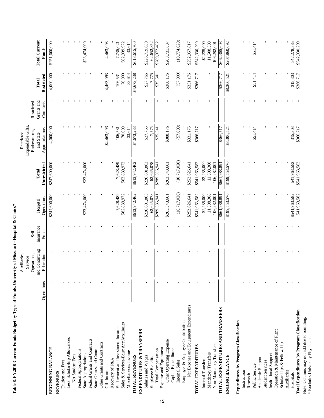|                                                           |            | Auxiliaries,                |                           |                        |                       | Restricted                       |                         |                     |                                      |
|-----------------------------------------------------------|------------|-----------------------------|---------------------------|------------------------|-----------------------|----------------------------------|-------------------------|---------------------|--------------------------------------|
|                                                           |            | Operations,<br>Service      | Self                      |                        |                       | Expendable Gifts,<br>Endowments, | Restricted              |                     |                                      |
|                                                           | Operations | and Continuing<br>Education | Insurance<br><b>Funds</b> | Operations<br>Hospital | Unrestricted<br>Total | Appropriations<br>and State      | Grants and<br>Contracts | Restricted<br>Total | <b>Total Current</b><br><b>Funds</b> |
| <b>BEGINNING BALANCE</b>                                  |            |                             |                           | \$247,600,000          | \$247,600,000         | 4,000,000                        |                         | 4,000,000           | \$251,600,000                        |
| <b>REVENUES</b>                                           |            |                             |                           |                        |                       |                                  |                         |                     |                                      |
| Tuition and Fees                                          |            |                             |                           |                        |                       |                                  |                         |                     |                                      |
| Less: Scholarship Allowances                              |            |                             |                           |                        |                       |                                  |                         |                     |                                      |
| Net Student Fees                                          |            |                             |                           |                        |                       |                                  |                         |                     |                                      |
| Federal Appropriations                                    |            |                             |                           |                        |                       |                                  |                         |                     |                                      |
| State Appropriations                                      |            |                             |                           | \$23,474,000           | \$23,474,000          |                                  |                         |                     | \$23,474,000                         |
| Federal Grants and Contracts                              |            |                             |                           |                        |                       |                                  |                         |                     |                                      |
| State Grants and Contracts                                |            |                             |                           |                        |                       |                                  |                         |                     |                                      |
| Other Grants and Contracts                                |            |                             |                           |                        |                       |                                  |                         |                     |                                      |
| Gift Income                                               |            |                             |                           |                        |                       | \$4,463,093                      |                         | 4,463,093           | 4,463,093                            |
| Recovery of F&A                                           |            |                             |                           |                        |                       |                                  |                         |                     |                                      |
| Endowment and Investment Income                           |            |                             |                           | 7,628,489              | 7,628,489             | 106,531                          |                         | 106,531             | 7,735,021                            |
| Sales & Services-Educ Act/Auxiliaries                     |            |                             |                           | 582,839,972            | 582,839,972           | 70,000                           |                         | 70,000              | 582,909,972                          |
| Miscellaneous Income                                      |            |                             |                           |                        |                       | 33,614                           |                         | 33,614              | 33,614                               |
| TOTAL REVENUES                                            |            |                             |                           | \$613,942,462          | \$613,942,462         | \$4,673,238                      |                         | \$4,673,238         | \$618,615,700                        |
| EXPENDITURES & TRANSFERS                                  |            |                             |                           |                        |                       |                                  |                         |                     |                                      |
| Salaries and Wages                                        |            |                             |                           | \$226,691,863          | \$226,691,863         |                                  |                         |                     | \$226,719,630                        |
|                                                           |            |                             |                           |                        |                       | \$27,766                         |                         | \$27,766            |                                      |
| <b>Employee Benefits</b>                                  |            |                             |                           | 62,645,078             | 62,645,078            | 7,775                            |                         | 7,775               | 62,652,852                           |
| <b>Expense and Equipment</b><br><b>Total Compensation</b> |            |                             |                           | \$289,336,941          | \$289,336,941         | \$35,541                         |                         | \$35,541            | \$289,372,482                        |
| Other Operating Expense                                   |            |                             |                           | \$263,343,661          | \$263,343,661         | \$388,176                        |                         | \$388,176           | \$263,731,837                        |
| Capital Expenditures                                      |            |                             |                           |                        |                       |                                  |                         |                     |                                      |
| Internal Sales                                            |            |                             |                           | (10, 717, 020)         | (10, 717, 020)        | (57,000)                         |                         | (57,000)            | (10,774,020)                         |
| Employer & Employee Contributions                         |            |                             |                           |                        |                       |                                  |                         |                     |                                      |
| Net Expense and Equipment Expenditures                    |            |                             |                           | \$252,626,641          | \$252,626,641         | \$331,176                        |                         | \$31,176            | \$252,957,817                        |
| TOTAL EXPENDITURES                                        |            |                             |                           | \$541,963,582          | \$541,963,582         | \$366,717                        |                         | \$366,717           | \$542,330,299                        |
|                                                           |            |                             |                           |                        |                       |                                  |                         |                     |                                      |
| Internal Transfers                                        |            |                             |                           | \$2,235,000            | \$2,235,000           |                                  |                         |                     | \$2,235,000                          |
| Mandatory Transfers                                       |            |                             |                           | 11,508,308             | 11,508,308            |                                  |                         |                     | 11,508,308                           |
| Non-Mandatory Transfers                                   |            |                             |                           | 106,282,001            | 106,282,001           |                                  |                         |                     | 106,282,001                          |
| TOTAL EXPENDITURES AND TRANSFERS                          |            |                             |                           | 168,886,199\$          | \$661,988,891         | \$366,717                        |                         | \$366,717           | \$662,355,608                        |
| <b>ENDING BALANCE</b>                                     |            |                             |                           | \$199,553,570          | \$199,553,570         | \$8,306,521                      |                         | \$8,306,521         | \$207,860,092                        |
| Expenditures by Program Classification                    |            |                             |                           |                        |                       |                                  |                         |                     |                                      |
| Instruction                                               |            |                             |                           |                        |                       |                                  |                         |                     |                                      |
| Research                                                  |            |                             |                           |                        |                       |                                  |                         |                     |                                      |
| Public Service                                            |            |                             |                           |                        |                       | \$51,414                         |                         | \$51,414            | \$51,414                             |
| Academic Support                                          |            |                             |                           |                        |                       |                                  |                         |                     |                                      |
| <b>Student Services</b>                                   |            |                             |                           |                        |                       |                                  |                         |                     |                                      |
| Institutional Support                                     |            |                             |                           |                        |                       |                                  |                         |                     |                                      |
| Operation & Maintenance of Plant                          |            |                             |                           |                        |                       |                                  |                         |                     |                                      |
| Scholarships & Fellowships                                |            |                             |                           |                        |                       |                                  |                         |                     |                                      |
| Auxiliaries                                               |            |                             |                           |                        |                       |                                  |                         |                     |                                      |
| Hospitals                                                 |            |                             |                           | \$541,963,582          | 541,963,582           | 315,303                          |                         | 315,303             | 542,278,885                          |
| <b>Total Expenditures by Program Classification</b>       |            |                             |                           | 541,963,582            | \$541,963,582         | \$366,717                        |                         | \$366,717           | \$542,330,299                        |

Table 8. FY2010 Current Funds Budget by Type of Funds, University of Missouri - Hospital & Clinics\* **Table 8. FY2010 Current Funds Budget by Type of Funds, University of Missouri - Hospital & Clinics\***

Note: Columns may not add due to rounding.

Note: Columns may not add due to rounding.<br>  $\ast$  Excludes University Physicians

\* Excludes University Physicians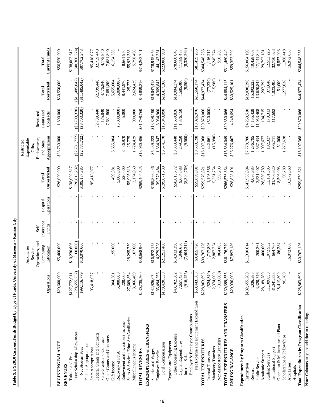| Table 9. FY2010 Current Funds Budget by Type of Funds, | Operations                | University of Missouri - Kansas City<br>Operations, and<br>Auxiliaries,<br>Continuing<br>Education<br>Service | Insurance<br>Funds<br>Self | Operations<br>Hospital | Unrestricted<br>$_{\rm Total}$ | Appropriations<br>Endowments<br>Expendable<br>Restricted<br>and State<br>Gitts, | Grants and<br>Restricted<br>Contracts | Restricted<br>Total | <b>Current Funds</b><br>Total |
|--------------------------------------------------------|---------------------------|---------------------------------------------------------------------------------------------------------------|----------------------------|------------------------|--------------------------------|---------------------------------------------------------------------------------|---------------------------------------|---------------------|-------------------------------|
| <b>BEGINNING BALANCE</b>                               | \$20,600,000              | \$5,400,000                                                                                                   |                            |                        | \$26,000,000                   | \$28,750,000                                                                    | 1,800,000                             | \$30,550,000        | \$56,550,000                  |
| <b>REVENUES</b>                                        |                           |                                                                                                               |                            |                        |                                |                                                                                 |                                       |                     |                               |
| Tuition and Fees                                       | \$127,772,011             | \$10,230,606                                                                                                  |                            |                        | \$138,002,617                  |                                                                                 |                                       |                     | \$138,002,617                 |
| Less: Scholarship Allowances                           | (28, 655, 232)            | (160,000)                                                                                                     |                            |                        | (28, 815, 232)                 | (S2, 781, 722)                                                                  | ( \$8, 703, 320)                      | $(\$11,485,042)$    | (40,300,274)                  |
| Net Student Fees                                       | \$99,116,779              | \$10,070,606                                                                                                  |                            |                        | \$109,187,385                  | (S2, 781, 722)                                                                  | ( \$8,703,320)                        | $(\$11,485,042)$    | \$97,702,343                  |
| Federal Appropriations                                 | 8,077<br>95,41            |                                                                                                               |                            |                        | 95,418,077                     |                                                                                 |                                       |                     | 95,418,077                    |
| Federal Grants and Contracts<br>State Appropriations   |                           |                                                                                                               |                            |                        |                                |                                                                                 | 32,739,440                            | 32,739,440          | 32,739,440                    |
| State Grants and Contracts                             |                           |                                                                                                               |                            |                        |                                |                                                                                 | 4,175,840                             | 4,175,840           | 4,175,840                     |
| Other Grants and Contracts                             |                           |                                                                                                               |                            |                        |                                |                                                                                 | 7,681,800                             | 7,681,800           | 7,681,800                     |
| Gift Income                                            | 304,381                   | 195,000                                                                                                       |                            |                        | 499,381                        | 5,655,004                                                                       |                                       | 5,655,004           | 6,154,385                     |
| Recovery of F&A                                        | 5,000,000                 |                                                                                                               |                            |                        | 5,000,000                      |                                                                                 | (5,000,000)                           | (5,000,000)         |                               |
| Endowment and Investment Income                        | 220,000                   |                                                                                                               |                            |                        | 220,000                        | 8,436,970                                                                       | 5,000                                 | 8,441,970           | 8,661,970                     |
| Sales & Services-Educ Act/Auxiliaries                  | 27,609,854                | 28,295,759                                                                                                    |                            |                        | 55,905,613                     | 25,775                                                                          |                                       | 25,775              | 55,931,388                    |
| Miscellaneous Income                                   | 3,066,469                 | 107,600                                                                                                       |                            |                        | 3,174,069                      | 1,724,429                                                                       | 900,000                               | 2,624,429           | 5,798,498                     |
| <b>TOTAL REVENUES</b>                                  | \$230,735,560             | \$38,668,965                                                                                                  |                            |                        | \$269,404,525                  | \$13,060,456                                                                    | \$31,798,760                          | \$44,859,216        | \$314,263,741                 |
| EXPENDITURES & TRANSFERS                               |                           |                                                                                                               |                            |                        |                                |                                                                                 |                                       |                     |                               |
| Salaries and Wages                                     | \$142,926,074             | \$16,972,172                                                                                                  |                            |                        | \$159,898,246                  | \$5,239,223                                                                     | \$13,808,190                          | \$19,047,413        | \$178,945,659                 |
| Employee Benefits                                      | 35,494,256                | 4,279,228                                                                                                     |                            |                        | 39,773,484                     | 1,334,947                                                                       | 3,034,900                             | 4,369,847           | 44,143,331                    |
| Total Compensation                                     | \$178,420,330             | \$21,251,400                                                                                                  |                            |                        | \$199,671,730                  | \$6,574,170                                                                     | \$16,843,090                          | \$23,417,260        | \$223,088,990                 |
| Expense and Equipment                                  |                           |                                                                                                               |                            |                        |                                |                                                                                 |                                       |                     |                               |
| Other Operating Expense                                | \$43,702,382              | \$14,913,390                                                                                                  |                            |                        | \$58,615,772                   | \$8,333,448                                                                     | \$11,650,826                          | \$19,984,274        | \$78,600,046                  |
| Capital Expenditures                                   | 7,657,438                 | 1,946,650                                                                                                     |                            |                        | 9,604,088                      | 209,250                                                                         | 1,376,150                             | 1,585,400           | 11,189,488                    |
| Employer & Employee Contributions<br>Internal Sales    | (916, 455)                | (7,404,314)                                                                                                   |                            |                        | (8,320,769)                    | (9,500)                                                                         |                                       | (9,500)             | (8,330,269)                   |
| Net Expense and Equipment Expenditures                 | \$50,443,365              | \$9,455,726                                                                                                   |                            |                        | \$59,899,091                   | \$8,533,198                                                                     | \$13,026,976                          | \$21,560,174        | \$81,459,265                  |
| TOTAL EXPENDITURES                                     | \$228,863,695             | \$30,707,126                                                                                                  |                            |                        | \$259,570,821                  | 815,107,368                                                                     | 829,870,066                           | \$44,977,434        | \$304,548,255                 |
| Internal Transfers                                     | (524,340)                 | 1,717,896                                                                                                     |                            |                        | 1,193,556                      | 442,661                                                                         | (520,000)                             | (77, 339)           | 1,116,217                     |
| Mandatory Transfers                                    | 2,374,000                 | 2,887,754                                                                                                     |                            |                        | 5,261,754                      | (15,980)                                                                        |                                       | (15,980)            | 5,245,774                     |
| Non-Mandatory Transfers                                | 3,800)<br>$\overline{31}$ | 864,003                                                                                                       |                            |                        | 550,203                        |                                                                                 |                                       |                     | 550,203                       |
| TOTAL EXPENDITURES AND TRANSFERS                       | \$230,399,555             | \$36,176,779                                                                                                  |                            |                        | \$266,576,334                  | \$15,534,049                                                                    | \$29,350,066                          | \$44,884,115        | \$311,460,449                 |
| <b>ENDING BALANCE</b>                                  | \$20,936,005              | \$7,892,186                                                                                                   |                            |                        | \$28,828,19                    | \$26,276,407                                                                    | 4,248,694                             | \$30,525,101        | \$59,353,292                  |
| Expenditures by Program Classification                 |                           |                                                                                                               |                            |                        |                                |                                                                                 |                                       |                     |                               |
| Instruction                                            | \$132,655,280             | \$11,310,614                                                                                                  |                            |                        | \$143,965,894                  | \$7,778,786                                                                     | \$4,259,510                           | \$12,038,296        | \$156,004,190                 |
| Research                                               | 4,036,385                 |                                                                                                               |                            |                        | 4,036,385                      | 1,236,795                                                                       | 14,155,428                            | 15,392,223          | 19,428,608                    |
| Public Service                                         | 3,320,746                 | 200,261                                                                                                       |                            |                        | 3,521,007                      | 2,567,434                                                                       | 11,053,408                            | 13,620,842          | 17,141,849                    |
| Academic Support                                       | 28,189,789                | 400,000                                                                                                       |                            |                        | 28,589,789                     | 1,097,677                                                                       | 104,715                               | 1,202,392           | 29,792,181                    |
| <b>Student Services</b>                                | 11,109,053                | 1,072,532                                                                                                     |                            |                        | 12,181,585                     | 192,327                                                                         | 179,313                               | 371,640             | 12,553,225                    |
| Institutional Support                                  | 31,041,853                | 664,767                                                                                                       |                            |                        | 31,706,620                     | 905,711                                                                         | 117,692                               | 1,023,403           | 32,730,023                    |
| Operation & Maintenance of Plant                       | 18,419,809<br>90,780      | 86,284                                                                                                        |                            |                        | 18,506,093                     | 51,000                                                                          |                                       | 51,000              | 18,557,093                    |
| Scholarships & Fellowships<br>Auxiliaries              |                           | 16,972,668                                                                                                    |                            |                        | 90,780<br>16,972,668           | 1,277,638                                                                       |                                       | 1,277,638           | 1,368,418<br>16,972,668       |
| Hospitals                                              |                           |                                                                                                               |                            |                        |                                |                                                                                 |                                       |                     |                               |
| Total Expenditures by Program Classification           | \$228,863,695             | \$30,707,126                                                                                                  |                            |                        | \$259,570,821                  | \$15,107,368                                                                    | \$29,870,066                          | \$44,977,434        | \$304,548,255                 |
|                                                        |                           |                                                                                                               |                            |                        |                                |                                                                                 |                                       |                     |                               |

Note: Columns may not add due to rounding. Note: Columns may not add due to rounding.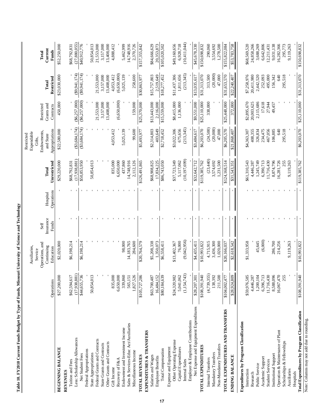|                                                |                          | Auxiliaries,               |                    |                        |                             | Expendable<br>Restricted    |                         |                        |                             |
|------------------------------------------------|--------------------------|----------------------------|--------------------|------------------------|-----------------------------|-----------------------------|-------------------------|------------------------|-----------------------------|
|                                                |                          | Operations, and<br>Service | Self               |                        |                             | Endowments,<br>Gifts.       | Restricted              |                        | Total                       |
|                                                | Operations               | Continuing<br>Education    | Insurance<br>Funds | Operations<br>Hospital | Unrestricted<br>Total       | Appropriations<br>and State | Grants and<br>Contracts | Restricted<br>Total    | Current<br>Funds            |
| <b>BEGINNING BALANCE</b>                       | \$27,200,000             | \$2,020,000                |                    |                        | \$29,220,000                | \$22,580,000                | 450,000                 | \$23,030,000           | \$52,250,000                |
| <b>REVENUES</b>                                |                          |                            |                    |                        |                             |                             |                         |                        |                             |
| Tuition and Fees                               | \$62,594,61              | \$6,198,214                |                    |                        | \$68,792,831                |                             |                         |                        | \$68,792,831                |
| Less: Scholarship Allowances                   | (17,938,881)             |                            |                    |                        | (17,938,881)                | (\$3,684,174)               | $(\$6,257,000)$         | (89,941,174)           | (27,880,055)                |
| Net Student Fees                               | \$44,655,736             | \$6,198,214                |                    |                        | \$50,853,950                | (\$3,684,174)               | ( \$6,257,000)          | (89,941,174)           | \$40,912,776                |
| Federal Appropriations<br>State Appropriations | 50,854,013               |                            |                    |                        | 50,854,013                  |                             |                         |                        | 50,854,013                  |
| Federal Grants and Contracts                   |                          |                            |                    |                        |                             |                             | 21,553,000              | 21,553,000             | 21,553,000                  |
| State Grants and Contracts                     |                          |                            |                    |                        |                             |                             | 3,157,000               | 3,157,000              | 3,157,000                   |
| Other Grants and Contracts                     |                          |                            |                    |                        |                             |                             | 13,408,000              | 13,408,000             | 13,408,000                  |
| Gift Income                                    | 835,000                  |                            |                    |                        | 835,000                     | 4,053,412                   |                         | 4,053,412              | 4,888,412                   |
| Recovery of F&A                                | 6,650,00                 |                            |                    |                        | 6,650,000                   |                             | (6,650,000)             | (6,650,000)            |                             |
| Endowment and Investment Income                | 339,860                  | 98,000                     |                    |                        | 437,860                     | 5,025,139                   |                         | 5,025,139              | 5,462,999                   |
| Sales & Services-Educ Act/Auxiliaries          | 565,151                  | 14,183,765                 |                    |                        | 14,748,916                  |                             |                         |                        | 14,748,916                  |
| Miscellaneous Income                           | 1,827,526                | 284,600                    |                    |                        | 2,112,126                   | 99,600                      | 159,000                 | 258,600                | 2,370,726                   |
| TOTAL REVENUES                                 | \$105,727,286            | \$20,764,579               |                    |                        | \$126,491,865               | \$5,493,977                 | \$25,370,000            | \$30,863,977           | \$157,355,842               |
| EXPENDITURES & TRANSFERS                       |                          |                            |                    |                        |                             |                             |                         |                        |                             |
| Salaries and Wages                             | \$63,700,48              | \$5,208,338                |                    |                        | \$68,908,825                | \$2,314,803                 | \$13,443,000            | \$15,757,803           | \$84,666,629                |
| <b>Employee Benefits</b>                       | 16,484,152               | 1.350.073                  |                    |                        | 17,834,225                  | 403.649                     | 2.116.000               | 2,519,649              | 20.353.873                  |
| Total Compensation                             | \$80,184,639             | \$6,558,411                |                    |                        | \$86,743,050                | \$2,718,452                 | \$15,559,000            | \$18,277,452           | \$105,020,502               |
| Expense and Equipment                          |                          |                            |                    |                        |                             |                             |                         |                        |                             |
| Other Operating Expense                        | \$24,320,982             | \$13,402,367               |                    |                        | \$37,723,349                | \$3,022,306                 | \$8,415,000             | \$11,437,306           | \$49,160,656                |
| Capital Expenditures<br>Internal Sales         | (1,154,743)<br>5,041,062 | (9,042,956)<br>76,000      |                    |                        | (10, 197, 699)<br>5,117,062 | (213,345)<br>675,656        | 1,136,000               | (213,345)<br>1,811,656 | (10, 411, 044)<br>6,928,718 |
| Employer & Employee Contributions              |                          |                            |                    |                        |                             |                             |                         |                        |                             |
| Net Expense and Equipment Expenditures         | \$28,207,301             | \$4,435,411                |                    |                        | \$32,642,712                | \$3,484,617                 | \$9,551,000             | \$13,035,617           | \$45,678,330                |
| TOTAL EXPENDITURES                             |                          | \$10,993,822               |                    |                        |                             |                             | \$25,110,000            |                        | \$150,698,832               |
|                                                | \$108,391,940            |                            |                    |                        | \$119,385,762               | \$6,203,070                 |                         | \$31,313,070           |                             |
| Internal Transfers                             | (4, 739, 355)            | 4,715,915                  |                    |                        | (23, 440)                   | (24,500)                    | 338,000                 | 313,500                | 290,060                     |
| Mandatory Transfers                            | 138,392                  | 3,436,300<br>1,020,000     |                    |                        | 3,574,692                   | (20,000)<br>47,000          |                         | (20,000)<br>47,000     | 3,554,692                   |
| Non-Mandatory Transfers                        | 211,500                  |                            |                    |                        | 1,231,500                   |                             |                         |                        | 1,278,500                   |
| TOTAL EXPENDITURES AND TRANSFERS               | \$104,002,477            | \$20,166,037               |                    |                        | \$124,168,514               | \$6,205,570                 | \$25,448,000            | \$31,653,570           | \$155,822,084               |
| ENDING BALANCE                                 | \$28,924,809             | \$2,618,542                |                    |                        | \$31,543,351                | \$21,868,407                | 372,000                 | \$22,240,407           | \$53,783,758                |
| Expenditures by Program Classification         |                          |                            |                    |                        |                             |                             |                         |                        |                             |
| Instruction                                    | \$59,976,58              | \$1,333,958                |                    |                        | \$61,310,543                | \$4,363,307                 | \$2,895,670             | \$7,258,976            | \$68,569,520                |
| Research                                       | 4,446,287                |                            |                    |                        | 4,446,287                   | 408,355                     | 20,003,625              | 20,411,980             | 24,858,266                  |
| Public Service                                 | 1,200,104                | 45,645                     |                    |                        | 1,245,749                   | 326,834                     | 2,115,686               | 2,442,520              | 3,688,269                   |
| Academic Support                               | 6,396,713                | (6,000)                    |                    |                        | 6,390,713                   | 234,475                     | 17,618                  | 252,093                | 6,642,806                   |
| <b>Student Services</b>                        | 11,716,430               |                            |                    |                        | 1,716,430                   | 467,056                     | 27,944                  | 495,000                | 12,211,431                  |
| Institutional Support                          | 8,588,096                | 286,700                    |                    |                        | 8,874,796                   | 106,885                     | 49,457                  | 156,342                | 9,031,138                   |
| Operation & Maintenance of Plant               | 16,067,470               | 214,256                    |                    |                        | 16,281,726                  | $\frac{6}{3}$               |                         | 640                    | 16,282,366                  |
| Scholarships & Fellowships                     | 255                      |                            |                    |                        |                             | 295,518                     |                         | 295,518                | 295,773                     |
| Auxiliaries                                    |                          | 9,119,263                  |                    |                        | 9,119,263                   |                             |                         |                        | 9,119,263                   |
| Hospitals                                      |                          |                            |                    |                        |                             |                             |                         |                        |                             |
| Total Expenditures by Program Classification   | \$108,391,940            | \$10,993,822               |                    |                        | \$119,385,762               | \$6,203,070                 | \$25,110,000            | \$31,313,070           | \$150,698,832               |

Note: Columns may not add due to rounding.

Note: Columns may not add due to rounding.

Table 10. FY2010 Current Funds Budget by Type of Funds, Missouri University of Science and Technology **Table 10. FY2010 Current Funds Budget by Type of Funds, Missouri University of Science and Technology**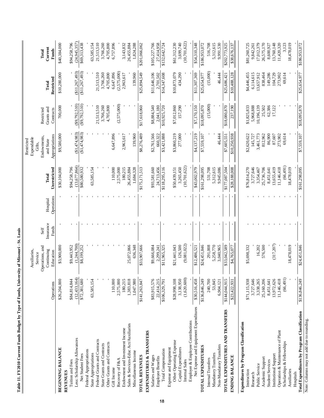|                                              | Operations               | Operations, and<br>Continuing<br>Auxiliaries,<br>Education<br>Service | Insurance<br>Funds<br>Self | Operations<br>Hospital | Unrestricted<br>Total       | Appropriations<br>Endowments,<br>Expendable<br>Restricted<br>and State<br>Gifts, | Grants and<br>Restricted<br>Contracts | Restricted<br>Total    | Current<br>Funds<br>Total   |
|----------------------------------------------|--------------------------|-----------------------------------------------------------------------|----------------------------|------------------------|-----------------------------|----------------------------------------------------------------------------------|---------------------------------------|------------------------|-----------------------------|
| <b>BEGINNING BALANCE</b>                     | \$26,204,000             | \$3,900,000                                                           |                            |                        | \$30,104,000                | \$9,580,000                                                                      | 700,000                               | \$10,280,000           | \$40,384,000                |
| Tuition and Fees<br><b>REVENUES</b>          | \$84,814,844             | \$9,443,952                                                           |                            |                        | \$94,258,796                |                                                                                  |                                       |                        | \$94,258,796                |
| Less: Scholarship Allowances                 | (12, 433, 164)           | (1,244,700)                                                           |                            |                        | (13,677,864)                | (\$1,474,983)                                                                    | (9,792,510)                           | (\$11,267,493)         | (24,945,357)                |
| Net Student Fees                             | \$72,381,680             | \$8,199,252                                                           |                            |                        | \$80,580,932                | (1,474,983)                                                                      | $(\$9,792,510)$                       | (\$11,267,493)         | \$69,313,438                |
| Federal Appropriations                       |                          |                                                                       |                            |                        |                             |                                                                                  |                                       |                        |                             |
| State Appropriations                         | 63,585,154               |                                                                       |                            |                        | 63,585,154                  |                                                                                  |                                       |                        | 63,585,154                  |
| Federal Grants and Contracts                 |                          |                                                                       |                            |                        |                             |                                                                                  | 21,513,510                            | 21,513,510             | 21,513,510                  |
| State Grants and Contracts                   |                          |                                                                       |                            |                        |                             |                                                                                  | 3,766,260                             | 3,766,260              | 3,766,260                   |
| Other Grants and Contracts<br>Gift Income    | 110,000                  |                                                                       |                            |                        | 110,000                     | 6,647,896                                                                        | 4,705,800                             | 4,705,800<br>6,647,896 | 4,705,800<br>6,757,896      |
| Recovery of F&A                              | 2,575,000                |                                                                       |                            |                        | 2,575,000                   |                                                                                  | (2,575,000)                           | (2,575,000)            |                             |
| Endowment and Investment Income              | 180,215                  |                                                                       |                            |                        | 180,215                     | 2,963,617                                                                        |                                       | 2,963,617              | 3,143,832                   |
| Sales & Services-Educ Act/Auxiliaries        | 1,383,818                | 25,072,066                                                            |                            |                        | 26,455,884                  |                                                                                  |                                       |                        | 26,455,884                  |
| Miscellaneous Income                         | 1,047,980                | 636,348                                                               |                            |                        | 1,684,328                   | 139,960                                                                          |                                       | 139,960                | 1,824,288                   |
| TOTAL REVENUES                               | \$141,263,847            | \$33,907,666                                                          |                            |                        | \$175,171,513               | \$8,276,489                                                                      | \$17,618,060                          | \$25,894,549           | \$201,066,062               |
| EXPENDITURES & TRANSFERS                     |                          |                                                                       |                            |                        |                             |                                                                                  |                                       |                        |                             |
| Salaries and Wages                           | \$83,915,576             | \$9,666,084                                                           |                            |                        | \$93,581,660                | \$2,761,566                                                                      | \$8,884,540                           | \$11,646,106           | \$105,227,766               |
| Employee Benefits                            | 22,414,215               | 2,299,241                                                             |                            |                        | 24,713,456                  | 660,322                                                                          | 2,041,180                             | 2,701,502              | 27,414,958                  |
| Total Compensation                           | \$106,329,791            | \$11,965,325                                                          |                            |                        | \$118,295,116               | \$3,421,888                                                                      | \$10,925,720                          | \$14,347,608           | \$132,642,724               |
| Expense and Equipment                        |                          |                                                                       |                            |                        |                             |                                                                                  |                                       |                        |                             |
| Other Operating Expense                      | \$28,998,108             | \$21,441,043                                                          |                            |                        | \$50,439,151                | \$3,860,219                                                                      | \$7,012,860                           | \$10,873,079           | \$61,312,230                |
| Capital Expenditures<br>Internal Sales       | (1,620,600)<br>3,138,950 | (9,081,022)<br>126,500                                                |                            |                        | (10, 701, 622)<br>3,265,450 | 277,000                                                                          | 157,290                               | 434,290                | (10, 701, 622)<br>3,699,740 |
| Employer & Employee Contributions            |                          |                                                                       |                            |                        |                             |                                                                                  |                                       |                        |                             |
| Net Expense and Equipment Expenditures       | \$30,516,458             | \$12,486,521                                                          |                            |                        | \$43,002,979                | \$4,137,219                                                                      | \$7,170,150                           | \$11,307,369           | \$54,310,348                |
| TOTAL EXPENDITURES                           | \$136,846,249            | \$24,451,846                                                          |                            |                        | \$161,298,095               | \$7,559,107                                                                      | \$18,095,870                          | \$25,654,977           | \$186,953,072               |
| Internal Transfers                           | 240,700                  | 291,008                                                               |                            |                        | 531,708                     |                                                                                  | (15,000)                              | (15,000)               | 516,708                     |
| Mandatory Transfers                          | 53,845                   | 5,258,770                                                             |                            |                        | 5,312,615                   |                                                                                  |                                       |                        | 5,312,615                   |
| Non-Mandatory Transfers                      | 6,904,121                | 3,040,965                                                             |                            |                        | 9,945,086                   | 46,444                                                                           |                                       | 46,444                 | 9,991,530                   |
| TOTAL EXPENDITURES AND TRANSFERS             | \$144,044,915            | \$33,042,589                                                          |                            |                        | \$177,087,504               | \$7,605,551                                                                      | \$18,080,870                          | \$25,686,421           | \$202,773,925               |
| ENDING BALANCE                               | \$23,422,931             | \$4,765,077                                                           |                            |                        | \$28,188,008                | \$10,250,938                                                                     | 237,190                               | \$10,488,128           | \$38,676,137                |
| Expenditures by Program Classification       |                          |                                                                       |                            |                        |                             |                                                                                  |                                       |                        |                             |
| Instruction                                  | \$71,115,938             | \$5,698,332                                                           |                            |                        | \$76,814,270                | \$2,620,622                                                                      | \$1,825,833                           | \$4,446,455            | \$81,260,725                |
| Research                                     | 3,727,646                |                                                                       |                            |                        | 3,727,646                   | 145,727                                                                          | 5,968,888                             | 6,114,615              | 9,842,261                   |
| Public Service                               | 3,338,265                | 16,202                                                                |                            |                        | 3,354,467                   | 3,461,773                                                                        | 10,196,139                            | 13,657,912             | 17,012,379                  |
| Academic Support                             | 25,160,206               | 576,500                                                               |                            |                        | 25,736,706                  | 812,962                                                                          | 25,502                                | 838,464                | 26,575,170                  |
| <b>Student Services</b>                      | 8,451,641                |                                                                       |                            |                        | 8,451,641                   | 86,900                                                                           | 62,386                                | 149,286                | 8,600,927                   |
| Institutional Support                        | 13,972,626               | (317,207)                                                             |                            |                        | 13,655,419                  | 87,607                                                                           | 17,122                                | 104,729                | 13,760,148                  |
| Operation & Maintenance of Plant             | 11,146,418               |                                                                       |                            |                        | 11,146,418                  | 273,902                                                                          |                                       | 273,902                | 11,420,320                  |
| Scholarships & Fellowships                   | (66, 491)                |                                                                       |                            |                        | (66, 491)                   | 69,614                                                                           |                                       | 69,614                 | 3,123                       |
| Auxiliaries<br>Hospitals                     |                          | 18,478,019                                                            |                            |                        | 18,478,019                  |                                                                                  |                                       |                        | 18,478,019                  |
| Total Expenditures by Program Classification | \$136,846,249            | \$24,451,846                                                          |                            |                        | \$161,298,095               | \$7,559,107                                                                      | \$18,095,870                          | \$25,654,977           | \$186,953,072               |
| Note: Columns may not add due to rounding.   |                          |                                                                       |                            |                        |                             |                                                                                  |                                       |                        |                             |

Table 11. FY2010 Current Funds Budget by Type of Funds, University of Missouri - St. Louis **Table 11. FY2010 Current Funds Budget by Type of Funds, University of Missouri - St. Louis**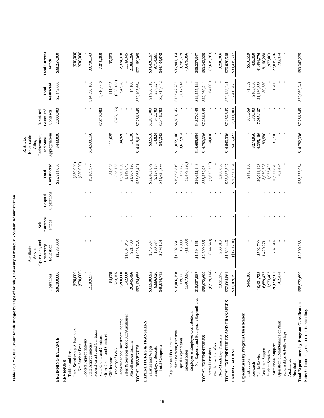| Table 12. FY2010 Current Funds Budget by Type of Funds, University of Missouri - System Administration |                                        |                                            |                            |                        |                         |                                            |                                       |                           |                               |
|--------------------------------------------------------------------------------------------------------|----------------------------------------|--------------------------------------------|----------------------------|------------------------|-------------------------|--------------------------------------------|---------------------------------------|---------------------------|-------------------------------|
|                                                                                                        |                                        | Auxiliaries,<br>Service                    |                            |                        |                         | Expendable<br>Restricted<br>Gifts.         |                                       |                           |                               |
|                                                                                                        | Operations                             | Operations, and<br>Continuing<br>Education | Insurance<br>Funds<br>Self | Operations<br>Hospital | Unrestricted<br>Total   | Appropriations<br>Endowments,<br>and State | Grants and<br>Restricted<br>Contracts | Restricted<br>Total       | <b>Total Current</b><br>Funds |
| <b>BEGINNING BALANCE</b>                                                                               | \$36,100,000                           | $(*286,000)$                               |                            |                        | \$35,814,000            | \$443,000                                  | 2,000,000                             | \$2,443,000               | \$38,257,000                  |
| <b>REVENUES</b>                                                                                        |                                        |                                            |                            |                        |                         |                                            |                                       |                           |                               |
| Less: Scholarship Allowances<br>Tuition and Fees                                                       | (330,000)                              |                                            |                            |                        | $(*30,000)$             |                                            |                                       |                           | $(*30,000)$                   |
| Net Student Fees                                                                                       | (000, 005)                             |                                            |                            |                        | (30,000)                |                                            |                                       |                           | (000, 008)                    |
| Federal Appropriations                                                                                 |                                        |                                            |                            |                        |                         |                                            |                                       |                           |                               |
| State Appropriations                                                                                   | 19,189,977                             |                                            |                            |                        | 19,189,977              | \$14,598,166                               |                                       | \$14,598,166              | 33,788,143                    |
| Federal Grants and Contracts<br>State Grants and Contracts                                             |                                        |                                            |                            |                        |                         |                                            | \$7,810,000                           | 7,810,000                 | 7,810,000                     |
| Other Grants and Contracts                                                                             |                                        |                                            |                            |                        |                         |                                            |                                       |                           |                               |
| Gift Income                                                                                            | 84,028                                 |                                            |                            |                        | 84,028                  | 111,625                                    |                                       | 111,625                   | 195,653                       |
| Recovery of F&A                                                                                        | 523,155                                |                                            |                            |                        | 523,155                 |                                            | (523, 155)                            | (523, 155)                |                               |
| Endowment and Investment Income                                                                        | ,280,000<br>$\overline{c}$             |                                            |                            |                        | 12,280,000              | 94,928                                     |                                       | 94,928                    | 12,374,928                    |
| Sales & Services-Educ Act/Auxiliaries<br>Miscellaneous Income                                          | 142,000<br>,945,496<br>$\approx$       | \$1,007,045<br>921,700                     |                            |                        | 1,149,045<br>21,867,196 | 14,100                                     |                                       | 14,100                    | 21,881,296<br>1,149,045       |
| TOTAL REVENUES                                                                                         | ,134,656<br>\$53                       | \$1,928,745                                |                            |                        | \$55,063,401            | \$14,818,819                               | \$7,286,845                           | \$22,105,664              | \$77,169,065                  |
| EXPENDITURES & TRANSFERS<br>Salaries and Wages                                                         | ,918,092<br>\$31                       | \$545,587                                  |                            |                        | \$32,463,679            | \$82,518                                   | \$1,874,000                           | \$1,956,518               | \$34,420,197                  |
| Employee Benefits                                                                                      | ,996,620<br>$\propto$                  | 160,537                                    |                            |                        | 9,157,157               | 14,824                                     | 542,700                               | 557,524                   | 9,714,681                     |
| Total Compensation                                                                                     | \$40,914,712                           | \$706,124                                  |                            |                        | \$41,620,836            | \$97,342                                   | \$2,416,700                           | \$2,514,042               | \$44,134,878                  |
| Expense and Equipment                                                                                  |                                        |                                            |                            |                        |                         |                                            |                                       |                           |                               |
| Other Operating Expense<br>Capital Expenditures                                                        | \$18,406,158<br>119,725                | 13,000<br>\$1,592,661                      |                            |                        | \$19,998,819<br>132,725 | \$11,072,140<br>3,612,914                  | \$4,870,145                           | \$15,942,285<br>3,612,914 | 3,745,639<br>\$35,941,104     |
| Internal Sales                                                                                         | ,467,896)<br>ొ                         | (11,500)                                   |                            |                        | (3,479,396)             |                                            |                                       |                           | (3,479,396)                   |
| Net Expense and Equipment Expenditures<br>Employer & Employee Contributions                            | 786,750,<br>\$15                       | \$1,594,161                                |                            |                        | \$16,652,148            | \$14,685,054                               | \$4,870,145                           | \$19,555,199              | \$36,207,347                  |
| TOTAL EXPENDITURES                                                                                     | 972,699<br>\$55                        | \$2,300,285                                |                            |                        | \$58,272,984            | \$14,782,396                               | \$7,286,845                           | \$22,069,241              | \$80,342,225                  |
| Internal Transfers                                                                                     | ,929,114)<br>$\hat{\mathcal{E}}$       | (744, 649)                                 |                            |                        | (7, 673, 763)           | 64,000                                     |                                       | 64,000                    | (7,609,763)                   |
| Non-Mandatory Transfers<br>Mandatory Transfers                                                         | ,021,276<br>$\omega$                   | 266,810                                    |                            |                        | 3,288,086               |                                            |                                       |                           | 3,288,086                     |
| TOTAL EXPENDITURES AND TRANSFERS                                                                       | \$52,064,861                           | \$1,822,446                                |                            |                        | \$53,887,307            | \$14,846,396                               | \$7,286,845                           | \$22,133,241              | \$76,020,548                  |
| <b>ENDING BALANCE</b>                                                                                  | 1,69,795<br>\$37                       | (179,701)                                  |                            |                        | \$36,990,094            | \$415,423                                  | 2,000,000                             | \$2,415,423               | \$39,405,517                  |
| Expenditures by Program Classification                                                                 |                                        |                                            |                            |                        |                         |                                            |                                       |                           |                               |
| Instruction                                                                                            | \$445,100                              |                                            |                            |                        | \$445,100               |                                            | \$71,559                              | 71,559                    | \$516,659                     |
| Public Service<br>Research                                                                             | 19,421,723                             | \$592,700                                  |                            |                        | 20,014,423              | \$274,950<br>14,395,166                    | 130,100<br>7,085,187                  | \$405,050<br>21,480,353   | 405,050<br>41,494,776         |
| Academic Support                                                                                       | ,659,437<br>$\circ$                    | 1,420,271                                  |                            |                        | 8,079,708               | 80,580                                     |                                       | 80,580                    | 8,160,288                     |
| <b>Student Services</b>                                                                                | 1,973,403                              |                                            |                            |                        | 1,973,403               |                                            |                                       |                           | 1,973,403                     |
| Operation & Maintenance of Plant<br>Institutional Support                                              | ,690,562<br>782,474<br>$\overline{26}$ | 287,314                                    |                            |                        | 26,977,876<br>782,474   | 31,700                                     |                                       | 31,700                    | 27,009,576<br>782,474         |
| Scholarships & Fellowships                                                                             |                                        |                                            |                            |                        |                         |                                            |                                       |                           |                               |
| Auxiliaries                                                                                            |                                        |                                            |                            |                        |                         |                                            |                                       |                           |                               |
| Hospitals                                                                                              | ,972,699<br>\$55                       | \$2,300,285                                |                            |                        | \$58,272,984            | \$14,782,396                               | \$7,286,845                           | \$22,069,241              | \$80,342,225                  |
| Total Expenditures by Program Classification<br>Note: Columns may not add due to rounding.             |                                        |                                            |                            |                        |                         |                                            |                                       |                           |                               |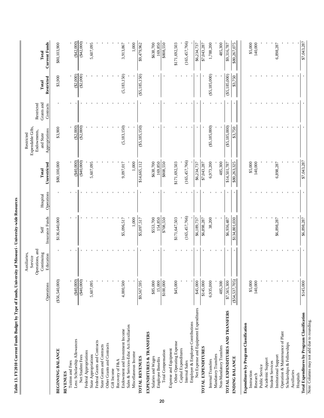| Í<br>İ<br>$\ddot{ }$   |  |
|------------------------|--|
| $\ddot{\phantom{a}}$   |  |
| $\mathbf v$ Type of 1  |  |
| $\overline{1}$         |  |
|                        |  |
| ֚֬֕<br><b>Chata</b> Tr |  |

 $\mathbf l$ 

|                                                               |                           | Auxiliaries,<br>Service                    |                         |                        |                       | Expendable Gifts,<br>Restricted            |                                       |                     |                               |
|---------------------------------------------------------------|---------------------------|--------------------------------------------|-------------------------|------------------------|-----------------------|--------------------------------------------|---------------------------------------|---------------------|-------------------------------|
|                                                               | Operations                | Operations, and<br>Continuing<br>Education | Insurance Funds<br>Self | Operations<br>Hospital | Unrestricted<br>Total | Appropriations<br>Endowments,<br>and State | Grants and<br>Restricted<br>Contracts | Restricted<br>Total | <b>Current Funds</b><br>Total |
| <b>BEGINNING BALANCE</b>                                      | ( \$56, 540, 000)         |                                            | \$136,640,000           |                        | \$80,100,000          | \$3,900                                    |                                       | \$3,900             | \$80,103,900                  |
| <b>REVENUES</b>                                               |                           |                                            |                         |                        |                       |                                            |                                       |                     |                               |
| Less: Scholarship Allowances<br>Tuition and Fees              | $(*40,000)$               |                                            |                         |                        | (340,000)             | $(\$2,000)$                                |                                       | (\$2,000)           | $(*42,000)$                   |
| Net Student Fees                                              | (40,000)                  |                                            |                         |                        | (000, 008)            | (32,000)                                   |                                       | $(*2,000)$          | $(*42,000)$                   |
| Federal Appropriations                                        |                           |                                            |                         |                        |                       |                                            |                                       |                     |                               |
| State Appropriations                                          | 5,607,095                 |                                            |                         |                        | 5,607,095             |                                            |                                       |                     | 5,607,095                     |
| Federal Grants and Contracts                                  |                           |                                            |                         |                        |                       |                                            |                                       |                     |                               |
| State Grants and Contracts                                    |                           |                                            |                         |                        |                       |                                            |                                       |                     |                               |
| Other Grants and Contracts                                    |                           |                                            |                         |                        |                       |                                            |                                       |                     |                               |
| Gift Income                                                   |                           |                                            |                         |                        |                       |                                            |                                       |                     |                               |
| Recovery of F&A                                               |                           |                                            |                         |                        |                       |                                            |                                       |                     |                               |
| Endowment and Investment Income                               | 4,000,500                 |                                            | \$5,096,517             |                        | 9,097,017             | (5, 183, 150)                              |                                       | (5, 183, 150)       | 3,913,867                     |
| Sales & Services-Educ Act/Auxiliaries<br>Miscellaneous Income |                           |                                            | 1,000                   |                        | 1,000                 |                                            |                                       |                     | 1,000                         |
| <b>TOTAL REVENUES</b>                                         | \$9,567,595               |                                            | \$5,097,517             |                        | \$14,665,112          | ( \$5,185,150)                             |                                       | ( \$5,185,150)      | \$9,479,962                   |
| <b>EXPENDITURES &amp; TRANSFERS</b>                           |                           |                                            |                         |                        |                       |                                            |                                       |                     |                               |
| Salaries and Wages                                            | \$85,000                  |                                            | \$553,700               |                        | \$638,700             |                                            |                                       |                     | \$638,700                     |
| Employee Benefits                                             | $\frac{15,000}{$100,000}$ |                                            | 154,850                 |                        | 169,850               |                                            |                                       |                     | 169,850                       |
| Total Compensation                                            |                           |                                            | \$708,550               |                        | \$808,50              |                                            |                                       |                     | \$808,50                      |
| Expense and Equipment                                         |                           |                                            |                         |                        |                       |                                            |                                       |                     |                               |
| Other Operating Expense<br>Capital Expenditures               | \$45,000                  |                                            | \$171,647,503           |                        | \$171,692,503         |                                            |                                       |                     | \$171,692,503                 |
| Internal Sales                                                |                           |                                            | (165,457,766)           |                        | (165, 457, 766)       |                                            |                                       |                     | (165, 457, 766)               |
| Employer & Employee Contributions                             |                           |                                            |                         |                        |                       |                                            |                                       |                     |                               |
| Net Expense and Equipment Expenditures                        | \$45,000                  |                                            | \$6,189,737             |                        | \$6,234,737           |                                            |                                       |                     | \$6,234,737                   |
| <b>TOTAL EXPENDITURES</b>                                     | \$145,000                 |                                            | \$6,898,287             |                        | \$7,043,287           |                                            |                                       |                     | \$7,043,287                   |
| Internal Transfers                                            | 6,935,000                 |                                            | 38,200                  |                        | 6,973,200             | $(\$5,185,000)$                            |                                       | ( \$5,185,000)      | 1,788,200                     |
| Non-Mandatory Transfers<br>Mandatory Transfers                | 485,300                   |                                            |                         |                        | 485,300               |                                            |                                       |                     | 485,300                       |
| TOTAL EXPENDITURES AND TRANSFERS                              | \$7,565,300               |                                            | \$6,936,487             |                        | \$14,501,787          | $(\$5,185,000)$                            |                                       | $($ \$5,185,000)    | \$9,316,787                   |
| <b>ENDING BALANCE</b>                                         | $(\$54,537,705)$          |                                            | \$134,801,030           |                        | \$80,263,325          | \$3,750                                    |                                       | \$3,750             | \$80,267,075                  |
| Expenditures by Program Classification                        |                           |                                            |                         |                        |                       |                                            |                                       |                     |                               |
| Instruction                                                   | \$5,000                   |                                            |                         |                        | \$5,000               |                                            |                                       |                     | \$5,000                       |
| Research                                                      | 140,000                   |                                            |                         |                        | 140,000               |                                            |                                       |                     | 140,000                       |
| Public Service                                                |                           |                                            |                         |                        |                       |                                            |                                       |                     |                               |
| Academic Support                                              |                           |                                            |                         |                        |                       |                                            |                                       |                     |                               |
| <b>Student Services</b>                                       |                           |                                            |                         |                        |                       |                                            |                                       |                     |                               |
| Institutional Support                                         |                           |                                            | \$6,898,287             |                        | 6,898,287             |                                            |                                       |                     | 6,898,287                     |
| Operation & Maintenance of Plant                              |                           |                                            |                         |                        |                       |                                            |                                       |                     |                               |
| Scholarships & Fellowships                                    |                           |                                            |                         |                        |                       |                                            |                                       |                     |                               |
| Auxiliaries<br>Hospitals                                      |                           |                                            |                         |                        |                       |                                            |                                       |                     |                               |

**Total Expenditures by Program Classification of the Control of Classification of Classification of Classification of Classification of Classification of Classification of Classification of Classification of Classificatio** rtospuais<br>Total Expenditures by Program Classification<br>Note: Columns may not add due to rounding. Note: Columns may not add due to rounding.

\$7,043,287

ï

ï

ï

\$7,043,287

ï

\$6,898,287

l,

\$145,000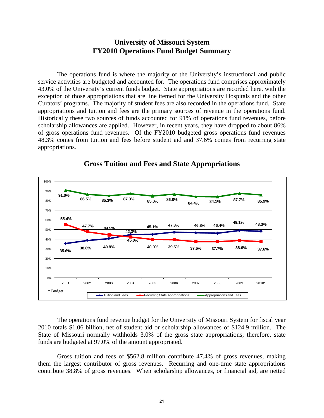# **University of Missouri System FY2010 Operations Fund Budget Summary**

The operations fund is where the majority of the University's instructional and public service activities are budgeted and accounted for. The operations fund comprises approximately 43.0% of the University's current funds budget. State appropriations are recorded here, with the exception of those appropriations that are line itemed for the University Hospitals and the other Curators' programs. The majority of student fees are also recorded in the operations fund. State appropriations and tuition and fees are the primary sources of revenue in the operations fund. Historically these two sources of funds accounted for 91% of operations fund revenues, before scholarship allowances are applied. However, in recent years, they have dropped to about 86% of gross operations fund revenues. Of the FY2010 budgeted gross operations fund revenues 48.3% comes from tuition and fees before student aid and 37.6% comes from recurring state appropriations.



## **Gross Tuition and Fees and State Appropriations**

The operations fund revenue budget for the University of Missouri System for fiscal year 2010 totals \$1.06 billion, net of student aid or scholarship allowances of \$124.9 million. The State of Missouri normally withholds 3.0% of the gross state appropriations; therefore, state funds are budgeted at 97.0% of the amount appropriated.

Gross tuition and fees of \$562.8 million contribute 47.4% of gross revenues, making them the largest contributor of gross revenues. Recurring and one-time state appropriations contribute 38.8% of gross revenues. When scholarship allowances, or financial aid, are netted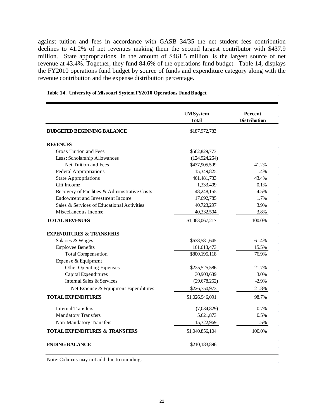against tuition and fees in accordance with GASB 34/35 the net student fees contribution declines to 41.2% of net revenues making them the second largest contributor with \$437.9 million. State appropriations, in the amount of \$461.5 million, is the largest source of net revenue at 43.4%. Together, they fund 84.6% of the operations fund budget. Table 14, displays the FY2010 operations fund budget by source of funds and expenditure category along with the revenue contribution and the expense distribution percentage.

|                                               | <b>UMSystem</b> | Percent             |
|-----------------------------------------------|-----------------|---------------------|
|                                               | <b>Total</b>    | <b>Distribution</b> |
| <b>BUDGETED BEGINNING BALANCE</b>             | \$187,972,783   |                     |
| <b>REVENUES</b>                               |                 |                     |
| Gross Tuition and Fees                        | \$562,829,773   |                     |
| Less: Scholarship Allowances                  | (124, 924, 264) |                     |
| Net Tuition and Fees                          | \$437,905,509   | 41.2%               |
| <b>Federal Appropriations</b>                 | 15,349,825      | 1.4%                |
| <b>State Appropriations</b>                   | 461, 481, 733   | 43.4%               |
| Gift Income                                   | 1,333,409       | 0.1%                |
| Recovery of Facilities & Administrative Costs | 48,248,155      | 4.5%                |
| Endowment and Investment Income               | 17,692,785      | 1.7%                |
| Sales & Services of Educational Activities    | 40,723,297      | 3.9%                |
| Miscellaneous Income                          | 40,332,504      | 3.8%                |
| <b>TOTAL REVENUES</b>                         | \$1,063,067,217 | 100.0%              |
| <b>EXPENDITURES &amp; TRANSFERS</b>           |                 |                     |
| Salaries & Wages                              | \$638,581,645   | 61.4%               |
| <b>Employee Benefits</b>                      | 161,613,473     | 15.5%               |
| <b>Total Compensation</b>                     | \$800,195,118   | 76.9%               |
| Expense & Equipment                           |                 |                     |
| <b>Other Operating Expenses</b>               | \$225,525,586   | 21.7%               |
| Capital Expenditures                          | 30,903,639      | 3.0%                |
| Internal Sales & Services                     | (29, 678, 252)  | $-2.9%$             |
| Net Expense & Equipment Expenditures          | \$226,750,973   | 21.8%               |
| <b>TOTAL EXPENDITURES</b>                     | \$1,026,946,091 | 98.7%               |
| <b>Internal Transfers</b>                     | (7,034,829)     | $-0.7%$             |
| <b>Mandatory Transfers</b>                    | 5,621,873       | 0.5%                |
| Non-Mandatory Transfers                       | 15,322,969      | 1.5%                |
| <b>TOTAL EXPENDITURES &amp; TRANSFERS</b>     | \$1,040,856,104 | 100.0%              |
| <b>ENDING BALANCE</b>                         | \$210,183,896   |                     |

#### **Table 14. University of Missouri System FY2010 Operations Fund Budget**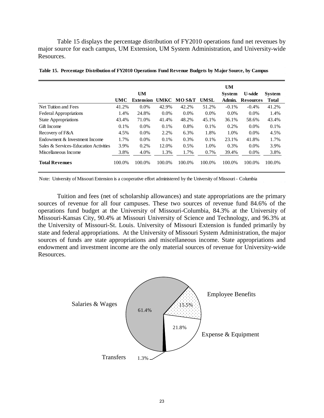Table 15 displays the percentage distribution of FY2010 operations fund net revenues by major source for each campus, UM Extension, UM System Administration, and University-wide Resources.

|                                       |        |                  |         |         |             | <b>UM</b>     |                  |               |
|---------------------------------------|--------|------------------|---------|---------|-------------|---------------|------------------|---------------|
|                                       |        | <b>UM</b>        |         |         |             | <b>System</b> | <b>U-wide</b>    | <b>System</b> |
|                                       | UMC    | <b>Extension</b> | UMKC    | MO S&T  | <b>UMSL</b> | Admin.        | <b>Resources</b> | <b>Total</b>  |
| Net Tuition and Fees                  | 41.2%  | $0.0\%$          | 42.9%   | 42.2%   | 51.2%       | $-0.1\%$      | $-0.4\%$         | 41.2%         |
| <b>Federal Appropriations</b>         | 1.4%   | 24.8%            | $0.0\%$ | $0.0\%$ | $0.0\%$     | $0.0\%$       | $0.0\%$          | 1.4%          |
| <b>State Appropriations</b>           | 43.4%  | 71.0%            | 41.4%   | 48.2%   | 45.1%       | 36.1%         | 58.6%            | 43.4%         |
| Gift Income                           | 0.1%   | $0.0\%$          | 0.1%    | 0.8%    | 0.1%        | 0.2%          | $0.0\%$          | 0.1%          |
| Recovery of F&A                       | 4.5%   | $0.0\%$          | 2.2%    | 6.3%    | 1.8%        | 1.0%          | $0.0\%$          | 4.5%          |
| Endowment & Investment Income         | 1.7%   | $0.0\%$          | 0.1%    | 0.3%    | 0.1%        | 23.1%         | 41.8%            | 1.7%          |
| Sales & Services-Education Activities | 3.9%   | 0.2%             | 12.0%   | 0.5%    | 1.0%        | 0.3%          | $0.0\%$          | 3.9%          |
| Miscellaneous Income                  | 3.8%   | 4.0%             | 1.3%    | 1.7%    | 0.7%        | 39.4%         | 0.0%             | 3.8%          |
| <b>Total Revenues</b>                 | 100.0% | 100.0%           | 100.0%  | 100.0%  | 100.0%      | 100.0%        | 100.0%           | 100.0%        |

|  |  | Table 15. Percentage Distribution of FY2010 Operations Fund Revenue Budgets by Major Source, by Campus |  |  |  |
|--|--|--------------------------------------------------------------------------------------------------------|--|--|--|
|  |  |                                                                                                        |  |  |  |

Note: University of Missouri Extension is a cooperative effort administered by the University of Missouri - Columbia

Tuition and fees (net of scholarship allowances) and state appropriations are the primary sources of revenue for all four campuses. These two sources of revenue fund 84.6% of the operations fund budget at the University of Missouri-Columbia, 84.3% at the University of Missouri-Kansas City, 90.4% at Missouri University of Science and Technology, and 96.3% at the University of Missouri-St. Louis. University of Missouri Extension is funded primarily by state and federal appropriations. At the University of Missouri System Administration, the major sources of funds are state appropriations and miscellaneous income. State appropriations and endowment and investment income are the only material sources of revenue for University-wide Resources.

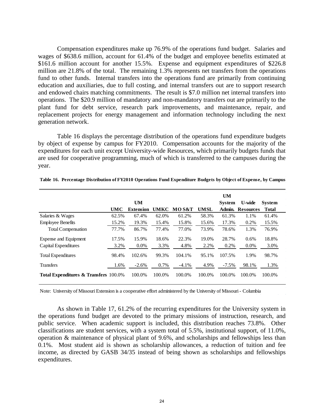Compensation expenditures make up 76.9% of the operations fund budget. Salaries and wages of \$638.6 million, account for 61.4% of the budget and employee benefits estimated at \$161.6 million account for another 15.5%. Expense and equipment expenditures of \$226.8 million are 21.8% of the total. The remaining 1.3% represents net transfers from the operations fund to other funds. Internal transfers into the operations fund are primarily from continuing education and auxiliaries, due to full costing, and internal transfers out are to support research and endowed chairs matching commitments. The result is \$7.0 million net internal transfers into operations. The \$20.9 million of mandatory and non-mandatory transfers out are primarily to the plant fund for debt service, research park improvements, and maintenance, repair, and replacement projects for energy management and information technology including the next generation network.

Table 16 displays the percentage distribution of the operations fund expenditure budgets by object of expense by campus for FY2010. Compensation accounts for the majority of the expenditures for each unit except University-wide Resources, which primarily budgets funds that are used for cooperative programming, much of which is transferred to the campuses during the year.

|                                                  |            |                  |        |         |             | <b>UM</b>     |                  |               |
|--------------------------------------------------|------------|------------------|--------|---------|-------------|---------------|------------------|---------------|
|                                                  |            | <b>UM</b>        |        |         |             | <b>System</b> | U-wide           | <b>System</b> |
|                                                  | <b>UMC</b> | <b>Extension</b> | UMKC   | MO S&T  | <b>UMSL</b> | Admin.        | <b>Resources</b> | <b>Total</b>  |
| Salaries & Wages                                 | 62.5%      | 67.4%            | 62.0%  | 61.2%   | 58.3%       | 61.3%         | 1.1%             | 61.4%         |
| <b>Employee Benefits</b>                         | 15.2%      | 19.3%            | 15.4%  | 15.8%   | 15.6%       | 17.3%         | 0.2%             | 15.5%         |
| <b>Total Compensation</b>                        | 77.7%      | 86.7%            | 77.4%  | 77.0%   | 73.9%       | 78.6%         | 1.3%             | 76.9%         |
| Expense and Equipment                            | 17.5%      | 15.9%            | 18.6%  | 22.3%   | 19.0%       | 28.7%         | 0.6%             | 18.8%         |
| Capital Expenditures                             | 3.2%       | $0.0\%$          | 3.3%   | 4.8%    | 2.2%        | 0.2%          | 0.0%             | 3.0%          |
| <b>Total Expenditures</b>                        | 98.4%      | 102.6%           | 99.3%  | 104.1%  | 95.1%       | 107.5%        | 1.9%             | 98.7%         |
| <b>Transfers</b>                                 | 1.6%       | $-2.6%$          | 0.7%   | $-4.1%$ | 4.9%        | $-7.5\%$      | 98.1%            | 1.3%          |
| <b>Total Expenditures &amp; Transfers 100.0%</b> |            | 100.0%           | 100.0% | 100.0%  | 100.0%      | 100.0%        | 100.0%           | 100.0%        |

**Table 16. Percentage Distribution of FY2010 Operations Fund Expenditure Budgets by Object of Expense, by Campus**

Note: University of Missouri Extension is a cooperative effort administered by the University of Missouri - Columbia

As shown in Table 17, 61.2% of the recurring expenditures for the University system in the operations fund budget are devoted to the primary missions of instruction, research, and public service. When academic support is included, this distribution reaches 73.8%. Other classifications are student services, with a system total of 5.5%, institutional support, of 11.0%, operation & maintenance of physical plant of 9.6%, and scholarships and fellowships less than 0.1%. Most student aid is shown as scholarship allowances, a reduction of tuition and fee income, as directed by GASB 34/35 instead of being shown as scholarships and fellowships expenditures.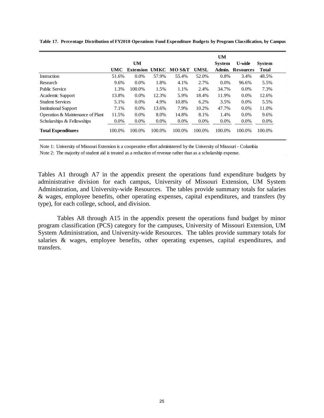|                                  |            |                  |             |                  |             | <b>UM</b>     |                  |               |
|----------------------------------|------------|------------------|-------------|------------------|-------------|---------------|------------------|---------------|
|                                  |            | UM               |             |                  |             | <b>System</b> | <b>U-wide</b>    | <b>System</b> |
|                                  | <b>UMC</b> | <b>Extension</b> | <b>UMKC</b> | <b>MOS&amp;T</b> | <b>UMSL</b> | Admin.        | <b>Resources</b> | <b>Total</b>  |
| Instruction                      | 51.6%      | $0.0\%$          | 57.9%       | 55.4%            | 52.0%       | 0.8%          | 3.4%             | 48.5%         |
| Research                         | 9.6%       | $0.0\%$          | 1.8%        | 4.1%             | 2.7%        | 0.0%          | 96.6%            | 5.5%          |
| <b>Public Service</b>            | 1.3%       | 100.0%           | 1.5%        | 1.1%             | 2.4%        | 34.7%         | $0.0\%$          | 7.3%          |
| Academic Support                 | 13.8%      | $0.0\%$          | 12.3%       | 5.9%             | 18.4%       | 11.9%         | $0.0\%$          | 12.6%         |
| <b>Student Services</b>          | 5.1%       | $0.0\%$          | 4.9%        | 10.8%            | 6.2%        | 3.5%          | $0.0\%$          | 5.5%          |
| <b>Institutional Support</b>     | 7.1%       | $0.0\%$          | 13.6%       | 7.9%             | 10.2%       | 47.7%         | $0.0\%$          | 11.0%         |
| Operation & Maintenance of Plant | 11.5%      | $0.0\%$          | 8.0%        | 14.8%            | 8.1%        | 1.4%          | $0.0\%$          | 9.6%          |
| Scholarships & Fellowships       | $0.0\%$    | $0.0\%$          | $0.0\%$     | 0.0%             | $0.0\%$     | $0.0\%$       | $0.0\%$          | $0.0\%$       |
| <b>Total Expenditures</b>        | 100.0%     | 100.0%           | 100.0%      | 100.0%           | 100.0%      | 100.0%        | 100.0%           | 100.0%        |

**Table 17. Percentage Distribution of FY2010 Operations Fund Expenditure Budgets by Program Classification, by Campus**

Note 1: University of Missouri Extension is a cooperative effort administered by the University of Missouri - Columbia

Note 2: The majority of student aid is treated as a reduction of revenue rather than as a scholarship expense.

Tables A1 through A7 in the appendix present the operations fund expenditure budgets by administrative division for each campus, University of Missouri Extension, UM System Administration, and University-wide Resources. The tables provide summary totals for salaries & wages, employee benefits, other operating expenses, capital expenditures, and transfers (by type), for each college, school, and division.

Tables A8 through A15 in the appendix present the operations fund budget by minor program classification (PCS) category for the campuses, University of Missouri Extension, UM System Administration, and University-wide Resources. The tables provide summary totals for salaries & wages, employee benefits, other operating expenses, capital expenditures, and transfers.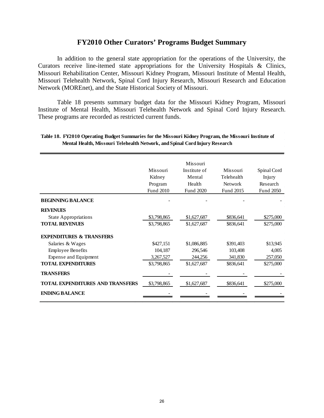# **FY2010 Other Curators' Programs Budget Summary**

In addition to the general state appropriation for the operations of the University, the Curators receive line-itemed state appropriations for the University Hospitals & Clinics, Missouri Rehabilitation Center, Missouri Kidney Program, Missouri Institute of Mental Health, Missouri Telehealth Network, Spinal Cord Injury Research, Missouri Research and Education Network (MOREnet), and the State Historical Society of Missouri.

Table 18 presents summary budget data for the Missouri Kidney Program, Missouri Institute of Mental Health, Missouri Telehealth Network and Spinal Cord Injury Research. These programs are recorded as restricted current funds.

|                                         |                  | Missouri     |                |             |
|-----------------------------------------|------------------|--------------|----------------|-------------|
|                                         | Missouri         | Institute of | Missouri       | Spinal Cord |
|                                         | Kidney           | Mental       | Telehealth     | Injury      |
|                                         | Program          | Health       | <b>Network</b> | Research    |
|                                         | <b>Fund 2010</b> | Fund 2020    | Fund 2015      | Fund 2050   |
| <b>BEGINNING BALANCE</b>                |                  |              |                |             |
| <b>REVENUES</b>                         |                  |              |                |             |
| <b>State Appropriations</b>             | \$3,798,865      | \$1,627,687  | \$836,641      | \$275,000   |
| <b>TOTAL REVENUES</b>                   | \$3,798,865      | \$1,627,687  | \$836,641      | \$275,000   |
| <b>EXPENDITURES &amp; TRANSFERS</b>     |                  |              |                |             |
| Salaries & Wages                        | \$427,151        | \$1,086,885  | \$391,403      | \$13,945    |
| <b>Employee Benefits</b>                | 104,187          | 296,546      | 103,408        | 4,005       |
| Expense and Equipment                   | 3,267,527        | 244,256      | 341,830        | 257,050     |
| <b>TOTAL EXPENDITURES</b>               | \$3,798,865      | \$1,627,687  | \$836,641      | \$275,000   |
| <b>TRANSFERS</b>                        |                  |              |                |             |
| <b>TOTAL EXPENDITURES AND TRANSFERS</b> | \$3,798,865      | \$1,627,687  | \$836,641      | \$275,000   |
| <b>ENDING BALANCE</b>                   |                  |              |                |             |
|                                         |                  |              |                |             |

#### **Table 18. FY2010 Operating Budget Summaries for the Missouri Kidney Program, the Missouri Institute of Mental Health, Missouri Telehealth Network, and Spinal Cord Injury Research**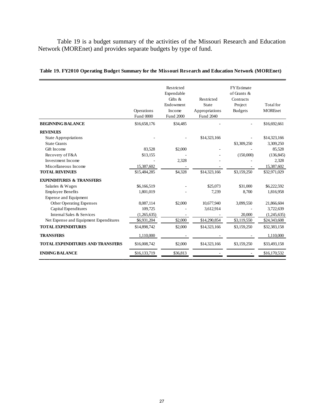Table 19 is a budget summary of the activities of the Missouri Research and Education Network (MOREnet) and provides separate budgets by type of fund.

|                                         | Operations<br>Fund 0000 | Restricted<br>Expendable<br>Gifts $\&$<br>Endowment<br>Income<br>Fund 2000 | Restricted<br>State<br>Appropriations<br>Fund 2040 | <b>FY</b> Estimate<br>of Grants &<br>Contracts<br>Project<br><b>Budgets</b> | Total for<br><b>MOREnet</b> |
|-----------------------------------------|-------------------------|----------------------------------------------------------------------------|----------------------------------------------------|-----------------------------------------------------------------------------|-----------------------------|
| <b>BEGINNING BALANCE</b>                | \$16,658,176            | \$34,485                                                                   |                                                    |                                                                             | \$16,692,661                |
| <b>REVENUES</b>                         |                         |                                                                            |                                                    |                                                                             |                             |
| <b>State Appropriations</b>             |                         |                                                                            | \$14,323,166                                       |                                                                             | \$14,323,166                |
| <b>State Grants</b>                     |                         |                                                                            |                                                    | \$3,309,250                                                                 | 3,309,250                   |
| Gift Income                             | 83,528                  | \$2,000                                                                    |                                                    |                                                                             | 85,528                      |
| Recovery of F&A                         | \$13,155                |                                                                            |                                                    | (150,000)                                                                   | (136, 845)                  |
| Investment Income                       |                         | 2,328                                                                      |                                                    |                                                                             | 2,328                       |
| Miscellaneous Income                    | 15,387,602              |                                                                            |                                                    |                                                                             | 15,387,602                  |
| <b>TOTAL REVENUES</b>                   | \$15,484,285            | \$4,328                                                                    | \$14,323,166                                       | \$3,159,250                                                                 | \$32,971,029                |
| <b>EXPENDITURES &amp; TRANSFERS</b>     |                         |                                                                            |                                                    |                                                                             |                             |
| Salaries & Wages                        | \$6,166,519             |                                                                            | \$25,073                                           | \$31,000                                                                    | \$6,222,592                 |
| <b>Employee Benefits</b>                | 1.801.019               |                                                                            | 7.239                                              | 8.700                                                                       | 1,816,958                   |
| Expense and Equipment                   |                         |                                                                            |                                                    |                                                                             |                             |
| Other Operating Expenses                | 8,087,114               | \$2,000                                                                    | 10,677,940                                         | 3,099,550                                                                   | 21,866,604                  |
| Capital Expenditures                    | 109,725                 |                                                                            | 3,612,914                                          |                                                                             | 3,722,639                   |
| Internal Sales & Services               | (1,265,635)             |                                                                            |                                                    | 20,000                                                                      | (1,245,635)                 |
| Net Expense and Equipment Expenditures  | \$6,931,204             | \$2,000                                                                    | \$14,290,854                                       | \$3,119,550                                                                 | \$24,343,608                |
| <b>TOTAL EXPENDITURES</b>               | \$14,898,742            | \$2,000                                                                    | \$14,323,166                                       | \$3,159,250                                                                 | \$32,383,158                |
| <b>TRANSFERS</b>                        | 1,110,000               |                                                                            |                                                    |                                                                             | 1,110,000                   |
| <b>TOTAL EXPENDITURES AND TRANSFERS</b> | \$16,008,742            | \$2,000                                                                    | \$14,323,166                                       | \$3,159,250                                                                 | \$33,493,158                |
| <b>ENDING BALANCE</b>                   | \$16,133,719            | \$36,813                                                                   |                                                    |                                                                             | \$16,170,532                |

**Table 19. FY2010 Operating Budget Summary for the Missouri Research and Education Network (MOREnet)**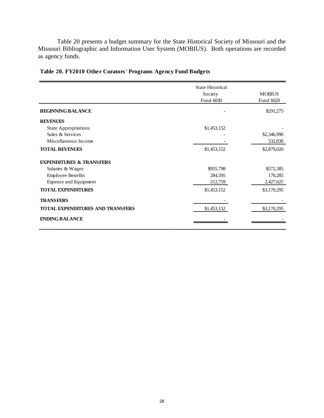Table 20 presents a budget summary for the State Historical Society of Missouri and the Missouri Bibliographic and Information User System (MOBIUS). Both operations are recorded as agency funds.

|                                     | <b>State Historical</b> |               |
|-------------------------------------|-------------------------|---------------|
|                                     | Society                 | <b>MOBIUS</b> |
|                                     | Fund 6030               | Fund 6020     |
| <b>BEGINNING BALANCE</b>            |                         | \$291,275     |
| <b>REVENUES</b>                     |                         |               |
| <b>State Appropriations</b>         | \$1,453,152             |               |
| Sales & Services                    |                         | \$2,346,990   |
| Miscellaneous Income                |                         | 532,030       |
| <b>TOTAL REVENUES</b>               | \$1,453,152             | \$2,879,020   |
| <b>EXPENDITURES &amp; TRANSFERS</b> |                         |               |
| Salaries & Wages                    | \$955,798               | \$572,385     |
| <b>Employee Benefits</b>            | 284,595                 | 170,285       |
| Expense and Equipment               | 212,759                 | 2,427,625     |
| <b>TOTAL EXPENDITURES</b>           | \$1,453,152             | \$3,170,295   |
| <b>TRANSFERS</b>                    |                         |               |
| TOTAL EXPENDITURES AND TRANSFERS    | \$1,453,152             | \$3,170,295   |
| <b>ENDING BALANCE</b>               |                         |               |

# **Table 20. FY2010 Other Curators' Programs Agency Fund Budgets**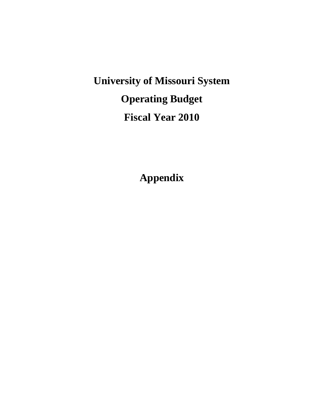**University of Missouri System Operating Budget Fiscal Year 2010**

**Appendix**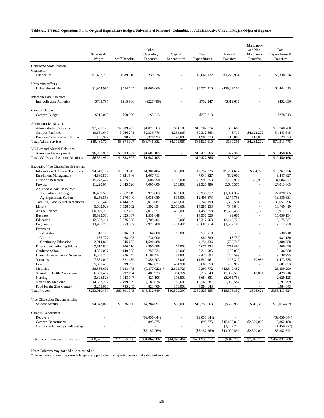#### **Table A1. FY2010, Operations Fund, Original Expenditure Budget, University of Missouri - Columbia, by Administrative Unit and Major Object of Expense**

|                                                                      | Salaries &<br>Wages       | <b>Staff Benefits</b>    | Other<br>Operating<br>Expenses | Capital<br>Expenditures | Total<br>Expenditures      | Internal<br><b>Transfers</b> | Mandatory<br>and Non-<br>Mandatory<br>Transfers | Total<br>Expenditures &<br>Transfers |
|----------------------------------------------------------------------|---------------------------|--------------------------|--------------------------------|-------------------------|----------------------------|------------------------------|-------------------------------------------------|--------------------------------------|
| College/School/Division<br>Chancellor                                |                           |                          |                                |                         |                            |                              |                                                 |                                      |
| Chancellor                                                           | \$1,432,230               | \$389,516                | \$239,376                      |                         | \$2,061,122                | \$1,276,954                  |                                                 | \$3,338,076                          |
| <b>University Affairs</b><br>University Affairs                      | \$1,954,996               | \$554,745                | \$1,060,669                    |                         | \$3,570,410                | (126,097.00)                 |                                                 | \$3,444,313                          |
| <b>Intercollegiate Athletics</b><br><b>Intercollegiate Athletics</b> | \$763,797                 | \$215,936                | $(\$227,486)$                  |                         | \$752,247                  | (\$319,611)                  |                                                 | \$432,636                            |
| Campus Budget<br>Campus Budget                                       | \$215,000                 | \$60,000                 | \$3,213                        |                         | \$278,213                  |                              |                                                 | \$278,213                            |
| <b>Administrative Services</b>                                       |                           |                          |                                |                         |                            |                              |                                                 |                                      |
| <b>Administrative Services</b><br><b>Campus Facilities</b>           | \$7,651,128<br>10,651,649 | \$2,009,283<br>3,066,271 | \$1,027,563<br>32,339,776      | \$14,100<br>4,254,967   | \$10,702,074<br>50,312,663 | \$38,686<br>8,710            | \$4,122,272                                     | \$10,740,760<br>54,443,645           |
| Business Services-Gen Admin                                          | 1,186,927                 | 298,453                  | 3,378,993                      | 42,000                  | 4,906,373                  | 113,000                      | 110,000                                         | 5,129,373                            |
| <b>Total Admin services</b>                                          | \$19,489,704              | \$5,374,007              | \$36,746,332                   | \$4,311,067             | \$65,921,110               | \$160,396                    | \$4,232,272                                     | \$70,313,778                         |
| VC Dev and Alumni Relations                                          |                           |                          |                                |                         |                            |                              |                                                 |                                      |
| Alumni & Development                                                 | \$6,861,954               | \$1,883,807              | \$1,682,105                    |                         | \$10,427,866               | \$22,300                     |                                                 | \$10,450,166                         |
| Total VC Dev and Alumni Relations                                    | \$6,861,954               | \$1,883,807              | \$1,682,105                    |                         | \$10.427.866               | \$22,300                     |                                                 | \$10,450,166                         |
| Executive Vice Chancellor & Provost                                  |                           |                          |                                |                         |                            |                              |                                                 |                                      |
| Information & Access Tech Svcs                                       | \$4,549,177               | \$1,313,345              | \$1,300,404                    | \$90,000                | \$7,252,926                | \$5,704,624                  | \$304,726                                       | \$13,262,276                         |
| <b>Enrollment Management</b>                                         | 4,660,570                 | 1,321,546                | 1,067,711                      |                         | 7,049,827                  | (602,000)                    |                                                 | 6,447,827                            |
| Office of Research                                                   | 15,242,427                | 4,015,335                | 6,606,290                      | 1,132,001               | 26,996,053                 | 7,182,911                    | 505,908                                         | 34,684,872                           |
| Provost<br>Ag, Food & Nat. Resources                                 | 11,220,054                | 2,843,626                | 7,005,009                      | 258,800                 | 21,327,489                 | 5,685,576                    | ä,                                              | 27,013,065                           |
| Agriculture - College                                                | 16,439,595                | 2,867,119                | 3,975,003                      | 653,600                 | 23,935,317                 | (1,864,352)                  | ÷,                                              | 22,070,965                           |
| Ag Experiment Station                                                | 5,256,853                 | 1,276,940                | 5,038,080                      | 834,000                 | 12,405,873                 | 1,174,758                    | $\overline{\phantom{m}}$                        | 13,580,631                           |
| Total Ag, Food & Nat. Resources                                      | 21,696,448                | 4,144,059                | 9,013,082                      | 1,487,600               | 36,341,190                 | (689, 594)                   | L.                                              | 35,651,596                           |
| Library                                                              | 5,662,929                 | 1,528,762                | 4,592,894                      | 2,500,668               | 14,285,253                 | (544, 843)                   | ä,                                              | 13,740,410                           |
| Arts & Science                                                       | 60,029,296                | 13,962,205               | 7,012,357                      | 455,000                 | 81,458,858                 | (5,552,455)                  | 6,120                                           | 75,912,523                           |
| <b>Business</b>                                                      | 10,592,513                | 2,825,367                | 1,538,648                      |                         | 14,956,528                 | 99,606                       | ÷,                                              | 15,056,134                           |
| Education                                                            | 12,527,491                | 3,076,068                | 2,709,404                      | 5,000                   | 18,317,963                 | (3,142,726)                  |                                                 | 15,175,237                           |
| Engineering<br>Extension                                             | 13,907,708                | 3,353,567                | 2,971,200                      | 454,444                 | 20,686,919                 | (1,569,180)                  | ä,                                              | 19,117,739                           |
| <b>FM</b> Station                                                    | 310,187                   | 86,731                   | 69,000                         | 65,000                  | 530,918                    |                              |                                                 | 530,918                              |
| Concerts                                                             | 185,777                   | 68,103                   | 736,000                        |                         | 989,880                    | (8,750)                      | ä,                                              | 981,130                              |
| <b>Continuing Education</b>                                          | 2,014,866                 | 545,782                  | 1,590,488                      |                         | 4,151,136                  | (762, 748)                   | $\overline{\phantom{a}}$                        | 3,388,388                            |
| Extension/Continuing Education                                       | 2,510,830                 | 700,616                  | 2,395,488                      | 65,000                  | 5,671,934                  | (771, 498)                   |                                                 | 4,900,436                            |
| Graduate School                                                      | 4,350,057                 | 1,149,205                | 757,724                        | 60,000                  | 6,316,985                  | (180, 035)                   | ä,                                              | 6,136,950                            |
| Human Environmental Sciences                                         | 6,507,725                 | 1,726,645                | 1,108,424                      | 81,800                  | 9,424,594                  | (285, 599)                   | ÷,                                              | 9,138,995                            |
| Journalism<br>Law                                                    | 7,359,019<br>5,651,400    | 1,821,439<br>1,599,692   | 2,354,703<br>962,827           | 5,000<br>474,931        | 11,540,161<br>8,688,850    | (127, 312)                   | 60,986<br>ä,                                    | 11,473,835<br>8,601,853              |
| Medicine                                                             | 38,386,601                | 9,288,473                | $(9,877,022)$ *                | 2,601,720               | 40,399,772                 | (86,997)<br>(13,540,482)     | $\overline{\phantom{a}}$                        | 26,859,290                           |
| School of Health Professions                                         | 6,609,407                 | 1,797,194                | 481,923                        | 384,324                 | 9,272,848                  | (2,862,513)                  | 18,881                                          | 6,429,216                            |
| Nursing                                                              | 3,896,528                 | 1,048,747                | 421,106                        | 318,500                 | 5,684,881                  | (3,055,753)                  |                                                 | 2,629,128                            |
| Veterinary Medicine                                                  | 14,392,257                | 2,499,939                | 2,187,076                      | 86,609                  | 19,165,881                 | (968, 582)                   | ä,                                              | 18,197,299                           |
| Food for the 21st Century                                            | 3,258,000                 | 785,243                  | 823,400                        | 118,000                 | 4,984,643                  |                              |                                                 | 4,984,643                            |
| <b>Total Provost</b>                                                 | \$253,010,437             | \$60,801,073             | \$45,432,649                   | \$10,579,397            | \$369,823,555              | (\$15,306,852)               | \$896,621                                       | \$355,413,324                        |
| Vice Chancellor Student Affairs                                      |                           |                          |                                |                         |                            |                              |                                                 |                                      |
| <b>Student Affairs</b>                                               | \$4,847,060               | \$1,076,306              | \$4,284,697                    | \$50,000                | \$10,258,063               | $(\$559,939)$                | \$316,315                                       | \$10,014,439                         |
| Campus Department                                                    |                           |                          |                                |                         |                            |                              |                                                 |                                      |
| Recovery                                                             |                           |                          | $(\$9,050,644)$                |                         | (\$9,050,644)              |                              |                                                 | (\$9,050,644)                        |
| <b>Campus Departments</b>                                            |                           |                          | 893,375                        |                         | 893,375                    | \$15,468,813                 | \$2,500,000                                     | 18,862,188                           |
| Campus Scholarships Fellowship                                       |                           |                          |                                |                         |                            | (1,459,222)                  |                                                 | (1,459,222)                          |
|                                                                      |                           |                          | $(\$8,157,269)$                |                         | $(\$8,157,269)$            | \$14,009,591                 | \$2,500,000                                     | \$8,352,322                          |
| <b>Total Expenditures and Transfers</b>                              | \$288,575,178             | \$70,355,390             | \$81,064,286                   | \$14,940,464            | \$454,935,317              | $(\$843,258)$                | \$7,945,208                                     | \$462,037,268                        |

Note: Columns may not add due to rounding.

\*The negative amount represents hospital support which is reported as internal sales and services.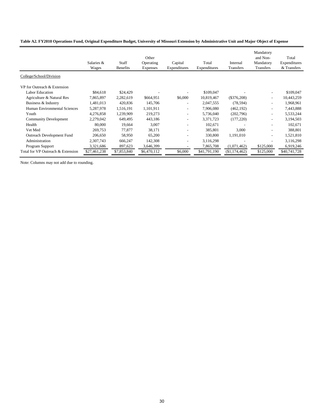#### **Table A2. FY2010 Operations Fund, Original Expenditure Budget, University of Missouri Extension by Administrative Unit and Major Object of Expense**

|                                   | Salaries &<br>Wages | Staff<br><b>Benefits</b> | Other<br>Operating<br><b>Expenses</b> | Capital<br>Expenditures  | Total<br>Expenditures | Internal<br>Transfers | Mandatory<br>and Non-<br>Mandatory<br><b>Transfers</b> | Total<br>Expenditures<br>& Transfers |
|-----------------------------------|---------------------|--------------------------|---------------------------------------|--------------------------|-----------------------|-----------------------|--------------------------------------------------------|--------------------------------------|
| College/School/Division           |                     |                          |                                       |                          |                       |                       |                                                        |                                      |
| VP for Outreach & Extension       |                     |                          |                                       |                          |                       |                       |                                                        |                                      |
| <b>Labor Education</b>            | \$84,618            | \$24,429                 |                                       |                          | \$109,047             |                       |                                                        | \$109,047                            |
| Agriculture & Natural Res         | 7,865,897           | 2,282,619                | \$664,951                             | \$6,000                  | 10,819,467            | $(\$376,208)$         | $\overline{\phantom{0}}$                               | 10,443,259                           |
| Business & Industry               | 1,481,013           | 420,836                  | 145,706                               | $\overline{\phantom{a}}$ | 2,047,555             | (78, 594)             |                                                        | 1,968,961                            |
| Human Environmental Sciences      | 5,287,978           | 1,516,191                | 1,101,911                             | $\overline{\phantom{a}}$ | 7,906,080             | (462, 192)            | $\overline{\phantom{a}}$                               | 7,443,888                            |
| Youth                             | 4,276,858           | 1,239,909                | 219,273                               | $\overline{\phantom{a}}$ | 5,736,040             | (202,796)             | $\overline{a}$                                         | 5,533,244                            |
| <b>Community Development</b>      | 2,279,042           | 649,495                  | 443,186                               | $\overline{\phantom{a}}$ | 3,371,723             | (177, 220)            | $\overline{\phantom{a}}$                               | 3,194,503                            |
| Health                            | 80,000              | 19,664                   | 3,007                                 | $\overline{a}$           | 102,671               |                       | $\overline{\phantom{a}}$                               | 102,671                              |
| Vet Med                           | 269,753             | 77,877                   | 38,171                                | $\overline{\phantom{a}}$ | 385,801               | 3,000                 |                                                        | 388,801                              |
| Outreach Development Fund         | 206,650             | 58,950                   | 65,200                                | $\overline{\phantom{a}}$ | 330,800               | 1,191,010             | $\overline{\phantom{a}}$                               | 1,521,810                            |
| Administration                    | 2,307,743           | 666,247                  | 142,308                               |                          | 3,116,298             |                       | $\overline{a}$                                         | 3,116,298                            |
| Program Support                   | 3,321,686           | 897,623                  | 3,646,399                             | $\overline{\phantom{a}}$ | 7,865,708             | (1,071,462)           | \$125,000                                              | 6,919,246                            |
| Total for VP Outreach & Extension | \$27,461,238        | \$7,853,840              | \$6,470,112                           | \$6,000                  | \$41,791,190          | (\$1,174,462)         | \$125,000                                              | \$40,741,728                         |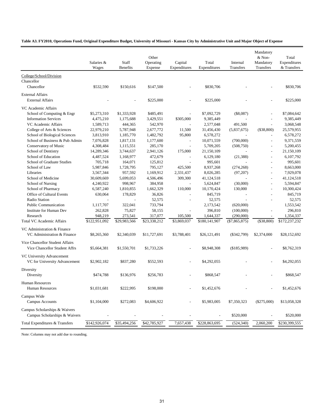#### **Table A3. FY2010, Operations Fund, Original Expenditure Budget, University of Missouri - Kansas City by Administrative Unit and Major Object of Expense**

|                                                                | Salaries &<br>Wages | Staff<br><b>Benefits</b> | Other<br>Operating<br>Expense | Capital<br>Expenditures  | Total<br>Expenditures | Internal<br>Transfers | Mandatory<br>& Non-<br>Mandatory<br>Transfers | Total<br>Expenditures<br>& Transfers |
|----------------------------------------------------------------|---------------------|--------------------------|-------------------------------|--------------------------|-----------------------|-----------------------|-----------------------------------------------|--------------------------------------|
| College/School/Division                                        |                     |                          |                               |                          |                       |                       |                                               |                                      |
| Chancellor                                                     |                     |                          |                               |                          |                       |                       |                                               |                                      |
| Chancellor                                                     | \$532,590           | \$150,616                | \$147,500                     |                          | \$830,706             |                       |                                               | \$830,706                            |
| <b>External Affairs</b>                                        |                     |                          |                               |                          |                       |                       |                                               |                                      |
| <b>External Affairs</b>                                        |                     |                          | \$225,000                     |                          | \$225,000             |                       |                                               | \$225,000                            |
| VC Academic Affairs                                            |                     |                          |                               |                          |                       |                       |                                               |                                      |
| School of Computing & Engr                                     | \$5,273,310         | \$1,333,928              | \$485,491                     |                          | \$7,092,729           | $(\$8,087)$           | $\overline{a}$                                | \$7,084,642                          |
| <b>Information Services</b>                                    | 4,475,210           | 1,175,688                | 3,429,551                     | \$305,000                | 9,385,449             |                       |                                               | 9,385,449                            |
| VC Academic Affairs                                            | 1,589,713           | 444,365                  | 542,970                       | $\overline{a}$           | 2,577,048             | 491,500               | $\overline{\phantom{a}}$                      | 3,068,548                            |
| College of Arts & Sciences                                     | 22,979,210          | 5,787,948                | 2,677,772                     | 11,500                   | 31,456,430            | (5,837,675)           | (\$38,800)                                    | 25,579,955                           |
| School of Biological Sciences                                  | 3,813,910           | 1,185,770                | 1,482,792                     | 95,800                   | 6,578,272             |                       | L,                                            | 6,578,272                            |
| School of Business & Pub Admin                                 | 7,076,828           | 1,817,131                | 1,177,600                     | $\overline{\phantom{a}}$ | 10,071,559            | (700,000)             | $\overline{a}$                                | 9,371,559                            |
| Conservatory of Music                                          | 4,308,484           | 1,115,551                | 285,170                       | $\overline{a}$           | 5,709,205             | (508,750)             | $\overline{\phantom{a}}$                      | 5,200,455                            |
| School of Dentistry                                            | 14,289,346          | 3,744,637                | 2,941,126                     | 175,000                  | 21,150,109            |                       | $\overline{a}$                                | 21,150,109                           |
| School of Education                                            | 4,487,524           | 1,168,977                | 472,679                       |                          | 6,129,180             | (21, 388)             | $\overline{a}$                                | 6,107,792                            |
| School of Graduate Studies                                     | 705,718             | 164,071                  | 125,812                       |                          | 995,601               |                       | $\overline{a}$                                | 995,601                              |
| School of Law                                                  | 5,987,846           | 1,728,795                | 795,127                       | 425,500                  | 8,937,268             | (274, 268)            |                                               | 8,663,000                            |
| Libraries                                                      | 3,567,344           | 957,592                  | 1,169,912                     | 2,331,437                | 8,026,285             | (97, 207)             | $\overline{\phantom{a}}$                      | 7,929,078                            |
| School of Medicine                                             | 30,609,669          | 5,699,053                | 4,506,496                     | 309,300                  | 41,124,518            |                       | $\sim$                                        | 41,124,518                           |
| School of Nursing                                              | 4,240,922           | 998,967                  | 384,958                       |                          | 5,624,847             | (30,000)              | L,                                            | 5,594,847                            |
|                                                                | 6,587,240           |                          |                               |                          |                       |                       |                                               |                                      |
| School of Pharmacy                                             |                     | 1,810,855                | 1,662,329                     | 110,000                  | 10,170,424            | 130,000               |                                               | 10,300,424                           |
| Office of Cultural Events                                      | 630,064             | 178,829                  | 36,826                        |                          | 845,719               |                       |                                               | 845,719                              |
| Radio Station                                                  |                     | $\overline{a}$           | 52,575                        |                          | 52,575                |                       | $\overline{a}$                                | 52,575                               |
| <b>Public Communication</b>                                    | 1,117,707           | 322,041                  | 733,794                       |                          | 2,173,542             | (620,000)             |                                               | 1,553,542                            |
| <b>Institute for Human Dev</b>                                 | 262,828             | 75,827                   | 58,155                        |                          | 396,810               | (100,000)             | L,                                            | 296,810                              |
| Research                                                       | 948,219             | 273,541                  | 317,077                       | 105,500                  | 1,644,337             | (290,000)             | $\overline{\phantom{a}}$                      | 1,354,337                            |
| <b>Total VC Academic Affairs</b>                               | \$122,951,092       | \$29,983,566             | \$23,338,212                  | \$3,869,037              | \$180,141,907         | $(\$7,865,875)$       | $(\$38,800)$                                  | \$172,237,232                        |
| VC Administration & Finance                                    |                     |                          |                               |                          |                       |                       |                                               |                                      |
| VC Administration & Finance                                    | \$8,265,360         | \$2,340,039              | \$11,727,691                  | \$3,788,401              | \$26,121,491          | $(\$342,799)$         | \$2,374,000                                   | \$28,152,692                         |
| Vice Chancellor Student Affairs                                |                     |                          |                               |                          |                       |                       |                                               |                                      |
| Vice Chancellor Student Affrs                                  | \$5,664,381         | \$1,550,701              | \$1,733,226                   |                          | \$8,948,308           | (\$185,989)           |                                               | \$8,762,319                          |
| VC University Advancement                                      |                     |                          |                               |                          |                       |                       |                                               |                                      |
| VC for University Advancement                                  | \$2,902,182         | \$837,280                | \$552,593                     |                          | \$4,292,055           |                       |                                               | \$4,292,055                          |
| Diversity                                                      |                     |                          |                               |                          |                       |                       |                                               |                                      |
| Diversity                                                      | \$474,788           | \$136,976                | \$256,783                     |                          | \$868,547             |                       |                                               | \$868,547                            |
|                                                                |                     |                          |                               |                          |                       |                       |                                               |                                      |
| Human Resources<br><b>Human Resources</b>                      | \$1,031,681         | \$222,995                | \$198,000                     |                          | \$1,452,676           |                       |                                               | \$1,452,676                          |
| Campus Wide<br>Campus Accounts                                 | \$1,104,000         | \$272,083                | \$4,606,922                   |                          | \$5,983,005           | \$7,350,323           | $(\$275,000)$                                 | \$13,058,328                         |
| Campus Scholarships & Waivers<br>Campus Scholarships & Waivers |                     |                          |                               |                          |                       | \$520,000             |                                               | \$520,000                            |
|                                                                |                     |                          |                               |                          |                       |                       |                                               |                                      |
| Total Expenditures & Transfers                                 | \$142,926,074       | \$35,494,256             | \$42,785,927                  | 7,657,438                | \$228,863,695         | (524, 340)            | 2,060,200                                     | \$230,399,555                        |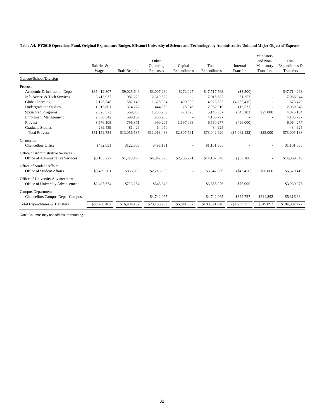|  |  |  |  |  |  | Table A4. FY2010 Operations Fund, Original Expenditure Budget, Missouri University of Science and Technology, by Administrative Unit and Major Object of Expense |
|--|--|--|--|--|--|------------------------------------------------------------------------------------------------------------------------------------------------------------------|
|--|--|--|--|--|--|------------------------------------------------------------------------------------------------------------------------------------------------------------------|

|                                                                        | Salaries &<br>Wages | <b>Staff Benefits</b> | Other<br>Operating<br>Expenses | Capital<br>Expenditures | Total<br>Expenditures | Internal<br>Transfers    | Mandatory<br>and Non-<br>Mandatory<br>Transfers | Total<br>Expenditures &<br>Transfers |
|------------------------------------------------------------------------|---------------------|-----------------------|--------------------------------|-------------------------|-----------------------|--------------------------|-------------------------------------------------|--------------------------------------|
| College/School/Division                                                |                     |                       |                                |                         |                       |                          |                                                 |                                      |
| Provost                                                                |                     |                       |                                |                         |                       |                          |                                                 |                                      |
| Academic & Instruction Depts                                           | \$35,412,807        | \$9,025,649           | \$3,007,280                    | \$272,027               | \$47,717,763          | $(\$3,500)$              |                                                 | \$47,714,263                         |
| Info Access & Tech Services                                            | 3,413,937           | 982,228               | 2,619,522                      |                         | 7,015,687             | 51,257                   |                                                 | 7,066,944                            |
| Global Learning                                                        | 2,175,748           | 587,143               | 1,675,994                      | 490,000                 | 4,928,885             | (4,255,415)              |                                                 | 673,470                              |
| <b>Undergraduate Studies</b>                                           | 1,215,801           | 314,222               | 444,850                        | 78,046                  | 2,052,919             | (13,571)                 |                                                 | 2,039,348                            |
| <b>Sponsored Programs</b>                                              | 2,525,573           | 569,880               | 1,280,289                      | 770,625                 | 5,146,367             | (345,203)                | \$25,000                                        | 4,826,164                            |
| <b>Enrollment Management</b>                                           | 2,550,342           | 699,167               | 936,288                        |                         | 4,185,797             |                          |                                                 | 4,185,797                            |
| Provost                                                                | 3,576,108           | 796.871               | 990,205                        | 1,197,093               | 6,560,277             | (496,000)                |                                                 | 6,064,277                            |
| <b>Graduate Studies</b>                                                | 289,439             | 81.426                | 64.060                         |                         | 434.925               | $\overline{\phantom{a}}$ | $\overline{\phantom{a}}$                        | 434,925                              |
| <b>Total Provost</b>                                                   | \$51,159,754        | \$13,056,587          | \$11,018,488                   | \$2,807,791             | \$78,042,620          | $(\$5,062,432)$          | \$25,000                                        | \$73,005,188                         |
| Chancellor                                                             |                     |                       |                                |                         |                       |                          |                                                 |                                      |
| <b>Chancellors Office</b>                                              | \$482,631           | \$122,803             | \$496,131                      |                         | \$1,101,565           |                          |                                                 | \$1,101,565                          |
| Office of Administrative Services<br>Office of Administrative Services | \$6,103,227         | \$1,723,470           | \$4,047,578                    | \$2,233,271             | \$14,107,546          | ( \$38, 200)             |                                                 | \$14,069,346                         |
| Office of Student Affairs<br>Office of Student Affairs                 | \$3,459,201         | \$868,038             | \$2,215,630                    |                         | \$6,542,869           | ( \$43,450)              | \$80,000                                        | \$6,579,419                          |
| Office of University Advancement<br>Office of University Advancement   | \$2,495,674         | \$713,254             | \$646,348                      |                         | \$3,855,276           | \$75,000                 |                                                 | \$3,930,276                          |
| Campus Departments<br>Chancellors Campus Dept - Campus                 |                     |                       | \$4,742,065                    |                         | \$4,742,065           | \$329,727                | \$244,892                                       | \$5,316,684                          |
| Total Expenditures & Transfers                                         | \$63,700,487        | \$16,484,152          | \$23,166,239                   | \$5,041,062             | \$108,391,940         | ( \$4, 739, 355)         | \$349,892                                       | \$104,002,477                        |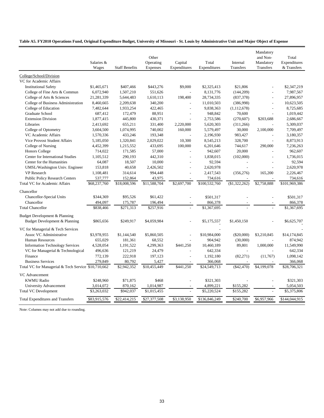#### **Table A5. FY2010 Operations Fund, Original Expenditure Budget, University of Missouri - St. Louis by Administrative Unit and Major Object of Expense**

|                                                                | Salaries &<br>Wages | <b>Staff Benefits</b> | Other<br>Operating<br>Expenses | Capital<br>Expenditures | Total<br>Expenditures | Internal<br><b>Transfers</b> | Mandatory<br>and Non-<br>Mandatory<br>Transfers | Total<br>Expenditures<br>& Transfers |
|----------------------------------------------------------------|---------------------|-----------------------|--------------------------------|-------------------------|-----------------------|------------------------------|-------------------------------------------------|--------------------------------------|
| College/School/Division                                        |                     |                       |                                |                         |                       |                              |                                                 |                                      |
| VC for Academic Affairs                                        |                     |                       |                                |                         |                       |                              |                                                 |                                      |
| <b>Institutional Safety</b>                                    | \$1,465,671         | \$407,466             | \$443,276                      | \$9,000                 | \$2,325,413           | \$21,806                     |                                                 | \$2,347,219                          |
| College of Fine Arts & Commun                                  | 6,072,940           | 1,507,210             | 551,626                        |                         | 8,131,776             | (144, 209)                   |                                                 | 7,987,567                            |
| College of Arts & Sciences                                     | 21,281,339          | 5,644,483             | 1,610,113                      | 198,400                 | 28,734,335            | (837, 378)                   |                                                 | 27,896,957                           |
| College of Business Administration                             | 8,460,665           | 2,209,638             | 340,200                        |                         | 11,010,503            | (386,998)                    | $\overline{a}$                                  | 10,623,505                           |
| College of Education                                           | 7,482,644           | 1,933,254             | 422,465                        | $\overline{a}$          | 9,838,363             | (1, 112, 678)                | $\overline{a}$                                  | 8,725,685                            |
| Graduate School                                                | 687,412             | 172,479               | 88,951                         |                         | 948,842               | 70,600                       |                                                 | 1,019,442                            |
| <b>Extension Division</b>                                      | 1,877,415           | 445,800               | 430,371                        |                         | 2,753,586             | (270, 607)                   | \$203,688                                       | 2,686,667                            |
| Libraries                                                      | 2,413,692           | 655,211               | 331,400                        | 2,220,000               | 5,620,303             | (311,266)                    |                                                 | 5,309,037                            |
| College of Optometry                                           | 3,604,500           | 1,074,995             | 740,002                        | 160,000                 | 5,579,497             | 30,000                       | 2,100,000                                       | 7,709,497                            |
| VC Academic Affairs                                            | 1,570,336           | 433,246               | 193,348                        |                         | 2,196,930             | 983,427                      |                                                 | 3,180,357                            |
| <b>Vice Provost Student Affairs</b>                            | 5,185,050           | 1,320,841             | 2,029,022                      | 10,300                  | 8,545,213             | 328,700                      | $\overline{a}$                                  | 8,873,913                            |
| College of Nursing                                             | 4,452,399           | 1,215,552             | 433,695                        | 100,000                 | 6,201,646             | 744,617                      | 290,000                                         | 7,236,263                            |
| <b>Honors College</b>                                          | 714,022             | 171,585               | 57,000                         |                         | 942,607               | 20,000                       | $\overline{a}$                                  | 962,607                              |
| Center for International Studies                               | 1,105,512           | 290,193               | 442,310                        |                         | 1,838,015             | (102,000)                    |                                                 | 1,736,015                            |
| Center for the Humanities                                      | 64,087              | 18,507                | 10,000                         |                         | 92,594                | $\overline{a}$               | $\overline{a}$                                  | 92,594                               |
| UMSL/Washington Univ. Engineer                                 | 153,818             | 40,658                | 2,426,502                      |                         | 2,620,978             |                              |                                                 | 2,620,978                            |
| VP Research                                                    | 1,108,481           | 314,614               | 994,448                        | $\overline{a}$          | 2,417,543             | (356, 276)                   | 165,200                                         | 2,226,467                            |
| <b>Public Policy Research Centers</b>                          | 537,777             | 152,864               | 43,975                         |                         | 734,616               |                              |                                                 | 734,616                              |
| <b>Total VC for Academic Affairs</b>                           | \$68,237,760        | \$18,008,596          | \$11,588,704                   | \$2,697,700             | \$100,532,760         | (\$1,322,262)                | \$2,758,888                                     | \$101,969,386                        |
| Chancellor                                                     |                     |                       |                                |                         |                       |                              |                                                 |                                      |
| Chancellor-Special Units                                       | \$344,369           | \$95,526              | \$61,422                       |                         | \$501,317             |                              |                                                 | \$501,317                            |
| Chancellor                                                     | 494,097             | 175,787               | 196,494                        |                         | 866,378               |                              |                                                 | 866,378                              |
| <b>Total Chancellor</b>                                        | \$838,466           | \$271,313             | \$257,916                      |                         | \$1,367,695           |                              |                                                 | \$1,367,695                          |
|                                                                |                     |                       |                                |                         |                       |                              |                                                 |                                      |
| Budget Development & Planning<br>Budget Development & Planning | \$865,656           | \$249,917             | \$4,059,984                    |                         | \$5,175,557           | \$1,450,150                  |                                                 | \$6,625,707                          |
|                                                                |                     |                       |                                |                         |                       |                              |                                                 |                                      |
| VC for Managerial & Tech Services                              |                     |                       |                                |                         |                       |                              |                                                 |                                      |
| Assoc VC Administrative                                        | \$3,978,955         | \$1,144,540           | \$5,860,505                    |                         | \$10,984,000          | $(\$20,000)$                 | \$3,210,845                                     | \$14,174,845                         |
| <b>Human Resources</b>                                         | 655,029             | 181,361               | 68,552                         |                         | 904,942               | (30,000)                     |                                                 | 874,942                              |
| <b>Information Technology Services</b>                         | 4,528,054           | 1,191,522             | 4,299,363                      | \$441,250               | 10,460,189            | 89,801                       | 1,000,000                                       | 11,549,990                           |
| VC for Managerial & Technological                              | 496,636             | 121,219               | 24,479                         |                         | 642,334               |                              |                                                 | 642,334                              |
| Finance                                                        | 772,139             | 222,918               | 197,123                        |                         | 1,192,180             | (82, 271)                    | (11,767)                                        | 1,098,142                            |
| <b>Business Services</b>                                       | 279,849             | 80,792                | 5,427                          |                         | 366,068               |                              |                                                 | 366,068                              |
| Total VC for Managerial & Tech Service \$10,710,662            |                     | \$2,942,352           | \$10,455,449                   | \$441,250               | \$24,549,713          | (\$42,470)                   | \$4,199,078                                     | \$28,706,321                         |
| VC Advancement                                                 |                     |                       |                                |                         |                       |                              |                                                 |                                      |
| <b>KWMU Radio</b>                                              | \$248,960           | \$71,875              | \$468                          |                         | \$321,303             |                              |                                                 | \$321,303                            |
| University Advancement                                         | 3,014,072           | 870,162               | 1,014,987                      |                         | 4,899,221             | \$155,282                    |                                                 | 5,054,503                            |
| <b>Total VC Development</b>                                    | \$3,263,032         | \$942,037             | \$1,015,455                    |                         | \$5,220,524           | \$155,282                    |                                                 | \$5,375,806                          |
| <b>Total Expenditures and Transfers</b>                        | \$83,915,576        | \$22,414,215          | \$27,377,508                   | \$3,138,950             | \$136,846,249         | \$240,700                    | \$6,957,966                                     | \$144,044,915                        |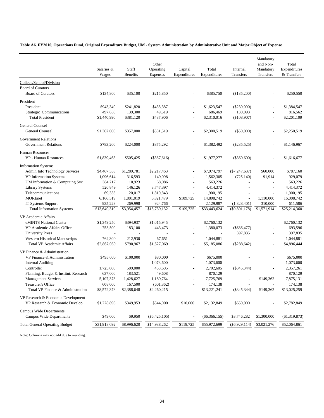**Table A6. FY2010, Operations Fund, Original Expenditure Budget, UM - System Administration by Administrative Unit and Major Object of Expense**

|                                                                      | Salaries &<br>Wages    | Staff<br><b>Benefits</b> | Other<br>Operating<br>Expenses | Capital<br>Expenditures | Total<br>Expenditures  | Internal<br>Transfers    | Mandatory<br>and Non-<br>Mandatory<br>Transfers | Total<br>Expenditures<br>& Transfers |
|----------------------------------------------------------------------|------------------------|--------------------------|--------------------------------|-------------------------|------------------------|--------------------------|-------------------------------------------------|--------------------------------------|
| College/School/Division                                              |                        |                          |                                |                         |                        |                          |                                                 |                                      |
| <b>Board of Curators</b>                                             |                        |                          |                                |                         |                        |                          |                                                 |                                      |
| <b>Board of Curators</b>                                             | \$134,800              | \$35,100                 | \$215,850                      |                         | \$385,750              | (\$135,200)              |                                                 | \$250,550                            |
|                                                                      |                        |                          |                                |                         |                        |                          |                                                 |                                      |
| President<br>President                                               |                        | \$241,820                |                                |                         |                        |                          |                                                 | \$1,384,547                          |
| Strategic Communications                                             | \$943,340              |                          | \$438,387                      |                         | \$1,623,547            | $(\$239,000)$<br>130,093 |                                                 |                                      |
| <b>Total President</b>                                               | 497,650<br>\$1,440,990 | 139,300<br>\$381,120     | 49,519<br>\$487,906            | $\overline{a}$          | 686,469<br>\$2,310,016 | (\$108,907)              | $\overline{\phantom{a}}$                        | 816,562<br>\$2,201,109               |
|                                                                      |                        |                          |                                |                         |                        |                          |                                                 |                                      |
| General Counsel                                                      |                        |                          |                                |                         |                        |                          |                                                 |                                      |
| General Counsel                                                      | \$1,362,000            | \$357,000                | \$581,519                      |                         | \$2,300,519            | $(\$50,000)$             |                                                 | \$2,250,519                          |
| <b>Government Relations</b>                                          |                        |                          |                                |                         |                        |                          |                                                 |                                      |
| <b>Government Relations</b>                                          | \$783,200              | \$224,000                | \$375,292                      |                         | \$1,382,492            | $(\$235,525)$            |                                                 | \$1,146,967                          |
|                                                                      |                        |                          |                                |                         |                        |                          |                                                 |                                      |
| <b>Human Resources</b>                                               |                        |                          |                                |                         |                        |                          |                                                 |                                      |
| <b>VP</b> - Human Resources                                          | \$1,839,468            | \$505,425                | $(\$367,616)$                  |                         | \$1,977,277            | $(\$360,600)$            |                                                 | \$1,616,677                          |
| <b>Information Systems</b>                                           |                        |                          |                                |                         |                        |                          |                                                 |                                      |
| Admin Info Technology Services                                       | \$4,467,553            | \$1,289,781              | \$2,217,463                    |                         | \$7,974,797            | $(\$7,247,637)$          | \$60,000                                        | \$787,160                            |
| <b>VP</b> Information Systems                                        | 1,096,614              | 316,593                  | 149,098                        |                         | 1,562,305              | (725, 140)               | 91,914                                          | 929,079                              |
| UM Information & Computing Svc                                       | 384,217                | 110,923                  | 68,086                         |                         | 563,226                |                          |                                                 | 563,226                              |
| <b>Library Systems</b>                                               | 520,849                | 146,126                  | 3,747,397                      |                         | 4,414,372              |                          | $\overline{a}$                                  | 4,414,372                            |
| Telecommunications                                                   | 69,335                 | 20,017                   | 1,810,843                      | $\overline{a}$          | 1,900,195              |                          | $\overline{a}$                                  | 1,900,195                            |
| <b>MOREnet</b>                                                       | 6,166,519              | 1,801,019                | 6,821,479                      | \$109,725               | 14,898,742             | $\overline{\phantom{a}}$ | 1,110,000                                       | 16,008,742                           |
| IT Systems Support                                                   | 935,223                | 269,998                  | 924,766                        |                         | 2,129,987              | (1,828,401)              | 310,000                                         | 611,586                              |
| <b>Total Information Systems</b>                                     | \$13,640,310           | \$3,954,457              | \$15,739,132                   | \$109,725               | \$33,443,624           | $(\$9,801,178)$          | \$1,571,914                                     | \$25,214,360                         |
| VP Academic Affairs                                                  |                        |                          |                                |                         |                        |                          |                                                 |                                      |
| eMINTS National Center                                               | \$1,349,250            | \$394,937                | \$1,015,945                    |                         | \$2,760,132            |                          |                                                 | \$2,760,132                          |
| VP Academic Affairs Office                                           | 753,500                | 183,100                  | 443,473                        |                         | 1,380,073              | $(\$686,477)$            |                                                 | 693,596                              |
| <b>University Press</b>                                              |                        |                          |                                |                         |                        | 397,835                  |                                                 | 397,835                              |
| <b>Western Historical Manuscripts</b>                                | 764,300                | 212,930                  | 67,651                         |                         | 1,044,881              |                          |                                                 | 1,044,881                            |
| <b>Total VP Academic Affairs</b>                                     | \$2,867,050            | \$790,967                | \$1,527,069                    |                         | \$5,185,086            | (\$288,642)              |                                                 | \$4,896,444                          |
|                                                                      |                        |                          |                                |                         |                        |                          |                                                 |                                      |
| VP Finance & Administration                                          |                        |                          |                                |                         |                        |                          |                                                 |                                      |
| VP Finance & Administration                                          | \$495,000              | \$100,000                | \$80,000                       |                         | \$675,000              |                          |                                                 | \$675,000                            |
| <b>Internal Auditing</b>                                             |                        | $\overline{\phantom{a}}$ | 1,073,600                      | $\overline{a}$          | 1,073,600              |                          | $\overline{a}$                                  | 1,073,600                            |
| Controller                                                           | 1,725,000              | 509,000                  | 468,605                        |                         | 2,702,605              | $(\$345,344)$            |                                                 | 2,357,261                            |
| Planning, Budget & Institut. Research                                | 637,000                | 183,521                  | 49,608                         |                         | 870,129                |                          |                                                 | 870,129                              |
| <b>Management Services</b>                                           | 5,107,378              | 1,428,627                | 1,189,764                      | $\overline{a}$          | 7,725,769              |                          | \$149,362                                       | 7,875,131                            |
| Treasurer's Office                                                   | 608,000                | 167,500                  | (601, 362)                     |                         | 174,138                |                          |                                                 | 174,138                              |
| Total VP Finance & Administration                                    | \$8,572,378            | \$2,388,648              | \$2,260,215                    |                         | \$13,221,241           | $(\$345,344)$            | \$149,362                                       | \$13,025,259                         |
| VP Research & Economic Development<br>VP Research & Economic Develop | \$1,228,896            | \$349,953                | \$544,000                      | \$10,000                | \$2,132,849            | \$650,000                |                                                 | \$2,782,849                          |
| <b>Campus Wide Departments</b><br><b>Campus Wide Departments</b>     | \$49,000               | \$9,950                  | $(\$6,425,105)$                |                         | $(\$6,366,155)$        | \$3,746,282              | \$1,300,000                                     | (\$1,319,873)                        |
|                                                                      |                        |                          |                                |                         |                        |                          |                                                 |                                      |
| <b>Total General Operating Budget</b>                                | \$31,918,092           | \$8,996,620              | \$14,938,262                   | \$119,725               | \$55,972,699           | $(\$6,929,114)$          | \$3,021,276                                     | \$52,064,861                         |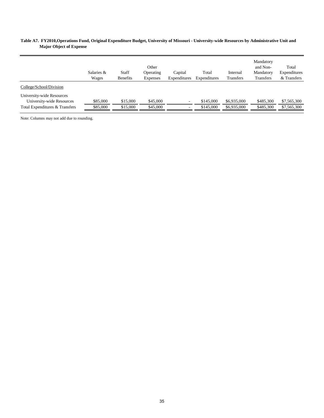#### **Table A7. FY2010,Operations Fund, Original Expenditure Budget, University of Missouri - University-wide Resources by Administrative Unit and Major Object of Expense**

|                                                                                          | Salaries &<br>Wages  | Staff<br><b>Benefits</b> | Other<br>Operating<br><b>Expenses</b> | Capital<br>Expenditures | Total<br>Expenditures  | Internal<br><b>Transfers</b> | Mandatory<br>and Non-<br>Mandatory<br><b>Transfers</b> | Total<br>Expenditures<br>& Transfers |
|------------------------------------------------------------------------------------------|----------------------|--------------------------|---------------------------------------|-------------------------|------------------------|------------------------------|--------------------------------------------------------|--------------------------------------|
| College/School/Division                                                                  |                      |                          |                                       |                         |                        |                              |                                                        |                                      |
| University-wide Resources<br>University-wide Resources<br>Total Expenditures & Transfers | \$85,000<br>\$85,000 | \$15,000<br>\$15,000     | \$45,000<br>\$45,000                  | $\sim$<br>$\sim$        | \$145,000<br>\$145,000 | \$6,935,000<br>\$6,935,000   | \$485,300<br>\$485,300                                 | \$7,565,300<br>\$7,565,300           |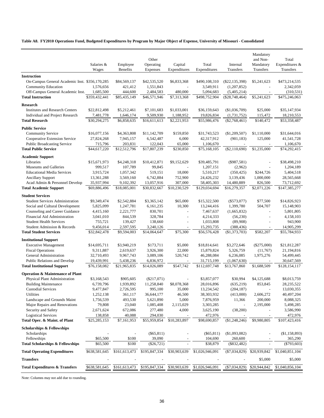**Table A8. FY2010 Operations Fund, Budgeted Expenditures by Program by Major Object of Expense, University of Missouri - Consolidated**

|                                                                    |                            |                             | Other                     |                          |                             |                             | Mandatory<br>and Non-    | Total                       |
|--------------------------------------------------------------------|----------------------------|-----------------------------|---------------------------|--------------------------|-----------------------------|-----------------------------|--------------------------|-----------------------------|
|                                                                    | Salaries &<br>Wages        | Employee<br><b>Benefits</b> | Operating<br>Expenses     | Capital<br>Expenditures  | Total<br>Expenditures       | Internal<br>Transfers       | Mandatory<br>Transfers   | Expenditures &<br>Transfers |
| <b>Instruction</b>                                                 |                            |                             |                           |                          |                             |                             |                          |                             |
| On-Campus General Academic Inst. \$356,170,285                     |                            | \$84,569,137                | \$42,535,520              | \$6,833,368              | \$490,108,310               | $(\$22, 135, 398)$          | \$5,241,623              | \$473,214,535               |
| <b>Community Education</b>                                         | 1,576,656                  | 421,412                     | 1,551,843                 |                          | 3,549,911                   | (1,207,852)                 | $\overline{\phantom{a}}$ | 2,342,059                   |
| Off-Campus General Academic Inst.                                  | 1,685,500                  | 444,600                     | 2,484,583                 | 480,000                  | 5,094,683                   | (5,405,214)                 |                          | (310, 531)                  |
| <b>Total Instruction</b>                                           | \$359,432,441              | \$85,435,149                | \$46,571,946              | \$7,313,368              | \$498,752,904               | $(\$28,748,464)$            | \$5,241,623              | \$475,246,063               |
| Research                                                           |                            |                             |                           |                          |                             |                             |                          |                             |
| <b>Institutes and Research Centers</b>                             | \$22,812,498               | \$5,212,461                 | \$7,101,683               | \$1,033,001              | \$36,159,643                | (\$1,036,709)               | \$25,000                 | \$35,147,934                |
| Individual and Project Research                                    | 7,481,778                  | 1,646,174                   | 9,509,930                 | 1,188,952                | 19,826,834                  | (1,731,752)                 | 115,472                  | 18,210,553                  |
| <b>Total Research</b>                                              | \$30,294,275               | \$6,858,635                 | \$16,611,613              | \$2,221,953              | \$55,986,476                | $(\$2,768,461)$             | \$140,472                | \$53,358,487                |
| <b>Public Service</b>                                              |                            |                             |                           |                          |                             |                             |                          |                             |
| <b>Community Service</b>                                           | \$16,077,156               | \$4,363,808                 | \$11,142,709              | \$159,850                | \$31,743,523                | $(\$1,209,507)$             | \$1,110,000              | \$31,644,016                |
| Cooperative Extension Service                                      | 27,824,268                 | 7,945,157                   | 6,542,487                 | 6,000                    | 42,317,912                  | (901, 183)                  | 125,000                  | 41,541,728                  |
| <b>Public Broadcasting Service</b>                                 | 715,796                    | 203,831                     | 122,043                   | 65,000                   | 1,106,670                   |                             |                          | 1,106,670                   |
| <b>Total Public Service</b>                                        | \$44,617,220               | \$12,512,796                | \$17,807,239              | \$230,850                | \$75,168,105                | (\$2,110,690)               | \$1,235,000              | \$74,292,415                |
|                                                                    |                            |                             |                           |                          |                             |                             |                          |                             |
| <b>Academic Support</b>                                            | \$15,671,973               |                             | \$10,412,871              |                          |                             |                             |                          |                             |
| Libraries<br>Museums and Galleries                                 | 999,517                    | \$4,248,318<br>107,789      | 99,845                    | \$9,152,629              | \$39,485,791<br>1,207,151   | $(\$987,581)$<br>(2,962)    |                          | \$38,498,210<br>1,204,189   |
| <b>Educational Media Services</b>                                  | 3,915,724                  | 1,057,342                   | 519,151                   | 18,000                   | 5,510,217                   | (350, 425)                  | \$244,726                | 5,404,518                   |
| <b>Ancillary Support</b>                                           | 13,361,288                 | 3,569,160                   | 6,742,884                 | 752,900                  | 24,426,232                  | 3,139,436                   | 1,000,000                | 28,565,668                  |
| Acad Admin & Personnel Develop                                     | 35,937,994                 | 9,102,392                   | 13,057,916                | 307,000                  | 58,405,303                  | 14,480,889                  | 826,500                  | 73,712,692                  |
| <b>Total Academic Support</b>                                      | \$69,886,496               | \$18,085,001                | \$30,832,667              | $\overline{$10,230,529}$ | \$129,034,694               | \$16,279,357                | \$2,071,226              | \$147,385,277               |
|                                                                    |                            |                             |                           |                          |                             |                             |                          |                             |
| <b>Student Services</b>                                            |                            |                             |                           |                          |                             |                             |                          |                             |
| <b>Student Services Administration</b>                             | \$9,349,474                | \$2,542,884                 | \$3,365,142               | \$65,000                 | \$15,322,500                | $(\$573,077)$               | \$77,500                 | \$14,826,923                |
| Social and Cultural Development<br>Counseling and Career Guidance  | 5,825,099                  | 1,247,781<br>2,221,777      | 6,161,235<br>830,701      | 10,300                   | 13,244,416<br>7,467,637     | 1,399,780                   | 504,707                  | 15,148,903<br>5,801,805     |
| Financial Aid Administration                                       | 4,415,160<br>3,041,010     | 844,539                     | 328,784                   |                          | 4,214,333                   | (1,665,832)<br>(56, 230)    |                          | 4,158,103                   |
| <b>Student Health Services</b>                                     | 755,721                    | 139,427                     | 138,660                   |                          | 1,033,808                   | (89,908)                    |                          | 943,900                     |
| Student Admission & Records                                        | 9,456,014                  | 2,597,595                   | 3,240,126                 | $\overline{\phantom{a}}$ | 15,293,735                  | (388, 436)                  |                          | 14,905,299                  |
| <b>Total Student Services</b>                                      | \$32,842,478               | \$9,594,003                 | \$14,064,647              | \$75,300                 | \$56,576,428                | (\$1,373,703)               | \$582,207                | \$55,784,933                |
|                                                                    |                            |                             |                           |                          |                             |                             |                          |                             |
| <b>Institutional Support</b>                                       |                            |                             |                           |                          |                             |                             |                          |                             |
| <b>Executive Management</b>                                        | \$14,695,711               | \$3,940,219                 | \$173,711                 | \$5,000                  | \$18,814,641                | \$3,272,646                 | $(\$275,000)$            | \$21,812,287                |
| <b>Fiscal Operations</b>                                           | 9,311,887                  | 2,619,637                   | 3,926,300                 | 22,000                   | 15,879,824                  | 5,326,759                   | (11,767)                 | 21,194,816                  |
| General Administration                                             | 32,710,493                 | 9,967,743                   | 3,089,106                 | 520,742                  | 46,288,084                  | 6,236,085                   | 1,975,276                | 54,499,445                  |
| Public Relations and Develop<br><b>Total Institutional Support</b> | 19,439,991<br>\$76,158,082 | 5,438,236<br>\$21,965,835   | 6,836,972<br>\$14,026,089 | \$547,742                | 31,715,199<br>\$112,697,748 | (1,067,630)<br>\$13,767,860 | \$1,688,509              | 30,647,569<br>\$128,154,117 |
|                                                                    |                            |                             |                           |                          |                             |                             |                          |                             |
| <b>Operation &amp; Maintenance of Plant</b>                        |                            |                             |                           |                          |                             |                             |                          |                             |
| Physical Plant Administration                                      | \$3,168,543                | \$905,605                   | $(\$217,071)$             |                          | \$3,857,077                 | \$30,994                    | \$4,125,688              | \$8,013,759                 |
| <b>Building Maintenance</b>                                        | 6,739,796                  | 1,939,892                   | 11,258,840                | \$8,078,368              | 28,016,896                  | (635, 219)                  | 853,845                  | 28, 235, 522                |
| <b>Custodial Services</b>                                          | 9,477,847                  | 2,726,595                   | 995,100                   | 35,000                   | 13,234,542                  | (204, 187)                  |                          | 13,030,355                  |
| Utilities                                                          | 1,252,138                  | 361,117                     | 36,644,177                | 46,500                   | 38,303,932                  | (413,000)                   | 2,606,272                | 40,497,204                  |
| Landscape and Grounds Maint                                        | 1,756,539                  | 493,530                     | 5,621,890                 | 5,000                    | 7,876,959                   | 11,366                      | 200,000                  | 8,088,325                   |
| Major Repairs and Renovations<br>Security and Safety               | 79,808<br>2,671,624        | 23,040<br>672,086           | 1,085,408<br>277,480      | 2,115,029<br>4,000       | 3,303,285<br>3,625,190      | (38,200)                    | 2,195,000                | 5,498,285<br>3,586,990      |
| <b>Logistical Services</b>                                         | 138,858                    | 40,088                      | 294,030                   |                          | 472,976                     |                             |                          | 472,976                     |
| Total Oper. & Maint. of Plant                                      | \$25,285,153               | \$7,161,953                 | \$55,959,854              | \$10,283,897             | \$98,690,857                | $(\$1,248,246)$             | \$9,980,805              | \$107,423,416               |
|                                                                    |                            |                             |                           |                          |                             |                             |                          |                             |
| <b>Scholarships &amp; Fellowships</b>                              |                            |                             |                           |                          |                             |                             |                          |                             |
| Scholarships                                                       |                            |                             | $(\$65,811)$              |                          | $(\$65,811)$                | $(\$1,093,082)$             |                          | (\$1,158,893)               |
| Fellowships<br><b>Total Scholarships &amp; Fellowships</b>         | \$65,500<br>\$65,500       | \$100<br>\$100              | 39,090<br>$(\$26,721)$    |                          | 104,690<br>\$38,879         | 260,600<br>$($ \$832,482)   |                          | 365,290<br>( \$793,603)     |
|                                                                    |                            |                             |                           |                          |                             |                             |                          |                             |
| <b>Total Operating Expenditures</b>                                | \$638,581,645              | \$161,613,473               | \$195,847,334             | \$30,903,639             | \$1,026,946,091             | $(\$7,034,829)$             | \$20,939,842             | \$1,040,851,104             |
| <b>Transfers</b>                                                   |                            |                             |                           |                          |                             |                             | \$5,000                  | \$5,000                     |
| <b>Total Expenditures &amp; Transfers</b>                          | \$638,581,645              | \$161,613,473               | \$195,847,334             | \$30,903,639             | \$1,026,946,091             | $(\$7,034,829)$             | \$20,944,842             | \$1,040,856,104             |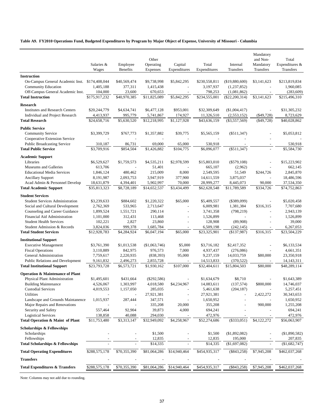#### **Table A9. FY2010 Operations Fund, Budgeted Expenditures by Program by Major Object of Expense, University of Missouri - Columbia**

|                                             | Salaries &<br>Wages | Employee<br>Benefits | Other<br>Operating<br>Expenses | Capital<br>Expenditures  | Total<br>Expenditures | Internal<br>Transfers | Mandatory<br>and Non-<br>Mandatory<br>Transfers | Total<br>Expenditures &<br>Transfers |
|---------------------------------------------|---------------------|----------------------|--------------------------------|--------------------------|-----------------------|-----------------------|-------------------------------------------------|--------------------------------------|
| <b>Instruction</b>                          |                     |                      |                                |                          |                       |                       |                                                 |                                      |
| On-Campus General Academic Inst.            | \$174,408,044       | \$40,569,474         | \$9,738,998                    | \$5,842,295              | \$230,558,811         | (\$19,880,600)        | \$3,141,623                                     | \$213,819,834                        |
| Community Education                         | 1,405,188           | 377,311              | 1,415,438                      |                          | 3,197,937             | (1,237,852)           | $\overline{a}$                                  | 1,960,085                            |
| Off-Campus General Academic Inst.           | 104,000             | 23,600               | 670,653                        |                          | 798,253               | (1,081,862)           |                                                 | (283, 609)                           |
| <b>Total Instruction</b>                    | \$175,917,232       | \$40,970,385         | \$11,825,089                   | \$5,842,295              | \$234,555,001         | $(\$22,200,314)$      | \$3,141,623                                     | \$215,496,310                        |
| Research                                    |                     |                      |                                |                          |                       |                       |                                                 |                                      |
| <b>Institutes and Research Centers</b>      | \$20,244,779        | \$4,634,741          | \$6,477,128                    | \$953,001                | \$32,309,649          | $(\$1,004,417)$       | ÷,                                              | \$31,305,232                         |
| Individual and Project Research             | 4,413,937           | 995,779              | 5,741,867                      | 174,927                  | 11,326,510            | (2, 553, 152)         | $(\$49,728)$                                    | 8,723,629                            |
| <b>Total Research</b>                       | \$24,658,716        | \$5,630,520          | \$12,218,995                   | \$1,127,928              | \$43,636,159          | $(\$3,557,569)$       | ( \$49, 728)                                    | \$40,028,862                         |
| <b>Public Service</b>                       |                     |                      |                                |                          |                       |                       |                                                 |                                      |
| <b>Community Service</b>                    | \$3,399,729         | \$767,773            | \$1,357,882                    | \$39,775                 | \$5,565,159           | $(\$511,347)$         |                                                 | \$5,053,812                          |
| Cooperative Extension Service               |                     |                      |                                |                          |                       |                       |                                                 |                                      |
| <b>Public Broadcasting Service</b>          | 310,187             | 86,731               | 69,000                         | 65,000                   | 530,918               |                       |                                                 | 530,918                              |
| <b>Total Public Service</b>                 | \$3,709,916         | \$854,504            | \$1,426,882                    | \$104,775                | \$6,096,077           | $(\$511,347)$         |                                                 | \$5,584,730                          |
| <b>Academic Support</b>                     |                     |                      |                                |                          |                       |                       |                                                 |                                      |
| Libraries                                   | \$6,529,627         | \$1,759,573          | \$4,535,211                    | \$2,978,599              | \$15,803,010          | $(\$579,108)$         |                                                 | \$15,223,902                         |
| Museums and Galleries                       | 613,706             |                      | 51,401                         |                          | 665,107               | (2,962)               |                                                 | 662,145                              |
| <b>Educational Media Services</b>           | 1,846,124           | 480,462              | 215,009                        | 8,000                    | 2,549,595             | 51,549                | \$244,726                                       | 2,845,870                            |
| <b>Ancillary Support</b>                    | 8,191,987           | 2,093,753            | 3,947,919                      | 377,900                  | 14,611,559            | 3,875,037             |                                                 | 18,486,596                           |
| Acad Admin & Personnel Develop              | 18,631,879          | 4,394,401            | 5,902,997                      | 70,000                   | 28,999,277            | 8,445,073             | 90,000                                          | 37,534,350                           |
| <b>Total Academic Support</b>               | \$35,813,323        | \$8,728,189          | \$14,652,537                   | \$3,434,499              | \$62,628,548          | \$11,789,589          | \$334,726                                       | \$74,752,863                         |
| <b>Student Services</b>                     |                     |                      |                                |                          |                       |                       |                                                 |                                      |
| <b>Student Services Administration</b>      | \$3,239,633         | \$884,602            | \$1,220,322                    | \$65,000                 | \$5,409,557           | $(\$389,099)$         |                                                 | \$5,020,458                          |
| Social and Cultural Development             | 2,762,369           | 533,965              | 2,713,647                      |                          | 6,009,981             | 1,381,384             | \$316,315                                       | 7,707,680                            |
| Counseling and Career Guidance              | 1,899,524           | 1,551,721            | 290,114                        | $\overline{a}$           | 3,741,358             | (798, 219)            | $\overline{a}$                                  | 2,943,139                            |
| Financial Aid Administration                | 1,101,000           | 312,431              | 113,468                        |                          | 1,526,899             |                       |                                                 | 1,526,899                            |
| <b>Student Health Services</b>              | 102,221             | 2,827                | 23,860                         | $\overline{a}$           | 128,908               | (89,908)              |                                                 | 39,000                               |
| Student Admission & Records                 | 3,824,036           | 999,378              | 1,685,784                      | $\overline{\phantom{a}}$ | 6,509,198             | (242, 145)            | $\overline{\phantom{a}}$                        | 6,267,053                            |
| <b>Total Student Services</b>               | \$12,928,783        | \$4,284,924          | \$6,047,194                    | \$65,000                 | \$23,325,901          | (\$137,987)           | \$316,315                                       | \$23,504,229                         |
| <b>Institutional Support</b>                |                     |                      |                                |                          |                       |                       |                                                 |                                      |
| <b>Executive Management</b>                 | \$3,761,390         | \$1,013,538          | $(\$1,063,746)$                | \$5,000                  | \$3,716,182           | \$2,417,352           |                                                 | \$6,133,534                          |
| <b>Fiscal Operations</b>                    | 3,110,889           | 842,975              | 976,573                        | 7,000                    | 4,937,437             | (276,086)             |                                                 | 4,661,351                            |
| General Administration                      | 7,759,617           | 2,220,935            | (838, 393)                     | 95,000                   | 9,237,159             | 14,033,759            | \$80,000                                        | 23,350,918                           |
| Public Relations and Development            | 9,161,832           | 2,496,273            | 2,855,728                      |                          | 14,513,833            | (370, 522)            |                                                 | 14,143,311                           |
| <b>Total Institutional Support</b>          | \$23,793,728        | \$6,573,721          | \$1,930,162                    | \$107,000                | \$32,404,611          | \$15,804,503          | \$80,000                                        | \$48,289,114                         |
| <b>Operation &amp; Maintenance of Plant</b> |                     |                      |                                |                          |                       |                       |                                                 |                                      |
| Physical Plant Administration               | \$1,495,601         | \$431,664            | $(\$292,586)$                  |                          | \$1,634,679           | \$8,710               |                                                 | \$1,643,389                          |
| <b>Building Maintenance</b>                 | 4,526,067           | 1,303,997            | 4,018,580                      | \$4,234,967              | 14,083,611            | (137,574)             | \$800,000                                       | 14,746,037                           |
| <b>Custodial Services</b>                   | 4,019,553           | 1,157,050            | 285,035                        |                          | 5,461,638             | (204, 187)            |                                                 | 5,257,451                            |
| Utilities                                   |                     |                      | 27,921,381                     |                          | 27,921,381            |                       | 2,422,272                                       | 30, 343, 653                         |
| Landscape and Grounds Maintanence           | 1,015,937           | 287,444              | 347,571                        |                          | 1,650,952             |                       |                                                 | 1,650,952                            |
| Major Repairs and Renovations               |                     |                      | 335,208                        | 20,000                   | 355,208               |                       | 900,000                                         | 1,255,208                            |
| Security and Safety                         | 557,464             | 92,904               | 39,873                         | 4,000                    | 694,241               |                       |                                                 | 694,241                              |
| <b>Logistical Services</b>                  | 138,858             | 40,088               | 294,030                        |                          | 472,976               |                       |                                                 | 472,976                              |
| Total Operation & Maint of Plant            | \$11,753,480        | \$3,313,147          | \$32,949,092                   | \$4,258,967              | \$52,274,686          | $(\$333,051)$         | \$4,122,272                                     | \$56,063,907                         |
| Scholarships & Fellowships                  |                     |                      |                                |                          |                       |                       |                                                 |                                      |
| Scholarships                                |                     |                      | \$1,500                        |                          | \$1,500               | $(\$1,892,082)$       |                                                 | $(\$1,890,582)$                      |
| Fellowships                                 |                     |                      | 12,835                         |                          | 12,835                | 195,000               |                                                 | 207,835                              |
| <b>Total Scholarships &amp; Fellowships</b> |                     |                      | \$14,335                       |                          | \$14,335              | $(\$1,697,082)$       | $\overline{\phantom{a}}$                        | $(\$1,682,747)$                      |
| <b>Total Operating Expenditures</b>         | \$288,575,178       | \$70,355,390         | \$81,064,286                   | \$14,940,464             | \$454,935,317         | $(\$843,258)$         | \$7,945,208                                     | \$462,037,268                        |
| <b>Transfers</b>                            |                     |                      |                                |                          |                       |                       |                                                 |                                      |
| <b>Total Expenditures &amp; Transfers</b>   | \$288,575,178       | \$70,355,390         | \$81,064,286                   | \$14,940,464             | \$454,935,317         | $(\$843,258)$         | \$7,945,208                                     | \$462,037,268                        |
|                                             |                     |                      |                                |                          |                       |                       |                                                 |                                      |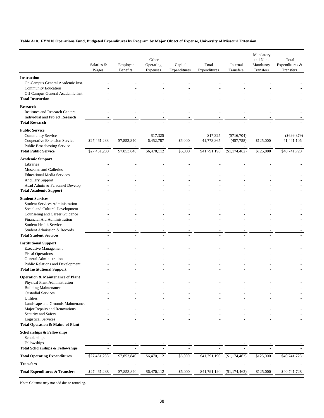#### **Table A10. FY2010 Operations Fund, Budgeted Expenditures by Program by Major Object of Expense, University of Missouri Extension**

|                                                                           |              |                 | Other       |              |              |               | Mandatory<br>and Non- | Total          |
|---------------------------------------------------------------------------|--------------|-----------------|-------------|--------------|--------------|---------------|-----------------------|----------------|
|                                                                           | Salaries &   | Employee        | Operating   | Capital      | Total        | Internal      | Mandatory             | Expenditures & |
|                                                                           | Wages        | <b>Benefits</b> | Expenses    | Expenditures | Expenditures | Transfers     | Transfers             | Transfers      |
| <b>Instruction</b>                                                        |              |                 |             |              |              |               |                       |                |
| On-Campus General Academic Inst.                                          |              |                 |             |              |              |               |                       |                |
| Community Education                                                       |              |                 |             |              |              |               |                       |                |
| Off-Campus General Academic Inst.                                         |              |                 |             |              |              |               |                       |                |
| <b>Total Instruction</b>                                                  |              |                 |             |              |              |               |                       |                |
| <b>Research</b>                                                           |              |                 |             |              |              |               |                       |                |
| <b>Institutes and Research Centers</b><br>Individual and Project Research |              |                 |             |              |              |               |                       |                |
| <b>Total Research</b>                                                     |              |                 |             |              |              |               |                       |                |
| <b>Public Service</b>                                                     |              |                 |             |              |              |               |                       |                |
| Community Service                                                         |              |                 | \$17,325    |              | \$17,325     | $(\$716,704)$ |                       | $(\$699,379)$  |
| Cooperative Extension Service                                             | \$27,461,238 | \$7,853,840     | 6,452,787   | \$6,000      | 41,773,865   | (457, 758)    | \$125,000             | 41,441,106     |
| <b>Public Broadcasting Service</b>                                        |              |                 |             |              |              |               |                       |                |
| <b>Total Public Service</b>                                               | \$27,461,238 | \$7,853,840     | \$6,470,112 | \$6,000      | \$41,791,190 | (\$1,174,462) | \$125,000             | \$40,741,728   |
| <b>Academic Support</b>                                                   |              |                 |             |              |              |               |                       |                |
| Libraries                                                                 |              |                 |             |              |              |               |                       |                |
| Museums and Galleries                                                     |              |                 |             |              |              |               |                       |                |
| <b>Educational Media Services</b><br><b>Ancillary Support</b>             |              |                 |             |              |              |               |                       |                |
| Acad Admin & Personnel Develop                                            |              |                 |             |              |              |               |                       |                |
| <b>Total Academic Support</b>                                             |              |                 |             |              |              |               |                       |                |
| <b>Student Services</b>                                                   |              |                 |             |              |              |               |                       |                |
| <b>Student Services Administration</b>                                    |              |                 |             |              |              |               |                       |                |
| Social and Cultural Development                                           |              |                 |             |              |              |               |                       |                |
| Counseling and Career Guidance                                            |              |                 |             |              |              |               |                       |                |
| Financial Aid Administration                                              |              |                 |             |              |              |               |                       |                |
| <b>Student Health Services</b><br>Student Admission & Records             |              |                 |             |              |              |               |                       |                |
| <b>Total Student Services</b>                                             |              |                 |             |              |              |               |                       |                |
| <b>Institutional Support</b>                                              |              |                 |             |              |              |               |                       |                |
| <b>Executive Management</b>                                               |              |                 |             |              |              |               |                       |                |
| <b>Fiscal Operations</b>                                                  |              |                 |             |              |              |               |                       |                |
| General Administration                                                    |              |                 |             |              |              |               |                       |                |
| Public Relations and Development                                          |              |                 |             |              |              |               |                       |                |
| <b>Total Institutional Support</b>                                        |              |                 |             |              |              |               |                       |                |
| <b>Operation &amp; Maintenance of Plant</b>                               |              |                 |             |              |              |               |                       |                |
| Physical Plant Administration<br><b>Building Maintenance</b>              |              |                 |             |              |              |               |                       |                |
| <b>Custodial Services</b>                                                 |              |                 |             |              |              |               |                       |                |
| Utilities                                                                 |              |                 |             |              |              |               |                       |                |
| Landscape and Grounds Maintenance                                         |              |                 |             |              |              |               |                       |                |
| Major Repairs and Renovations                                             |              |                 |             |              |              |               |                       |                |
| Security and Safety<br><b>Logistical Services</b>                         |              |                 |             |              |              |               |                       |                |
| Total Operation & Maint of Plant                                          |              |                 |             |              |              |               |                       |                |
| <b>Scholarships &amp; Fellowships</b>                                     |              |                 |             |              |              |               |                       |                |
| Scholarships                                                              |              |                 |             |              |              |               |                       |                |
| Fellowships                                                               |              |                 |             |              |              |               |                       |                |
| <b>Total Scholarships &amp; Fellowships</b>                               |              |                 |             |              |              |               |                       |                |
| <b>Total Operating Expenditures</b>                                       | \$27,461,238 | \$7,853,840     | \$6,470,112 | \$6,000      | \$41,791,190 | (\$1,174,462) | \$125,000             | \$40,741,728   |
| <b>Transfers</b>                                                          |              |                 |             |              |              |               |                       |                |
| <b>Total Expenditures &amp; Transfers</b>                                 | \$27,461,238 | \$7,853,840     | \$6,470,112 | \$6,000      | \$41,791,190 | (\$1,174,462) | \$125,000             | \$40,741,728   |
|                                                                           |              |                 |             |              |              |               |                       |                |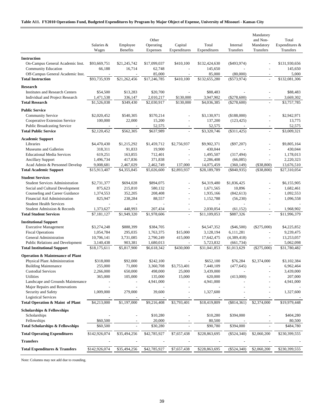|                                                                        | Salaries &<br>Wages       | Employee<br>Benefits   | Other<br>Operating<br>Expenses | Capital<br>Expenditures  | Total<br>Expenditures     | Internal<br>Transfers     | Mandatory<br>and Non-<br>Mandatory<br>Transfers | Total<br>Expenditures &<br><b>Transfers</b> |
|------------------------------------------------------------------------|---------------------------|------------------------|--------------------------------|--------------------------|---------------------------|---------------------------|-------------------------------------------------|---------------------------------------------|
|                                                                        |                           |                        |                                |                          |                           |                           |                                                 |                                             |
| <b>Instruction</b><br>On-Campus General Academic Inst.                 | \$93,669,751              | \$21,245,742           | \$17,099,037                   | \$410,100                | \$132,424,630             | $(\$493,974)$             |                                                 | \$131,930,656                               |
| Community Education                                                    | 66,188                    | 16,714                 | 62,748                         |                          | 145,650                   |                           |                                                 | 145,650                                     |
| Off-Campus General Academic Inst.                                      | $\overline{a}$            |                        | 85,000                         | $\overline{a}$           | 85,000                    | (80,000)                  | $\overline{\phantom{a}}$                        | 5,000                                       |
| <b>Total Instruction</b>                                               | \$93,735,939              | \$21,262,456           | \$17,246,785                   | \$410,100                | \$132,655,280             | $(\$573,974)$             | $\overline{a}$                                  | \$132,081,306                               |
| <b>Research</b>                                                        |                           |                        |                                |                          |                           |                           |                                                 |                                             |
| <b>Institutes and Research Centers</b>                                 | \$54,500                  | \$13,283               | \$20,700                       |                          | \$88,483                  |                           |                                                 | \$88,483                                    |
| Individual and Project Research                                        | 1,471,538                 | 336,147                | 2,010,217                      | \$130,000                | 3,947,902                 | (\$278,600)               |                                                 | 3,669,302                                   |
| <b>Total Research</b>                                                  | \$1,526,038               | \$349,430              | \$2,030,917                    | \$130,000                | \$4,036,385               | $(\$278,600)$             | $\overline{a}$                                  | \$3,757,785                                 |
| <b>Public Service</b>                                                  |                           |                        |                                |                          |                           |                           |                                                 |                                             |
| <b>Community Service</b>                                               | \$2,020,452               | \$540,305              | \$570,214                      |                          | \$3,130,971               | (\$188,000)               |                                                 | \$2,942,971                                 |
| Cooperative Extension Service                                          | 100,000                   | 22,000                 | 15,200                         | $\overline{a}$           | 137,200                   | (123, 425)                | $\overline{a}$                                  | 13,775                                      |
| <b>Public Broadcasting Service</b>                                     |                           |                        | 52,575                         |                          | 52,575                    |                           |                                                 | 52,575                                      |
| <b>Total Public Service</b>                                            | \$2,120,452               | \$562,305              | \$637,989                      |                          | \$3,320,746               | $(\$311,425)$             | $\overline{\phantom{a}}$                        | \$3,009,321                                 |
| <b>Academic Support</b>                                                |                           |                        |                                |                          |                           |                           |                                                 |                                             |
| Libraries                                                              | \$4,470,430               | \$1,215,292            | \$1,459,712                    | \$2,756,937              | \$9,902,371               | $(\$97,207)$              |                                                 | \$9,805,164                                 |
| Museums and Galleries                                                  | 318,311                   | 91,833                 | 19,900                         |                          | 430,044                   |                           |                                                 | 430,044                                     |
| <b>Educational Media Services</b>                                      | 619,251                   | 163,855                | 712,401                        |                          | 1,495,507                 | (317, 494)                |                                                 | 1,178,013                                   |
| <b>Ancillary Support</b>                                               | 1,496,734                 | 417,836                | 371,838                        | $\overline{a}$           | 2,286,408                 | (66,085)                  | $\overline{\phantom{a}}$                        | 2,220,323                                   |
| Acad Admin & Personnel Develop                                         | 9,008,681                 | 2,467,029              | 2,462,749                      | 137,000                  | 14,075,459                | (360, 149)                | $(\$38,800)$                                    | 13,676,510                                  |
| <b>Total Academic Support</b>                                          | \$15,913,407              | \$4,355,845            | \$5,026,600                    | \$2,893,937              | \$28,189,789              | $(\$840,935)$             | (\$38,800)                                      | \$27,310,054                                |
| <b>Student Services</b>                                                |                           |                        |                                |                          |                           |                           |                                                 |                                             |
| <b>Student Services Administration</b>                                 | \$2,731,377               | \$694,028              | \$894,075                      |                          | \$4,319,480               | \$1,836,425               |                                                 | \$6,155,905                                 |
| Social and Cultural Development                                        | 875,623                   | 215,810                | 580,132                        | ÷,                       | 1,671,565                 | 10,896                    |                                                 | 1,682,461                                   |
| Counseling and Career Guidance                                         | 1,374,553                 | 352,205                | 208,408                        | L,                       | 1,935,166                 | (842, 613)                |                                                 | 1,092,553                                   |
| Financial Aid Administration                                           | 825,947                   | 238,284                | 88,557                         | ÷,                       | 1,152,788                 | (56, 230)                 |                                                 | 1,096,558                                   |
| <b>Student Health Services</b>                                         |                           |                        |                                | $\overline{\phantom{a}}$ |                           |                           |                                                 |                                             |
| Student Admission & Records<br><b>Total Student Services</b>           | 1,373,627                 | 448,993<br>\$1,949,320 | 207,434<br>\$1,978,606         | $\frac{1}{2}$            | 2,030,054<br>\$11,109,053 | (61, 152)<br>\$887,326    |                                                 | 1,968,902<br>\$11,996,379                   |
|                                                                        | \$7,181,127               |                        |                                |                          |                           |                           |                                                 |                                             |
| <b>Institutional Support</b>                                           |                           |                        |                                |                          |                           |                           |                                                 |                                             |
| <b>Executive Management</b>                                            | \$3,274,248               | \$888,399              | \$384,705                      |                          | \$4,547,352               | $(\$46,500)$              | $(\$275,000)$                                   | \$4,225,852                                 |
| <b>Fiscal Operations</b>                                               | 1,054,784                 | 295,035                | 1,763,375                      | \$15,000                 | 3,128,194                 | 6,111,281                 |                                                 | 9,239,475                                   |
| General Administration                                                 | 10,706,141                | 3,731,085              | 2,790,249                      | 415,000                  | 17,642,475                | (4,389,418)               | $\overline{a}$                                  | 13,253,057                                  |
| Public Relations and Development<br><b>Total Institutional Support</b> | 3,140,438<br>\$18,175,611 | 903,381<br>\$5,817,900 | 1,680,013<br>\$6,618,342       | \$430,000                | 5,723,832<br>\$31,041,853 | (661, 734)<br>\$1,013,629 | $(\$275,000)$                                   | 5,062,098<br>\$31,780,482                   |
|                                                                        |                           |                        |                                |                          |                           |                           |                                                 |                                             |
| <b>Operation &amp; Maintenance of Plant</b>                            |                           |                        |                                |                          |                           |                           |                                                 |                                             |
| Physical Plant Administration                                          | \$318,000                 | \$92,000               | \$242,100                      |                          | \$652,100                 | \$76,284                  | \$2,374,000                                     | \$3,102,384                                 |
| <b>Building Maintenance</b>                                            | 255,000                   | 71,000                 | 3,360,708<br>498,000           | \$3,753,401              | 7,440,109                 | (477, 645)                |                                                 | 6,962,464                                   |
| <b>Custodial Services</b><br><b>Utilities</b>                          | 2,266,000<br>365,000      | 650,000<br>105,000     | 135,000                        | 25,000<br>15,000         | 3,439,000<br>620,000      | (413,000)                 |                                                 | 3,439,000<br>207,000                        |
| Landscape and Grounds Maintenance                                      |                           |                        | 4,941,000                      |                          | 4,941,000                 |                           |                                                 | 4,941,000                                   |
| Major Repairs and Renovations                                          |                           |                        |                                |                          |                           |                           |                                                 |                                             |
| Security and Safety                                                    | 1,009,000                 | 279,000                | 39,600                         |                          | 1,327,600                 |                           |                                                 | 1,327,600                                   |
| <b>Logistical Services</b>                                             |                           |                        |                                |                          |                           |                           |                                                 |                                             |
| Total Operation & Maint of Plant                                       | \$4,213,000               | \$1,197,000            | \$9,216,408                    | \$3,793,401              | \$18,419,809              | $(\$814,361)$             | \$2,374,000                                     | \$19,979,448                                |
| <b>Scholarships &amp; Fellowships</b>                                  |                           |                        |                                |                          |                           |                           |                                                 |                                             |
| Scholarships                                                           |                           |                        | \$10,280                       |                          | \$10,280                  | \$394,000                 |                                                 | \$404,280                                   |
| Fellowships                                                            | \$60,500                  |                        | 20,000                         |                          | 80,500                    |                           |                                                 | 80,500                                      |
| <b>Total Scholarships &amp; Fellowships</b>                            | \$60,500                  |                        | \$30,280                       |                          | \$90,780                  | \$394,000                 |                                                 | \$484,780                                   |
| <b>Total Operating Expenditures</b>                                    | \$142,926,074             | \$35,494,256           | \$42,785,927                   | \$7,657,438              | \$228,863,695             | $(\$524,340)$             | \$2,060,200                                     | \$230,399,555                               |
| <b>Transfers</b>                                                       |                           |                        |                                |                          |                           |                           |                                                 |                                             |
| <b>Total Expenditures &amp; Transfers</b>                              | \$142,926,074             | \$35,494,256           | \$42,785,927                   | \$7,657,438              | \$228,863,695             | $(\$524,340)$             | \$2,060,200                                     | \$230,399,555                               |
|                                                                        |                           |                        |                                |                          |                           |                           |                                                 |                                             |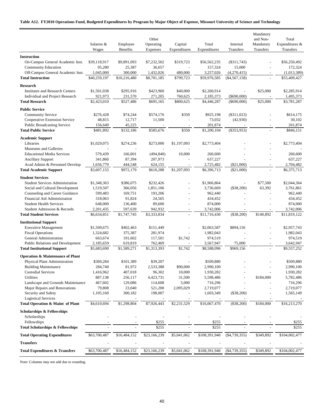#### **Table A12. FY2010 Operations Fund, Budgeted Expenditures by Program by Major Object of Expense, Missouri University of Science and Technology**

|                                                                 | Salaries &<br>Wages      | Employee<br><b>Benefits</b> | Other<br>Operating<br>Expenses | Capital<br>Expenditures | Total<br>Expenditures    | Internal<br>Transfers        | Mandatory<br>and Non-<br>Mandatory<br>Transfers | Total<br>Expenditures &<br>Transfers |
|-----------------------------------------------------------------|--------------------------|-----------------------------|--------------------------------|-------------------------|--------------------------|------------------------------|-------------------------------------------------|--------------------------------------|
| <b>Instruction</b>                                              |                          |                             |                                |                         |                          |                              |                                                 |                                      |
| On-Campus General Academic Inst.                                | \$39,118,917             | \$9,891,093                 | \$7,232,502                    | \$319,723               | \$56,562,235             | (\$311,743)                  |                                                 | \$56,250,492                         |
| <b>Community Education</b>                                      | 95,280                   | 25,387                      | 36,657                         |                         | 157,324                  | 15,000                       |                                                 | 172,324                              |
| Off-Campus General Academic Inst.                               | 1,045,000                | 300,000                     | 1,432,026                      | 480,000                 | 3,257,026                | (4,270,415)                  |                                                 | (1,013,389)                          |
| <b>Total Instruction</b>                                        | \$40,259,197             | \$10,216,480                | \$8,701,185                    | \$799,723               | \$59,976,585             | $(\$4,567,158)$              |                                                 | \$55,409,427                         |
|                                                                 |                          |                             |                                |                         |                          |                              |                                                 |                                      |
| <b>Research</b>                                                 |                          |                             |                                |                         |                          |                              |                                                 |                                      |
| <b>Institutes and Research Centers</b>                          | \$1,501,038              | \$295,916                   | \$423,960                      | \$40,000                | \$2,260,914              |                              | \$25,000                                        | \$2,285,914                          |
| Individual and Project Research                                 | 921,973                  | 231,570                     | 271,205                        | 760,625                 | 2,185,373                | $(\$690,000)$                |                                                 | 1,495,373                            |
| <b>Total Research</b>                                           | \$2,423,010              | \$527,486                   | \$695,165                      | \$800,625               | \$4,446,287              | $(\$690,000)$                | \$25,000                                        | \$3,781,287                          |
| <b>Public Service</b>                                           |                          |                             |                                |                         |                          |                              |                                                 |                                      |
| <b>Community Service</b>                                        | \$276,428                | \$74,244                    | \$574,176                      | \$350                   | \$925,198                | $(\$311,023)$                |                                                 | \$614,175                            |
| Cooperative Extension Service                                   | 48,815                   | 12,717                      | 11,500                         | ÷,                      | 73,032                   | (42,930)                     |                                                 | 30,102                               |
| <b>Public Broadcasting Service</b>                              | 156,649                  | 45,225                      |                                |                         | 201,874                  |                              |                                                 | 201,874                              |
| <b>Total Public Service</b>                                     | \$481,892                | \$132,186                   | \$585,676                      | \$350                   | \$1,200,104              | $($ \$353,953)               |                                                 | \$846,151                            |
| <b>Academic Support</b>                                         |                          |                             |                                |                         |                          |                              |                                                 |                                      |
|                                                                 |                          |                             |                                |                         |                          |                              |                                                 |                                      |
| Libraries<br>Museums and Galleries                              | \$1,029,075              | \$274,236                   | \$273,000                      | \$1,197,093             | \$2,773,404              |                              |                                                 | \$2,773,404                          |
| <b>Educational Media Services</b>                               | 579,439                  |                             | (494, 840)                     | 10,000                  |                          |                              |                                                 | 260,600                              |
| <b>Ancillary Support</b>                                        | 341,860                  | 166,001<br>87,394           | 207,973                        |                         | 260,600<br>637,227       |                              |                                                 | 637,227                              |
|                                                                 |                          |                             |                                |                         |                          |                              |                                                 |                                      |
| Acad Admin & Personnel Develop<br><b>Total Academic Support</b> | 1,656,779<br>\$3,607,153 | 444,548<br>\$972,179        | 624,155<br>\$610,288           | \$1,207,093             | 2,725,482<br>\$6,396,713 | $(\$21,000)$<br>$(\$21,000)$ |                                                 | 2,704,482<br>\$6,375,713             |
|                                                                 |                          |                             |                                |                         |                          |                              |                                                 |                                      |
| <b>Student Services</b>                                         |                          |                             |                                |                         |                          |                              |                                                 |                                      |
| <b>Student Services Administration</b>                          | \$1,348,363              | \$386,075                   | \$232,426                      |                         | \$1,966,864              | $\overline{\phantom{m}}$     | \$77,500                                        | \$2,044,364                          |
| Social and Cultural Development                                 | 1,519,507                | 366,056                     | 1,851,106                      |                         | 3,736,669                | $(\$38,200)$                 | 63,392                                          | 3,761,861                            |
| Counseling and Career Guidance                                  | 599,483                  | 169,751                     | 193,206                        |                         | 962,440                  |                              |                                                 | 962,440                              |
| Financial Aid Administration                                    | 318,063                  | 91,824                      | 24,565                         | $\overline{a}$          | 434,452                  |                              |                                                 | 434,452                              |
| <b>Student Health Services</b>                                  | 648,000                  | 136,400                     | 89,600                         |                         | 874,000                  |                              |                                                 | 874,000                              |
| Student Admission & Records                                     | 2,201,435                | 597,639                     | 942,932                        |                         | 3,742,006                |                              |                                                 | 3,742,006                            |
| <b>Total Student Services</b>                                   | \$6,634,851              | \$1,747,745                 | \$3,333,834                    | $\overline{a}$          | \$11,716,430             | $(\$38,200)$                 | \$140,892                                       | \$11,819,122                         |
| <b>Institutional Support</b>                                    |                          |                             |                                |                         |                          |                              |                                                 |                                      |
| <b>Executive Management</b>                                     | \$1,509,675              | \$402,463                   | \$151,449                      | ÷,                      | \$2,063,587              | \$894,156                    |                                                 | \$2,957,743                          |
| <b>Fiscal Operations</b>                                        | 1,324,682                | 375,387                     | 281,974                        |                         | 1,982,043                |                              |                                                 | 1,982,043                            |
| General Administration                                          | 663,674                  | 191,602                     | 117,501                        | \$1,742                 | 974,519                  |                              |                                                 | 974,519                              |
| Public Relations and Development                                | 2,185,659                | 619,819                     | 762,469                        | $\overline{a}$          | 3,567,947                | 75,000                       | $\sim$                                          | 3,642,947                            |
| <b>Total Institutional Support</b>                              | \$5,683,690              | \$1,589,271                 | \$1,313,393                    | \$1,742                 | \$8,588,096              | \$969,156                    |                                                 | \$9,557,252                          |
| <b>Operation &amp; Maintenance of Plant</b>                     |                          |                             |                                |                         |                          |                              |                                                 |                                      |
|                                                                 |                          |                             |                                |                         | \$509,880                |                              |                                                 | \$509,880                            |
| Physical Plant Administration<br><b>Building Maintenance</b>    | \$369,284<br>284,740     | \$101,389<br>81,972         | \$39,207                       | \$90,000                | 2,990,100                |                              |                                                 | 2,990,100                            |
|                                                                 |                          |                             | 2,533,388                      |                         |                          |                              |                                                 |                                      |
| <b>Custodial Services</b>                                       | 1,416,962                | 407,018                     | 96,302                         | 10,000                  | 1,930,282                |                              |                                                 | 1,930,282                            |
| Utilities                                                       | 887,138                  | 256,117                     | 4,423,731                      | 31,500                  | 5,598,486                |                              | \$184,000                                       | 5,782,486                            |
| Landscape and Grounds Maintenance                               | 467,602                  | 129,086                     | 114,608                        | 5,000                   | 716,296                  |                              |                                                 | 716,296                              |
| Major Repairs and Renovations                                   | 79,808                   | 23,040                      | 521,200                        | 2,095,029               | 2,719,077                |                              |                                                 | 2,719,077                            |
| Security and Safety                                             | 1,105,160                | 300,182                     | 198,007                        |                         | 1,603,349                | $(\$38,200)$                 |                                                 | 1,565,149                            |
| <b>Logistical Services</b><br>Total Operation & Maint of Plant  | \$4,610,694              | \$1,298,804                 | \$7,926,443                    | \$2,231,529             | \$16,067,470             | $(\$38,200)$                 | \$184,000                                       | \$16,213,270                         |
|                                                                 |                          |                             |                                |                         |                          |                              |                                                 |                                      |
| <b>Scholarships &amp; Fellowships</b>                           |                          |                             |                                |                         |                          |                              |                                                 |                                      |
| Scholarships                                                    |                          |                             |                                |                         |                          |                              |                                                 |                                      |
| Fellowships                                                     |                          |                             | \$255                          |                         | \$255                    |                              |                                                 | \$255                                |
| <b>Total Scholarships &amp; Fellowships</b>                     |                          |                             | \$255                          |                         | \$255                    |                              |                                                 | \$255                                |
| <b>Total Operating Expenditures</b>                             | \$63,700,487             | \$16,484,152                | \$23,166,239                   | \$5,041,062             | \$108,391,940            | $($ \$4,739,355)             | \$349,892                                       | \$104,002,477                        |
| <b>Transfers</b>                                                |                          |                             |                                |                         |                          |                              |                                                 |                                      |
| <b>Total Expenditures &amp; Transfers</b>                       | \$63,700,487             | \$16,484,152                | \$23,166,239                   | \$5,041,062             | \$108,391,940            | $(\$4,739,355)$              | \$349,892                                       | \$104,002,477                        |
|                                                                 |                          |                             |                                |                         |                          |                              |                                                 |                                      |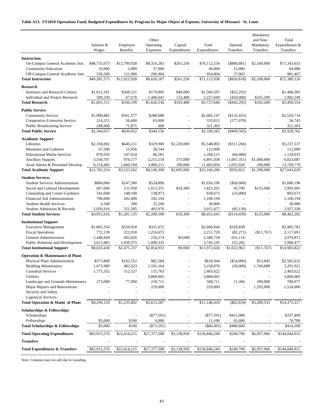#### **Table A13. FY2010 Operations Fund, Budgeted Expenditures by Program by Major Object of Expense, University of Missouri - St. Louis**

|                                                                    | Salaries &<br>Wages    | Employee<br>Benefits | Other<br>Operating<br>Expenses | Capital<br>Expenditures  | Total<br>Expenditures  | Internal<br>Transfers  | Mandatory<br>and Non-<br>Mandatory<br>Transfers | Total<br>Expenditures &<br>Transfers |
|--------------------------------------------------------------------|------------------------|----------------------|--------------------------------|--------------------------|------------------------|------------------------|-------------------------------------------------|--------------------------------------|
|                                                                    |                        |                      |                                |                          |                        |                        |                                                 |                                      |
| <b>Instruction</b><br>On-Campus General Academic Inst.             | \$48,735,073           | \$12,799,928         | \$8,316,283                    | \$261,250                | \$70,112,534           | $(\$868,881)$          | \$2,100,000                                     | \$71,343,653                         |
| <b>Community Education</b>                                         | 10,000                 | 2,000                | 37,000                         |                          | 49,000                 | 15,000                 |                                                 | 64,000                               |
| Off-Campus General Academic Inst.                                  | 536,500                | 121,000              | 296,904                        |                          | 954,404                | 27,063                 |                                                 | 981,467                              |
| <b>Total Instruction</b>                                           | \$49,281,573           | \$12,922,928         | \$8,650,187                    | \$261,250                | \$71,115,938           | $(\$826,818)$          | \$2,100,000                                     | \$72,389,120                         |
|                                                                    |                        |                      |                                |                          |                        |                        |                                                 |                                      |
| <b>Research</b>                                                    |                        |                      |                                |                          |                        |                        |                                                 |                                      |
| <b>Institutes and Research Centers</b>                             | \$1,012,181            | \$268,521            | \$179,895                      | \$40,000                 | \$1,500,597            | $(\$32,292)$           | $\overline{a}$                                  | \$1,468,305                          |
| Individual and Project Research                                    | 589,330                | 67,678               | 1,446,641                      | 123,400                  | 2,227,049              | (410,000)              | \$165,200                                       | 1,982,249                            |
| <b>Total Research</b>                                              | \$1,601,511            | \$336,199            | \$1,626,536                    | \$163,400                | \$3,727,646            | ( \$442, 292)          | \$165,200                                       | \$3,450,554                          |
| <b>Public Service</b>                                              |                        |                      |                                |                          |                        |                        |                                                 |                                      |
| <b>Community Service</b>                                           | \$1,900,882            | \$501,577            | \$280,688                      |                          | \$2,683,147            | (\$132,433)            |                                                 | \$2,550,714                          |
| Cooperative Extension Service                                      | 214,215                | 56,600               | 63,000                         | $\overline{\phantom{a}}$ | 333,815                | (277,070)              | $\overline{a}$                                  | 56,745                               |
| <b>Public Broadcasting Service</b>                                 | 248,960                | 71,875               | 468                            |                          | 321,303                |                        |                                                 | 321,303                              |
| <b>Total Public Service</b>                                        | \$2,364,057            | \$630,052            | \$344,156                      |                          | \$3,338,265            | $(\$409,503)$          | $\overline{\phantom{a}}$                        | \$2,928,762                          |
| <b>Academic Support</b>                                            |                        |                      |                                |                          |                        |                        |                                                 |                                      |
| Libraries                                                          | \$2,358,692            | \$640,211            | \$329,900                      | \$2,220,000              | \$5,548,803            | $(\$311,266)$          |                                                 | \$5,237,537                          |
| Museums and Galleries                                              | 67,500                 | 15,956               | 28,544                         |                          | 112,000                |                        |                                                 | 112,000                              |
| <b>Educational Media Services</b>                                  | 870,910                | 247,024              | 86,581                         |                          | 1,204,515              | (84, 480)              |                                                 | 1,120,035                            |
| <b>Ancillary Support</b>                                           | 3,330,707              | 970,177              | 2,215,154                      | 375,000                  | 6,891,038              | (1,067,351)            | \$1,000,000                                     | 6,823,687                            |
| Acad Admin & Personnel Develop                                     | 6,154,445              | 1,660,194            | 3,489,211                      | 100,000                  | 11,403,850             | 2,055,920              | 290,000                                         | 13,749,770                           |
| <b>Total Academic Support</b>                                      | \$12,782,254           | \$3,533,562          | \$6,149,390                    | \$2,695,000              | \$25,160,206           | \$592,823              | \$1,290,000                                     | \$27,043,029                         |
| <b>Student Services</b>                                            |                        |                      |                                |                          |                        |                        |                                                 |                                      |
| <b>Student Services Administration</b>                             | \$884,000              | \$247,300            | \$524,896                      |                          | \$1,656,196            | $(\$50,000)$           |                                                 | \$1,606,196                          |
| Social and Cultural Development                                    | 667,600                | 131,950              | 1,013,351                      | \$10,300                 | 1,823,201              | 45,700                 | \$125,000                                       | 1,993,901                            |
| Counseling and Career Guidance                                     | 541,600                | 148,100              | 138,973                        | $\overline{a}$           | 828,673                | (25,000)               |                                                 | 803,673                              |
| Financial Aid Administration                                       | 796,000                | 202,000              | 102,194                        |                          | 1,100,194              |                        |                                                 | 1,100,194                            |
| <b>Student Health Services</b>                                     | 5,500                  | 200                  | 25,200                         |                          | 30,900                 |                        |                                                 | 30,900                               |
| Student Admission & Records                                        | 2,056,916              | 551,585              | 403,976                        |                          | 3,012,477              | (85, 139)              |                                                 | 2,927,338                            |
| <b>Total Student Services</b>                                      | \$4,951,616            | \$1,281,135          | \$2,208,590                    | \$10,300                 | \$8,451,641            | (\$114,439)            | \$125,000                                       | \$8,462,202                          |
|                                                                    |                        |                      |                                |                          |                        |                        |                                                 |                                      |
| <b>Institutional Support</b><br><b>Executive Management</b>        |                        | \$529,918            |                                |                          | \$2,666,944            |                        |                                                 | \$2,985,782                          |
|                                                                    | \$1,805,354<br>772,139 | 222,918              | \$331,672<br>1,216,672         |                          | 2,211,729              | \$318,838<br>(82, 271) | (\$11,767)                                      | 2,117,691                            |
| <b>Fiscal Operations</b><br>General Administration                 | 2,440,458              | 683,026              | 216,274                        | \$9,000                  | 3,348,758              | 631,114                | $\qquad \qquad \blacksquare$                    | 3,979,872                            |
| Public Relations and Development                                   | 3,615,485              | 1,039,375            | 1,090,335                      |                          | 5,745,195              | 155,282                |                                                 | 5,900,477                            |
| <b>Total Institutional Support</b>                                 | \$8,633,436            | \$2,475,237          | \$2,854,953                    | \$9,000                  | \$13,972,626           | \$1,022,963            | (\$11,767)                                      | \$14,983,822                         |
|                                                                    |                        |                      |                                |                          |                        |                        |                                                 |                                      |
| <b>Operation &amp; Maintenance of Plant</b>                        |                        |                      |                                |                          |                        |                        |                                                 |                                      |
| Physical Plant Administration                                      | \$573,808              | \$162,552            | \$82,584                       |                          | \$818,944              | $(\$54,000)$           | \$53,845                                        | \$2,505,632                          |
| <b>Building Maintenance</b>                                        | 1,673,989              | 482,923              | 1,101,164                      |                          | 3,258,076              | (20,000)               | 1,740,688                                       | 3,291,921                            |
| <b>Custodial Services</b>                                          | 1,775,332              | 512,527              | 115,763                        |                          | 2,403,622              |                        |                                                 | 2,403,622                            |
| Utilities                                                          |                        |                      | 3,868,065                      |                          | 3,868,065              |                        |                                                 | 3,868,065                            |
| Landscape and Grounds Maintenance<br>Major Repairs and Renovations | 273,000                | 77,000               | 218,711                        |                          | 568,711                | 11,366                 | 200,000                                         | 780,077                              |
| Security and Safety                                                |                        |                      | 229,000                        |                          | 229,000                |                        | 1,295,000                                       | 1,524,000                            |
| <b>Logistical Services</b>                                         |                        |                      |                                |                          |                        |                        |                                                 |                                      |
| Total Operation & Maint of Plant                                   | \$4,296,129            | \$1,235,002          | \$5,615,287                    |                          | \$11,146,418           | $(\$62,634)$           | \$3,289,533                                     | \$14,373,317                         |
|                                                                    |                        |                      |                                |                          |                        |                        |                                                 |                                      |
| <b>Scholarships &amp; Fellowships</b>                              |                        |                      |                                |                          |                        |                        |                                                 |                                      |
| Scholarships                                                       |                        |                      | $(\$77,591)$                   |                          | $(\$77,591)$           | \$415,000              |                                                 | \$337,409                            |
| Fellowships<br><b>Total Scholarships &amp; Fellowships</b>         | \$5,000<br>\$5,000     | \$100<br>\$100       | 6,000<br>$(\$71,591)$          |                          | 11,100<br>$(\$66,491)$ | 65,600<br>\$480,600    |                                                 | 76,700<br>\$414,109                  |
|                                                                    |                        |                      |                                |                          |                        |                        |                                                 |                                      |
| <b>Total Operating Expenditures</b>                                | \$83,915,576           | \$22,414,215         | \$27,377,508                   | \$3,138,950              | \$136,846,249          | \$240,700              | \$6,957,966                                     | \$144,044,915                        |
| <b>Transfers</b>                                                   |                        |                      |                                |                          |                        |                        |                                                 |                                      |
| <b>Total Expenditures &amp; Transfers</b>                          | \$83,915,576           | \$22,414,215         | \$27,377,508                   | \$3,138,950              | \$136,846,249          | \$240,700              | \$6,957,966                                     | \$144,044,915                        |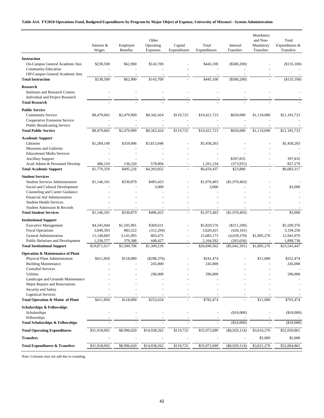#### **Table A14. FY2010 Operations Fund, Budgeted Expenditures by Program by Major Object of Expense, University of Missouri - System Administration**

|                                                                                                    | Salaries &<br>Wages     | Employee<br><b>Benefits</b> | Other<br>Operating<br>Expenses | Capital<br>Expenditures | Total<br>Expenditures    | Internal<br>Transfers     | Mandatory<br>and Non-<br>Mandatory<br>Transfers | Total<br>Expenditures &<br>Transfers |
|----------------------------------------------------------------------------------------------------|-------------------------|-----------------------------|--------------------------------|-------------------------|--------------------------|---------------------------|-------------------------------------------------|--------------------------------------|
| <b>Instruction</b>                                                                                 |                         |                             |                                |                         |                          |                           |                                                 |                                      |
| On-Campus General Academic Inst.<br>Community Education                                            | \$238,500               | \$62,900                    | \$143,700                      |                         | \$445,100                | $(\$580,200)$             |                                                 | (\$135,100)                          |
| Off-Campus General Academic Inst.<br><b>Total Instruction</b>                                      | \$238,500               | \$62,900                    | \$143,700                      |                         | \$445,100                | $(\$580,200)$             |                                                 | (\$135,100)                          |
| <b>Research</b><br><b>Institutes and Research Centers</b><br>Individual and Project Research       |                         |                             |                                |                         |                          |                           |                                                 |                                      |
| <b>Total Research</b>                                                                              |                         |                             |                                |                         |                          |                           |                                                 |                                      |
| <b>Public Service</b><br><b>Community Service</b>                                                  | \$8,479,665             | \$2,479,909                 | \$8,342,424                    | \$119,725               | \$19,421,723             | \$650,000                 | \$1,110,000                                     | \$21,181,723                         |
| Cooperative Extension Service<br><b>Public Broadcasting Service</b><br><b>Total Public Service</b> | \$8,479,665             | \$2,479,909                 | \$8,342,424                    | \$119,725               | \$19,421,723             | \$650,000                 | \$1,110,000                                     | \$21,181,723                         |
|                                                                                                    |                         |                             |                                |                         |                          |                           |                                                 |                                      |
| <b>Academic Support</b><br>Libraries<br>Museums and Galleries                                      | \$1,284,149             | \$359,006                   | \$3,815,048                    |                         | \$5,458,203              |                           |                                                 | \$5,458,203                          |
| <b>Educational Media Services</b>                                                                  |                         |                             |                                |                         |                          |                           |                                                 |                                      |
| <b>Ancillary Support</b>                                                                           |                         |                             |                                |                         |                          | \$397,835                 |                                                 | 397,835                              |
| Acad Admin & Personnel Develop<br><b>Total Academic Support</b>                                    | 486,210<br>\$1,770,359  | 136,220<br>\$495,226        | 578,804<br>\$4,393,852         |                         | 1,201,234<br>\$6,659,437 | (373,955)<br>\$23,880     |                                                 | 827,279<br>\$6,683,317               |
| <b>Student Services</b>                                                                            |                         |                             |                                |                         |                          |                           |                                                 |                                      |
| <b>Student Services Administration</b>                                                             | \$1,146,101             | \$330,879                   | \$493,423                      |                         | \$1,970,403              | (\$1,970,403)             |                                                 |                                      |
| Social and Cultural Development                                                                    |                         |                             | 3,000                          |                         | 3,000                    |                           |                                                 | \$3,000                              |
| Counseling and Career Guidance                                                                     |                         |                             |                                |                         |                          |                           |                                                 |                                      |
| Financial Aid Administration<br><b>Student Health Services</b>                                     |                         |                             |                                |                         |                          |                           |                                                 |                                      |
| Student Admission & Records                                                                        |                         |                             |                                |                         |                          |                           |                                                 |                                      |
| <b>Total Student Services</b>                                                                      | \$1,146,101             | \$330,879                   | \$496,423                      | $\overline{a}$          | \$1,973,403              | (\$1,970,403)             |                                                 | \$3,000                              |
| <b>Institutional Support</b>                                                                       |                         |                             |                                |                         |                          |                           |                                                 |                                      |
| <b>Executive Management</b>                                                                        | \$4,345,044             | \$1,105,901                 | \$369,631                      |                         | \$5,820,576              | $(\$311,200)$             |                                                 | \$5,509,376                          |
| <b>Fiscal Operations</b><br>General Administration                                                 | 3,049,393<br>11,140,603 | 883,322<br>3,141,095        | (312, 294)<br>803,475          | $\overline{a}$          | 3,620,421<br>15,085,173  | (426, 165)<br>(4,039,370) | \$1,895,276                                     | 3,194,256<br>12,941,079              |
| <b>Public Relations and Development</b>                                                            | 1,336,577               | 379,388                     | 448,427                        |                         | 2,164,392                | (265, 656)                |                                                 | 1,898,736                            |
| <b>Total Institutional Support</b>                                                                 | \$19,871,617            | \$5,509,706                 | \$1,309,239                    | ÷                       | \$26,690,562             | $(\$5,042,391)$           | \$1,895,276                                     | \$23,543,447                         |
| <b>Operation &amp; Maintenance of Plant</b>                                                        |                         |                             |                                |                         |                          |                           |                                                 |                                      |
| Physical Plant Administration<br><b>Building Maintenance</b>                                       | \$411,850               | \$118,000                   | $(\$288,376)$<br>245,000       |                         | \$241,474<br>245,000     |                           | \$11,000                                        | \$252,474<br>245,000                 |
| <b>Custodial Services</b>                                                                          |                         |                             |                                |                         |                          |                           |                                                 |                                      |
| Utilities                                                                                          |                         |                             | 296,000                        |                         | 296,000                  |                           |                                                 | 296,000                              |
| Landscape and Grounds Maintenance<br>Major Repairs and Renovations                                 |                         |                             |                                |                         |                          |                           |                                                 |                                      |
| Security and Safety                                                                                |                         |                             |                                |                         |                          |                           |                                                 |                                      |
| <b>Logistical Services</b>                                                                         |                         |                             |                                |                         |                          |                           |                                                 |                                      |
| <b>Total Operation &amp; Maint of Plant</b>                                                        | \$411,850               | \$118,000                   | \$252,624                      |                         | \$782,474                |                           | \$11,000                                        | \$793,474                            |
| <b>Scholarships &amp; Fellowships</b><br>Scholarships                                              |                         |                             |                                |                         |                          | (\$10,000)                |                                                 | (\$10,000)                           |
| Fellowships<br>Total Scholarships & Fellowships                                                    |                         |                             |                                |                         |                          | (\$10,000)                |                                                 | (\$10,000)                           |
|                                                                                                    |                         |                             |                                |                         |                          |                           |                                                 |                                      |
| <b>Total Operating Expenditures</b>                                                                | \$31,918,092            | \$8,996,620                 | \$14,938,262                   | \$119,725               | \$55,972,699             | $(\$6,929,114)$           | \$3,016,276                                     | \$52,059,861                         |
| Transfers                                                                                          |                         |                             |                                |                         |                          |                           | \$5,000                                         | \$5,000                              |
| <b>Total Expenditures &amp; Transfers</b>                                                          | \$31,918,092            | \$8,996,620                 | \$14,938,262                   | \$119,725               | \$55,972,699             | $(\$6,929,114)$           | \$3,021,276                                     | \$52,064,861                         |